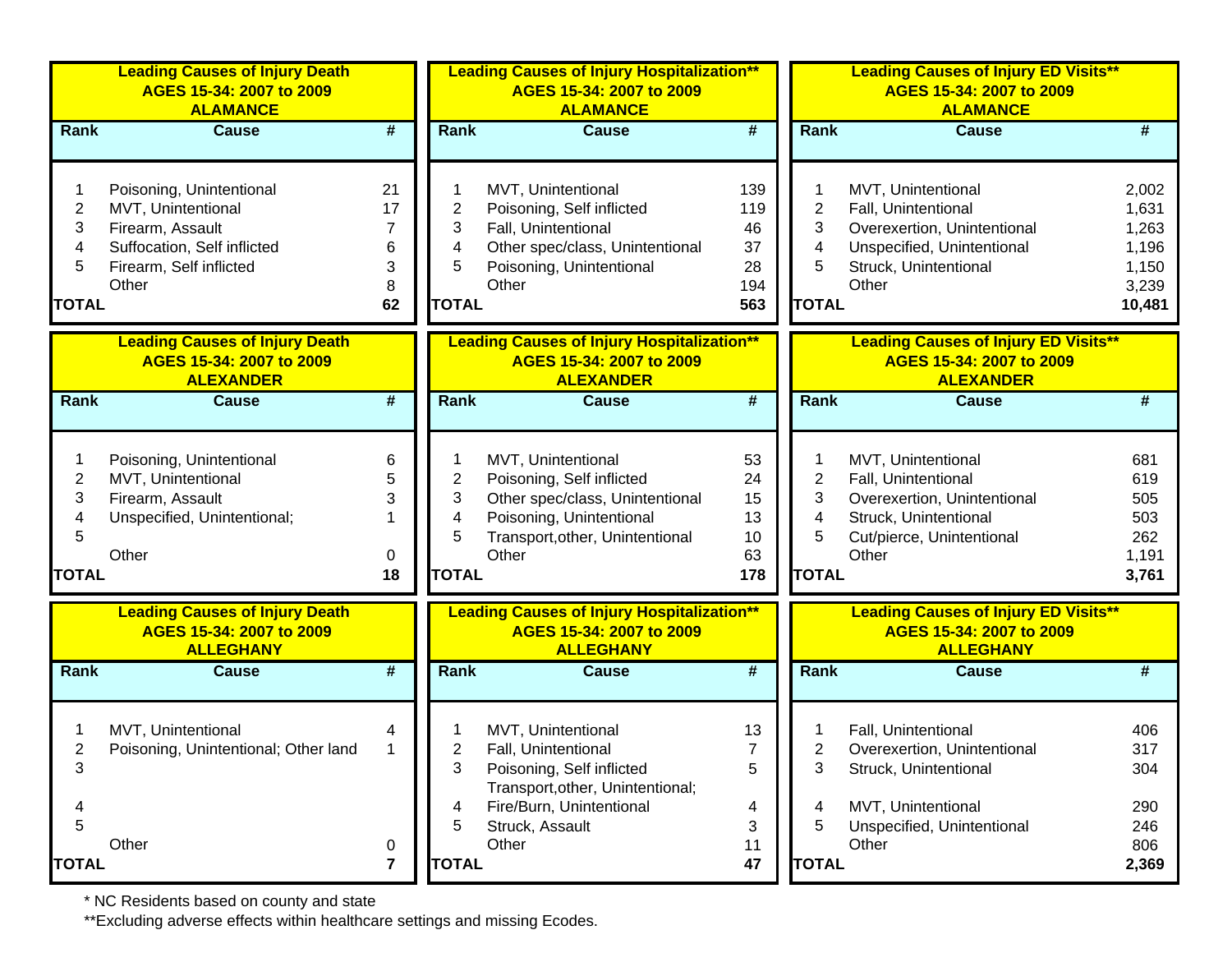|                                               | <b>Leading Causes of Injury Death</b><br>AGES 15-34: 2007 to 2009<br><b>ALAMANCE</b>                                                  |                                    |                                               | <b>Leading Causes of Injury Hospitalization**</b><br>AGES 15-34: 2007 to 2009<br><b>ALAMANCE</b>                                                           |                                            |                                               | <b>Leading Causes of Injury ED Visits**</b><br>AGES 15-34: 2007 to 2009<br><b>ALAMANCE</b>                                               |                                                              |
|-----------------------------------------------|---------------------------------------------------------------------------------------------------------------------------------------|------------------------------------|-----------------------------------------------|------------------------------------------------------------------------------------------------------------------------------------------------------------|--------------------------------------------|-----------------------------------------------|------------------------------------------------------------------------------------------------------------------------------------------|--------------------------------------------------------------|
| Rank                                          | <b>Cause</b>                                                                                                                          | #                                  | Rank                                          | <b>Cause</b>                                                                                                                                               | #                                          | Rank                                          | <b>Cause</b>                                                                                                                             | #                                                            |
| 2<br>3<br>4<br>5<br><b>TOTAL</b>              | Poisoning, Unintentional<br>MVT, Unintentional<br>Firearm, Assault<br>Suffocation, Self inflicted<br>Firearm, Self inflicted<br>Other | 21<br>17<br>7<br>6<br>3<br>8<br>62 | 2<br>3<br>4<br>5<br><b>TOTAL</b>              | MVT, Unintentional<br>Poisoning, Self inflicted<br>Fall, Unintentional<br>Other spec/class, Unintentional<br>Poisoning, Unintentional<br>Other             | 139<br>119<br>46<br>37<br>28<br>194<br>563 | 2<br>3<br>4<br>5<br><b>TOTAL</b>              | MVT, Unintentional<br>Fall, Unintentional<br>Overexertion, Unintentional<br>Unspecified, Unintentional<br>Struck, Unintentional<br>Other | 2,002<br>1,631<br>1,263<br>1,196<br>1,150<br>3,239<br>10,481 |
|                                               | <b>Leading Causes of Injury Death</b><br>AGES 15-34: 2007 to 2009<br><b>ALEXANDER</b>                                                 |                                    |                                               | <b>Leading Causes of Injury Hospitalization**</b><br>AGES 15-34: 2007 to 2009<br><b>ALEXANDER</b>                                                          |                                            |                                               | <b>Leading Causes of Injury ED Visits**</b><br>AGES 15-34: 2007 to 2009<br><b>ALEXANDER</b>                                              |                                                              |
| <b>Rank</b>                                   | <b>Cause</b>                                                                                                                          | $\overline{\boldsymbol{t}}$        | Rank                                          | <b>Cause</b>                                                                                                                                               | $\overline{\boldsymbol{H}}$                | Rank                                          | <b>Cause</b>                                                                                                                             | #                                                            |
| $\overline{c}$<br>3<br>4<br>5<br><b>TOTAL</b> | Poisoning, Unintentional<br>MVT, Unintentional<br>Firearm, Assault<br>Unspecified, Unintentional;<br>Other                            | 6<br>5<br>3<br>1<br>0<br>18        | $\overline{2}$<br>3<br>4<br>5<br><b>TOTAL</b> | MVT, Unintentional<br>Poisoning, Self inflicted<br>Other spec/class, Unintentional<br>Poisoning, Unintentional<br>Transport, other, Unintentional<br>Other | 53<br>24<br>15<br>13<br>10<br>63<br>178    | $\overline{2}$<br>3<br>4<br>5<br><b>TOTAL</b> | MVT, Unintentional<br>Fall, Unintentional<br>Overexertion, Unintentional<br>Struck, Unintentional<br>Cut/pierce, Unintentional<br>Other  | 681<br>619<br>505<br>503<br>262<br>1,191<br>3,761            |
|                                               | <b>Leading Causes of Injury Death</b><br>AGES 15-34: 2007 to 2009<br><b>ALLEGHANY</b>                                                 |                                    |                                               | <b>Leading Causes of Injury Hospitalization**</b><br>AGES 15-34: 2007 to 2009<br><b>ALLEGHANY</b>                                                          |                                            |                                               | <b>Leading Causes of Injury ED Visits**</b><br>AGES 15-34: 2007 to 2009<br><b>ALLEGHANY</b>                                              |                                                              |
| Rank                                          | <b>Cause</b>                                                                                                                          | #                                  | Rank                                          | <b>Cause</b>                                                                                                                                               | $\overline{\boldsymbol{t}}$                | Rank                                          | <b>Cause</b>                                                                                                                             | #                                                            |
| 3                                             | MVT, Unintentional<br>Poisoning, Unintentional; Other land                                                                            | 4<br>$\mathbf{1}$                  | 2<br>3<br>4                                   | MVT, Unintentional<br>Fall, Unintentional<br>Poisoning, Self inflicted<br>Transport, other, Unintentional;<br>Fire/Burn, Unintentional                     | 13<br>$\overline{7}$<br>5<br>4             | 2<br>3                                        | Fall, Unintentional<br>Overexertion, Unintentional<br>Struck, Unintentional<br>MVT, Unintentional                                        | 406<br>317<br>304<br>290                                     |
| 5<br><b>TOTAL</b>                             | Other                                                                                                                                 | $\boldsymbol{0}$<br>$\overline{7}$ | 5<br><b>TOTAL</b>                             | Struck, Assault<br>Other                                                                                                                                   | 3<br>11<br>47                              | 5<br><b>TOTAL</b>                             | Unspecified, Unintentional<br>Other                                                                                                      | 246<br>806<br>2,369                                          |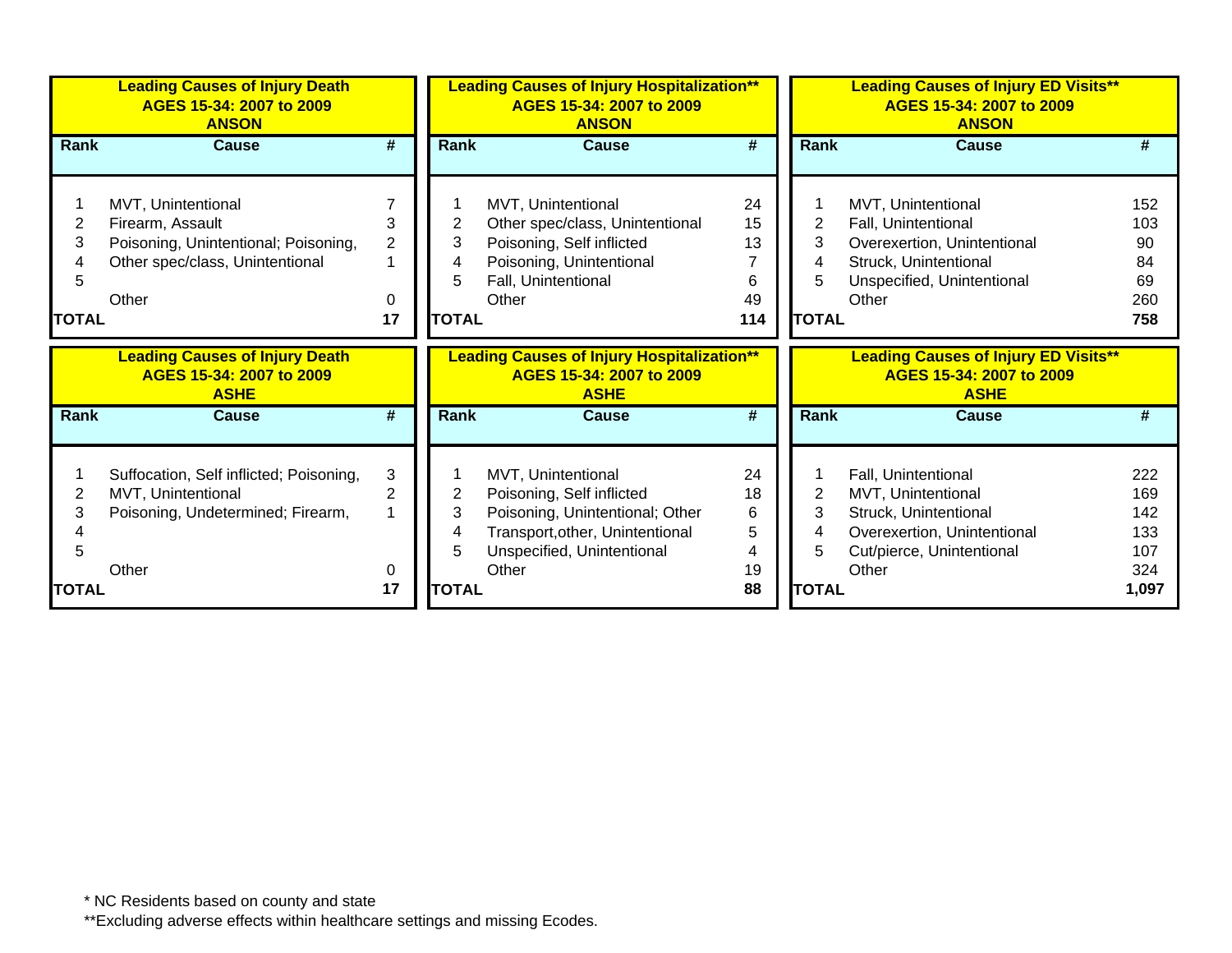|                        | <b>Leading Causes of Injury Death</b><br>AGES 15-34: 2007 to 2009<br><b>ANSON</b>                                          |                                |                              | <b>Leading Causes of Injury Hospitalization**</b><br>AGES 15-34: 2007 to 2009<br><b>ANSON</b>                                                                |                                  |                                  | <b>Leading Causes of Injury ED Visits**</b><br>AGES 15-34: 2007 to 2009<br><b>ANSON</b>                                                  |                                            |
|------------------------|----------------------------------------------------------------------------------------------------------------------------|--------------------------------|------------------------------|--------------------------------------------------------------------------------------------------------------------------------------------------------------|----------------------------------|----------------------------------|------------------------------------------------------------------------------------------------------------------------------------------|--------------------------------------------|
| <b>Rank</b>            | Cause                                                                                                                      | #                              | Rank                         | <b>Cause</b>                                                                                                                                                 | #                                | Rank                             | Cause                                                                                                                                    | #                                          |
| 2<br>3<br><b>TOTAL</b> | MVT, Unintentional<br>Firearm, Assault<br>Poisoning, Unintentional; Poisoning,<br>Other spec/class, Unintentional<br>Other | 3<br>$\overline{2}$<br>0<br>17 | 3<br>4<br>5.<br><b>TOTAL</b> | MVT, Unintentional<br>Other spec/class, Unintentional<br>Poisoning, Self inflicted<br>Poisoning, Unintentional<br>Fall, Unintentional<br>Other               | 24<br>15<br>13<br>6<br>49<br>114 | 2<br>3<br>4<br>5<br><b>TOTAL</b> | MVT, Unintentional<br>Fall, Unintentional<br>Overexertion, Unintentional<br>Struck, Unintentional<br>Unspecified, Unintentional<br>Other | 152<br>103<br>90<br>84<br>69<br>260<br>758 |
|                        |                                                                                                                            |                                |                              |                                                                                                                                                              |                                  |                                  |                                                                                                                                          |                                            |
|                        | <b>Leading Causes of Injury Death</b><br>AGES 15-34: 2007 to 2009<br><b>ASHE</b>                                           |                                |                              | <b>Leading Causes of Injury Hospitalization**</b><br>AGES 15-34: 2007 to 2009<br><b>ASHE</b>                                                                 |                                  |                                  | <b>Leading Causes of Injury ED Visits**</b><br>AGES 15-34: 2007 to 2009<br><b>ASHE</b>                                                   |                                            |
| <b>Rank</b>            | <b>Cause</b>                                                                                                               | #                              | <b>Rank</b>                  | <b>Cause</b>                                                                                                                                                 | #                                | Rank                             | Cause                                                                                                                                    | #                                          |
| 2<br>3                 | Suffocation, Self inflicted; Poisoning,<br>MVT, Unintentional<br>Poisoning, Undetermined; Firearm,<br>Other                | 3<br>$\overline{2}$<br>0       | 2<br>3<br>4<br>5             | MVT, Unintentional<br>Poisoning, Self inflicted<br>Poisoning, Unintentional; Other<br>Transport, other, Unintentional<br>Unspecified, Unintentional<br>Other | 24<br>18<br>6<br>5<br>4<br>19    | 2<br>3<br>4<br>5                 | Fall, Unintentional<br>MVT, Unintentional<br>Struck, Unintentional<br>Overexertion, Unintentional<br>Cut/pierce, Unintentional<br>Other  | 222<br>169<br>142<br>133<br>107<br>324     |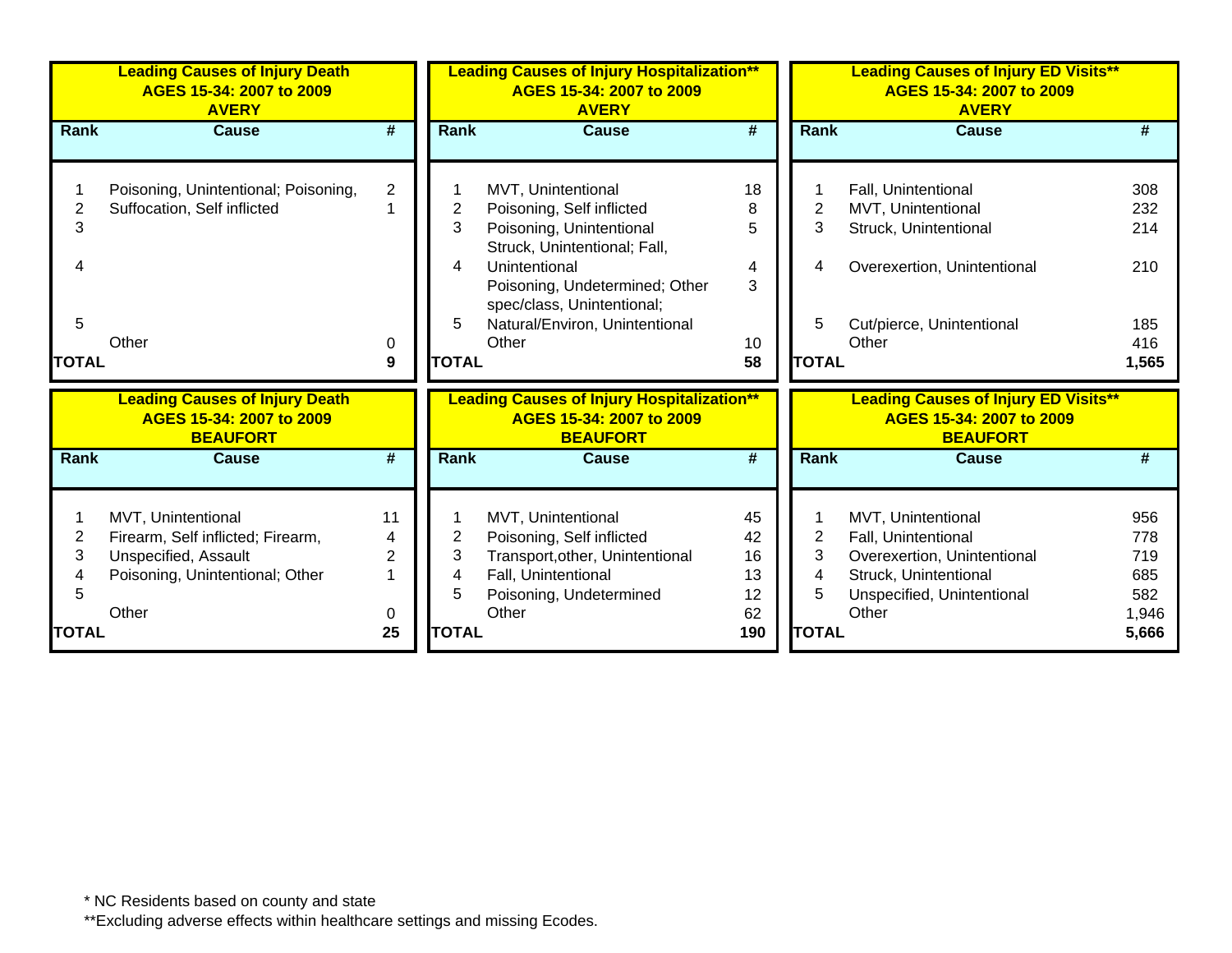|                                               | <b>Leading Causes of Injury Death</b><br>AGES 15-34: 2007 to 2009<br><b>AVERY</b>                                           |                                      |                                  | <b>Leading Causes of Injury Hospitalization**</b><br>AGES 15-34: 2007 to 2009<br><b>AVERY</b>                                                                                                                                           |                                                              |                                  | <b>Leading Causes of Injury ED Visits**</b><br>AGES 15-34: 2007 to 2009<br><b>AVERY</b>                                                  |                                                   |
|-----------------------------------------------|-----------------------------------------------------------------------------------------------------------------------------|--------------------------------------|----------------------------------|-----------------------------------------------------------------------------------------------------------------------------------------------------------------------------------------------------------------------------------------|--------------------------------------------------------------|----------------------------------|------------------------------------------------------------------------------------------------------------------------------------------|---------------------------------------------------|
| Rank                                          | <b>Cause</b>                                                                                                                | #                                    | Rank                             | <b>Cause</b>                                                                                                                                                                                                                            | $\overline{\boldsymbol{t}}$                                  | Rank                             | <b>Cause</b>                                                                                                                             | #                                                 |
| 2<br>3<br>4<br>5<br><b>TOTAL</b>              | Poisoning, Unintentional; Poisoning,<br>Suffocation, Self inflicted<br>Other                                                | $\overline{2}$<br>0<br>9             | 2<br>3<br>4<br>5<br><b>TOTAL</b> | MVT, Unintentional<br>Poisoning, Self inflicted<br>Poisoning, Unintentional<br>Struck, Unintentional; Fall,<br>Unintentional<br>Poisoning, Undetermined; Other<br>spec/class, Unintentional;<br>Natural/Environ, Unintentional<br>Other | 18<br>8<br>5<br>$\overline{4}$<br>3<br>10 <sup>°</sup><br>58 | 2<br>3<br>4<br>5<br><b>TOTAL</b> | Fall, Unintentional<br>MVT, Unintentional<br>Struck, Unintentional<br>Overexertion, Unintentional<br>Cut/pierce, Unintentional<br>Other  | 308<br>232<br>214<br>210<br>185<br>416<br>1,565   |
|                                               | <b>Leading Causes of Injury Death</b><br>AGES 15-34: 2007 to 2009<br><b>BEAUFORT</b>                                        |                                      |                                  | <b>Leading Causes of Injury Hospitalization**</b><br>AGES 15-34: 2007 to 2009<br><b>BEAUFORT</b>                                                                                                                                        |                                                              |                                  | <b>Leading Causes of Injury ED Visits**</b><br>AGES 15-34: 2007 to 2009<br><b>BEAUFORT</b>                                               |                                                   |
| Rank                                          | <b>Cause</b>                                                                                                                | #                                    | <b>Rank</b>                      | Cause                                                                                                                                                                                                                                   | #                                                            | Rank                             | <b>Cause</b>                                                                                                                             | #                                                 |
| $\overline{2}$<br>3<br>4<br>5<br><b>TOTAL</b> | MVT, Unintentional<br>Firearm, Self inflicted; Firearm,<br>Unspecified, Assault<br>Poisoning, Unintentional; Other<br>Other | 11<br>4<br>$\overline{2}$<br>0<br>25 | 2<br>3<br>4<br>5<br><b>TOTAL</b> | MVT, Unintentional<br>Poisoning, Self inflicted<br>Transport, other, Unintentional<br>Fall, Unintentional<br>Poisoning, Undetermined<br>Other                                                                                           | 45<br>42<br>16<br>13<br>12<br>62<br>190                      | 2<br>3<br>4<br>5<br><b>TOTAL</b> | MVT, Unintentional<br>Fall, Unintentional<br>Overexertion, Unintentional<br>Struck, Unintentional<br>Unspecified, Unintentional<br>Other | 956<br>778<br>719<br>685<br>582<br>1,946<br>5,666 |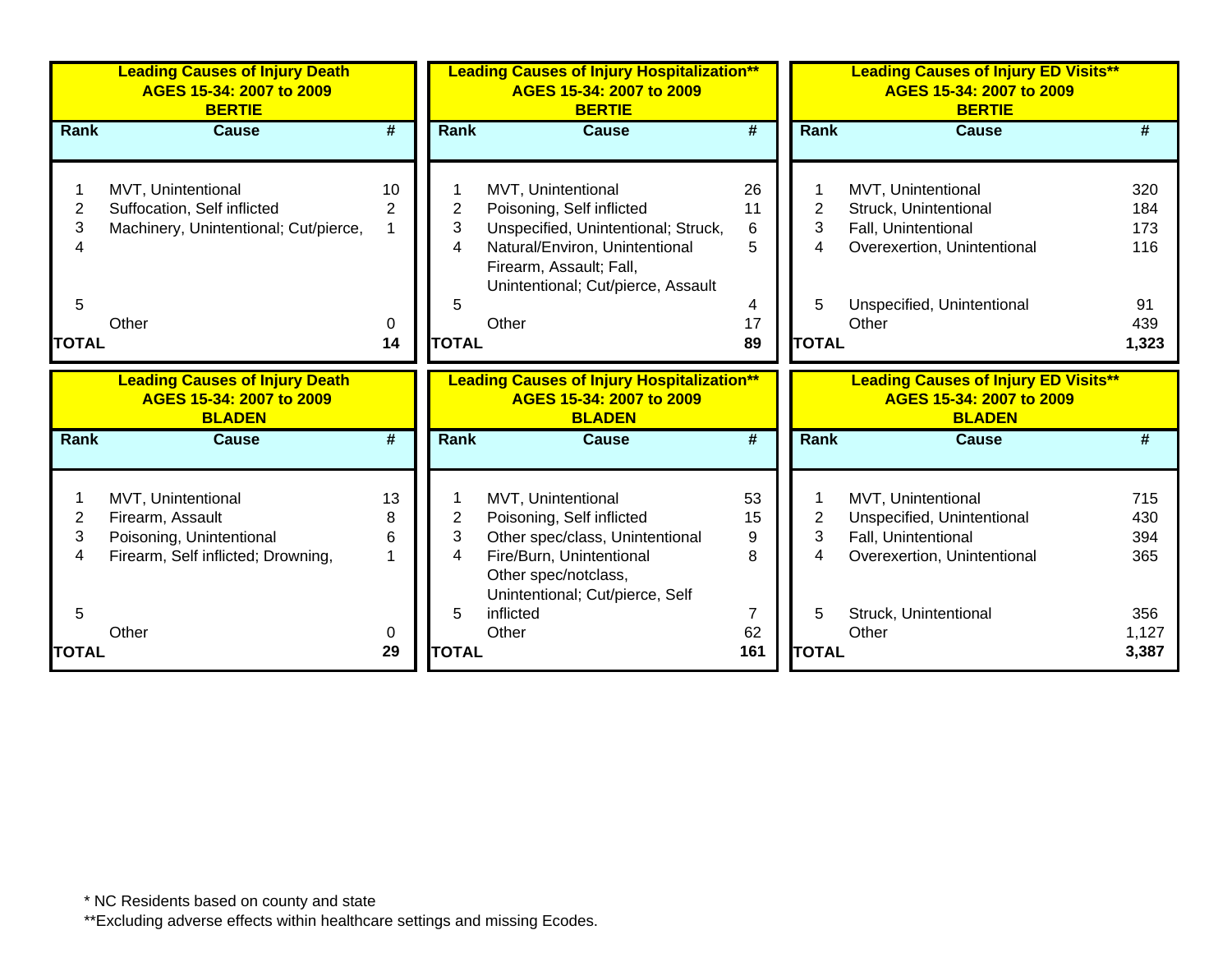|                          | <b>Leading Causes of Injury Death</b><br>AGES 15-34: 2007 to 2009<br><b>BERTIE</b>                       |                             |              | <b>Leading Causes of Injury Hospitalization**</b><br>AGES 15-34: 2007 to 2009<br><b>BERTIE</b>                                                                                            |                             |                          | <b>Leading Causes of Injury ED Visits**</b><br>AGES 15-34: 2007 to 2009<br><b>BERTIE</b>               |                          |
|--------------------------|----------------------------------------------------------------------------------------------------------|-----------------------------|--------------|-------------------------------------------------------------------------------------------------------------------------------------------------------------------------------------------|-----------------------------|--------------------------|--------------------------------------------------------------------------------------------------------|--------------------------|
| Rank                     | <b>Cause</b>                                                                                             | $\overline{\boldsymbol{t}}$ | <b>Rank</b>  | <b>Cause</b>                                                                                                                                                                              | $\overline{\boldsymbol{t}}$ | <b>Rank</b>              | <b>Cause</b>                                                                                           |                          |
| 2<br>3                   | MVT, Unintentional<br>Suffocation, Self inflicted<br>Machinery, Unintentional; Cut/pierce,               | 10<br>2                     | 2<br>3<br>4  | MVT, Unintentional<br>Poisoning, Self inflicted<br>Unspecified, Unintentional; Struck,<br>Natural/Environ, Unintentional<br>Firearm, Assault; Fall,<br>Unintentional; Cut/pierce, Assault | 26<br>11<br>6<br>5          | 2<br>3<br>4              | MVT, Unintentional<br>Struck, Unintentional<br>Fall, Unintentional<br>Overexertion, Unintentional      | 320<br>184<br>173<br>116 |
| 5                        |                                                                                                          |                             | 5            |                                                                                                                                                                                           | 4                           | 5                        | Unspecified, Unintentional                                                                             | 91                       |
| <b>TOTAL</b>             | Other                                                                                                    | 0<br>14                     | <b>TOTAL</b> | Other                                                                                                                                                                                     | 17<br>89                    | <b>TOTAL</b>             | Other                                                                                                  | 439<br>1,323             |
|                          |                                                                                                          |                             |              |                                                                                                                                                                                           |                             |                          |                                                                                                        |                          |
|                          |                                                                                                          |                             |              |                                                                                                                                                                                           |                             |                          |                                                                                                        |                          |
|                          | <b>Leading Causes of Injury Death</b><br>AGES 15-34: 2007 to 2009<br><b>BLADEN</b>                       |                             |              | <b>Leading Causes of Injury Hospitalization**</b><br>AGES 15-34: 2007 to 2009<br><b>BLADEN</b>                                                                                            |                             |                          | <b>Leading Causes of Injury ED Visits**</b><br>AGES 15-34: 2007 to 2009<br><b>BLADEN</b>               |                          |
| Rank                     | <b>Cause</b>                                                                                             | $\overline{\boldsymbol{r}}$ | Rank         | <b>Cause</b>                                                                                                                                                                              | $\overline{\boldsymbol{t}}$ | <b>Rank</b>              | <b>Cause</b>                                                                                           | #                        |
| $\overline{2}$<br>3<br>4 | MVT, Unintentional<br>Firearm, Assault<br>Poisoning, Unintentional<br>Firearm, Self inflicted; Drowning, | 13<br>8<br>6                | 2<br>3<br>4  | MVT, Unintentional<br>Poisoning, Self inflicted<br>Other spec/class, Unintentional<br>Fire/Burn, Unintentional<br>Other spec/notclass,<br>Unintentional; Cut/pierce, Self                 | 53<br>15<br>9<br>8          | $\overline{2}$<br>3<br>4 | MVT, Unintentional<br>Unspecified, Unintentional<br>Fall, Unintentional<br>Overexertion, Unintentional | 715<br>430<br>394<br>365 |
| 5                        | Other                                                                                                    | 0                           | 5            | inflicted<br>Other                                                                                                                                                                        | 7<br>62                     | 5                        | Struck, Unintentional<br>Other                                                                         | 356<br>1,127             |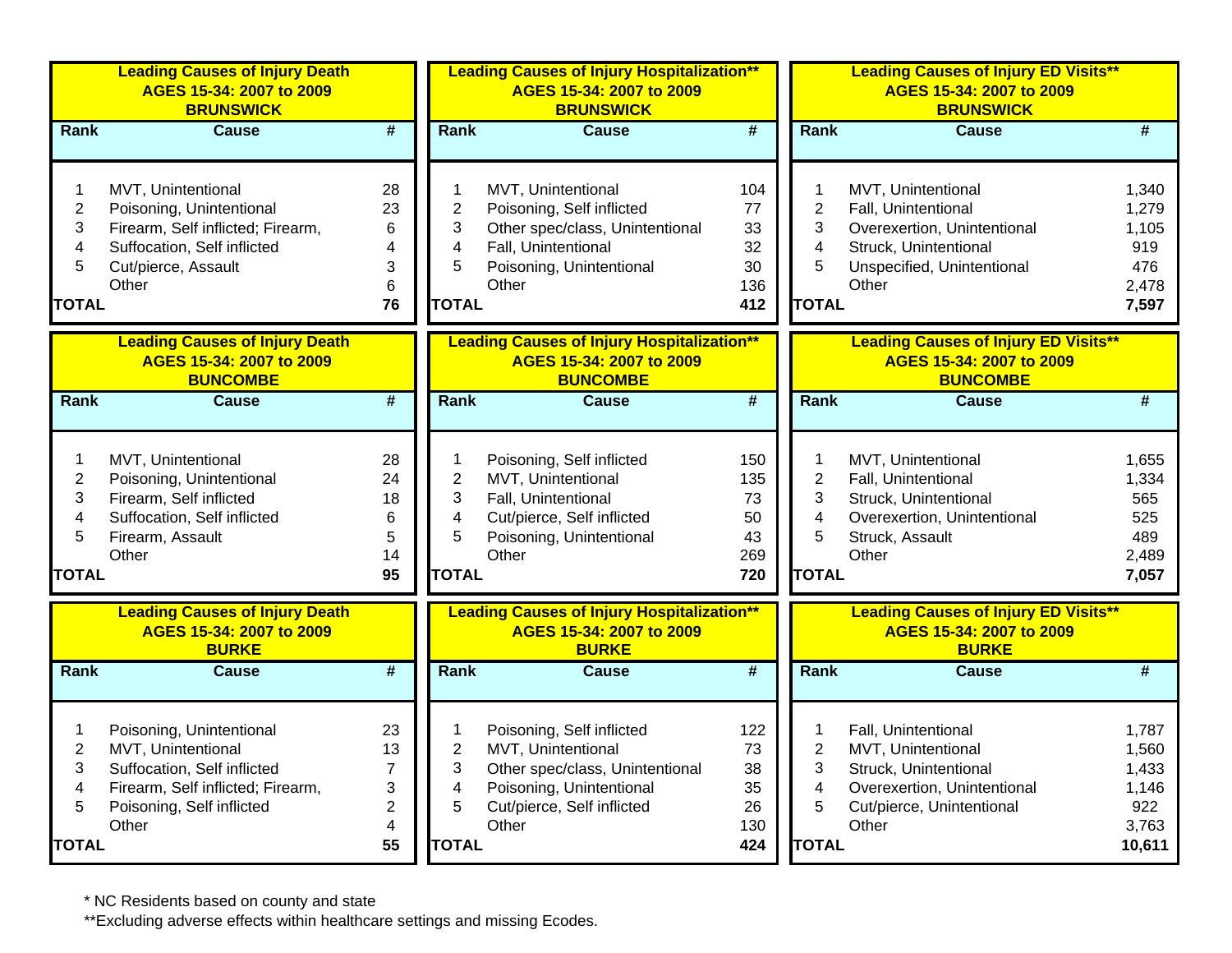|                                                    | <b>Leading Causes of Injury Death</b><br>AGES 15-34: 2007 to 2009<br><b>BRUNSWICK</b>                                                                    |                                                              | <b>Leading Causes of Injury Hospitalization**</b><br>AGES 15-34: 2007 to 2009<br><b>BRUNSWICK</b> |                                                                                                                                                       |                                            | <b>Leading Causes of Injury ED Visits**</b><br>AGES 15-34: 2007 to 2009<br><b>BRUNSWICK</b> |                                                                                                                                          |                                                            |  |
|----------------------------------------------------|----------------------------------------------------------------------------------------------------------------------------------------------------------|--------------------------------------------------------------|---------------------------------------------------------------------------------------------------|-------------------------------------------------------------------------------------------------------------------------------------------------------|--------------------------------------------|---------------------------------------------------------------------------------------------|------------------------------------------------------------------------------------------------------------------------------------------|------------------------------------------------------------|--|
| <b>Rank</b>                                        | <b>Cause</b>                                                                                                                                             | $\overline{\#}$                                              | <b>Rank</b>                                                                                       | <b>Cause</b>                                                                                                                                          | $\overline{\mathbf{H}}$                    | Rank                                                                                        | <b>Cause</b>                                                                                                                             | #                                                          |  |
| 1<br>$\overline{2}$<br>3<br>4<br>5<br><b>TOTAL</b> | MVT, Unintentional<br>Poisoning, Unintentional<br>Firearm, Self inflicted; Firearm,<br>Suffocation, Self inflicted<br>Cut/pierce, Assault<br>Other       | 28<br>23<br>6<br>4<br>3<br>6<br>76                           | $\mathbf 1$<br>$\overline{2}$<br>3<br>$\overline{4}$<br>5<br><b>TOTAL</b>                         | MVT, Unintentional<br>Poisoning, Self inflicted<br>Other spec/class, Unintentional<br>Fall, Unintentional<br>Poisoning, Unintentional<br>Other        | 104<br>77<br>33<br>32<br>30<br>136<br>412  | 1<br>$\overline{2}$<br>3<br>$\overline{\mathbf{4}}$<br>5<br><b>TOTAL</b>                    | MVT, Unintentional<br>Fall, Unintentional<br>Overexertion, Unintentional<br>Struck, Unintentional<br>Unspecified, Unintentional<br>Other | 1,340<br>1,279<br>1,105<br>919<br>476<br>2,478<br>7,597    |  |
|                                                    | <b>Leading Causes of Injury Death</b><br>AGES 15-34: 2007 to 2009<br><b>BUNCOMBE</b>                                                                     |                                                              |                                                                                                   | <b>Leading Causes of Injury Hospitalization**</b><br>AGES 15-34: 2007 to 2009<br><b>BUNCOMBE</b>                                                      |                                            |                                                                                             | <b>Leading Causes of Injury ED Visits**</b><br>AGES 15-34: 2007 to 2009<br><b>BUNCOMBE</b>                                               |                                                            |  |
| <b>Rank</b>                                        | <b>Cause</b>                                                                                                                                             | $\overline{\boldsymbol{t}}$                                  | <b>Rank</b>                                                                                       | <b>Cause</b>                                                                                                                                          | $\overline{\boldsymbol{t}}$                | Rank                                                                                        | <b>Cause</b>                                                                                                                             | #                                                          |  |
| 1<br>$\overline{2}$<br>3<br>4<br>5<br><b>TOTAL</b> | MVT, Unintentional<br>Poisoning, Unintentional<br>Firearm, Self inflicted<br>Suffocation, Self inflicted<br>Firearm, Assault<br>Other                    | 28<br>24<br>18<br>6<br>5<br>14<br>95                         | $\mathbf 1$<br>$\overline{2}$<br>3<br>$\overline{4}$<br>5<br><b>TOTAL</b>                         | Poisoning, Self inflicted<br>MVT, Unintentional<br>Fall, Unintentional<br>Cut/pierce, Self inflicted<br>Poisoning, Unintentional<br>Other             | 150<br>135<br>73<br>50<br>43<br>269<br>720 | 1<br>$\overline{2}$<br>3<br>4<br>5<br><b>TOTAL</b>                                          | MVT, Unintentional<br>Fall, Unintentional<br>Struck, Unintentional<br>Overexertion, Unintentional<br>Struck, Assault<br>Other            | 1,655<br>1,334<br>565<br>525<br>489<br>2,489<br>7,057      |  |
|                                                    | <b>Leading Causes of Injury Death</b><br>AGES 15-34: 2007 to 2009<br><b>BURKE</b>                                                                        |                                                              |                                                                                                   | <b>Leading Causes of Injury Hospitalization**</b><br>AGES 15-34: 2007 to 2009<br><b>BURKE</b>                                                         |                                            |                                                                                             | <b>Leading Causes of Injury ED Visits**</b><br>AGES 15-34: 2007 to 2009<br><b>BURKE</b>                                                  |                                                            |  |
| Rank                                               | Cause                                                                                                                                                    | $\overline{\#}$                                              | Rank                                                                                              | Cause                                                                                                                                                 | $\overline{\boldsymbol{t}}$                | Rank                                                                                        | Cause                                                                                                                                    | #                                                          |  |
| 1<br>$\overline{c}$<br>3<br>4<br>5<br><b>TOTAL</b> | Poisoning, Unintentional<br>MVT, Unintentional<br>Suffocation, Self inflicted<br>Firearm, Self inflicted; Firearm,<br>Poisoning, Self inflicted<br>Other | 23<br>13<br>$\overline{7}$<br>3<br>$\overline{c}$<br>4<br>55 | 1<br>$\overline{2}$<br>3<br>4<br>5<br><b>TOTAL</b>                                                | Poisoning, Self inflicted<br>MVT, Unintentional<br>Other spec/class, Unintentional<br>Poisoning, Unintentional<br>Cut/pierce, Self inflicted<br>Other | 122<br>73<br>38<br>35<br>26<br>130<br>424  | $\mathbf{1}$<br>$\overline{c}$<br>3<br>4<br>5<br><b>TOTAL</b>                               | Fall, Unintentional<br>MVT, Unintentional<br>Struck, Unintentional<br>Overexertion, Unintentional<br>Cut/pierce, Unintentional<br>Other  | 1,787<br>1,560<br>1,433<br>1,146<br>922<br>3,763<br>10,611 |  |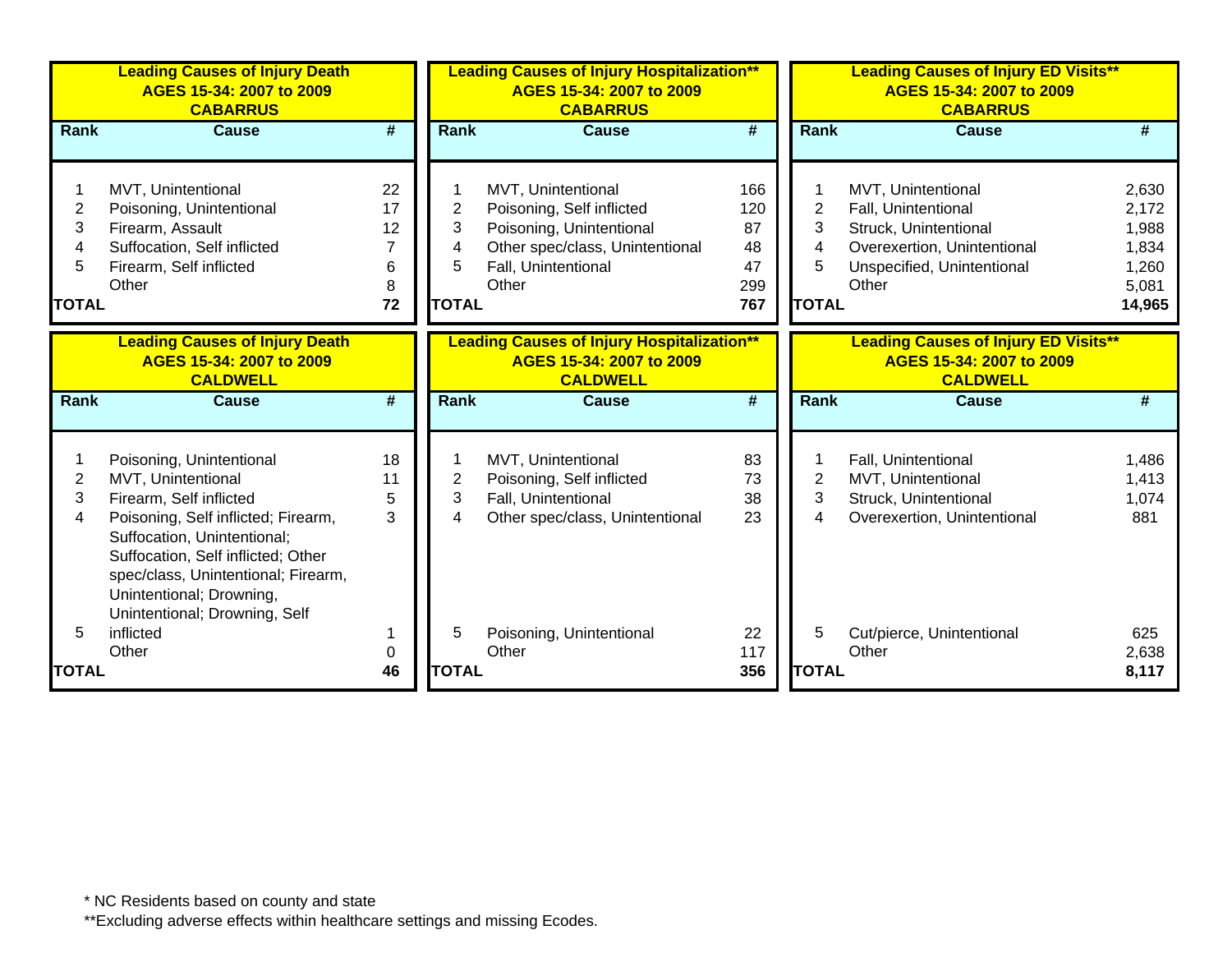|                                               | <b>Leading Causes of Injury Death</b><br>AGES 15-34: 2007 to 2009<br><b>CABARRUS</b>                                                                                                                                                                                                      |                                                  | <b>Leading Causes of Injury Hospitalization**</b><br>AGES 15-34: 2007 to 2009<br><b>CABARRUS</b> |                                                                                                                                                |                                            | <b>Leading Causes of Injury ED Visits**</b><br>AGES 15-34: 2007 to 2009<br><b>CABARRUS</b> |                                                                                                                                          |                                                              |  |
|-----------------------------------------------|-------------------------------------------------------------------------------------------------------------------------------------------------------------------------------------------------------------------------------------------------------------------------------------------|--------------------------------------------------|--------------------------------------------------------------------------------------------------|------------------------------------------------------------------------------------------------------------------------------------------------|--------------------------------------------|--------------------------------------------------------------------------------------------|------------------------------------------------------------------------------------------------------------------------------------------|--------------------------------------------------------------|--|
| Rank                                          | <b>Cause</b>                                                                                                                                                                                                                                                                              | $\overline{\boldsymbol{t}}$                      | <b>Rank</b>                                                                                      | <b>Cause</b>                                                                                                                                   | $\overline{\#}$                            | <b>Rank</b>                                                                                | <b>Cause</b>                                                                                                                             | #                                                            |  |
| $\overline{2}$<br>3<br>4<br>5<br><b>TOTAL</b> | MVT, Unintentional<br>Poisoning, Unintentional<br>Firearm, Assault<br>Suffocation, Self inflicted<br>Firearm, Self inflicted<br>Other                                                                                                                                                     | 22<br>17<br>12<br>$\overline{7}$<br>6<br>8<br>72 | $\overline{2}$<br>3<br>4<br>5<br><b>TOTAL</b>                                                    | MVT, Unintentional<br>Poisoning, Self inflicted<br>Poisoning, Unintentional<br>Other spec/class, Unintentional<br>Fall, Unintentional<br>Other | 166<br>120<br>87<br>48<br>47<br>299<br>767 | $\overline{2}$<br>3<br>4<br>5<br><b>TOTAL</b>                                              | MVT, Unintentional<br>Fall, Unintentional<br>Struck, Unintentional<br>Overexertion, Unintentional<br>Unspecified, Unintentional<br>Other | 2,630<br>2,172<br>1,988<br>1,834<br>1,260<br>5,081<br>14,965 |  |
|                                               | <b>Leading Causes of Injury Death</b><br>AGES 15-34: 2007 to 2009<br><b>CALDWELL</b>                                                                                                                                                                                                      |                                                  |                                                                                                  | <b>Leading Causes of Injury Hospitalization**</b><br>AGES 15-34: 2007 to 2009<br><b>CALDWELL</b>                                               |                                            |                                                                                            | <b>Leading Causes of Injury ED Visits**</b><br>AGES 15-34: 2007 to 2009<br><b>CALDWELL</b>                                               |                                                              |  |
| <b>Rank</b>                                   | <b>Cause</b>                                                                                                                                                                                                                                                                              | #                                                | Rank                                                                                             | <b>Cause</b>                                                                                                                                   | #                                          | <b>Rank</b>                                                                                | <b>Cause</b>                                                                                                                             | #                                                            |  |
| 2<br>3<br>4                                   | Poisoning, Unintentional<br>MVT, Unintentional<br>Firearm, Self inflicted<br>Poisoning, Self inflicted; Firearm,<br>Suffocation, Unintentional;<br>Suffocation, Self inflicted; Other<br>spec/class, Unintentional; Firearm,<br>Unintentional; Drowning,<br>Unintentional; Drowning, Self | 18<br>11<br>5<br>3                               | $\overline{c}$<br>3<br>4                                                                         | MVT, Unintentional<br>Poisoning, Self inflicted<br>Fall, Unintentional<br>Other spec/class, Unintentional                                      | 83<br>73<br>38<br>23                       | $\overline{2}$<br>3<br>4                                                                   | Fall, Unintentional<br>MVT, Unintentional<br>Struck, Unintentional<br>Overexertion, Unintentional                                        | 1,486<br>1,413<br>1,074<br>881                               |  |
| 5<br><b>TOTAL</b>                             | inflicted<br>Other                                                                                                                                                                                                                                                                        | 0<br>46                                          | 5<br><b>TOTAL</b>                                                                                | Poisoning, Unintentional<br>Other                                                                                                              | 22<br>117<br>356                           | 5<br><b>TOTAL</b>                                                                          | Cut/pierce, Unintentional<br>Other                                                                                                       | 625<br>2,638<br>8,117                                        |  |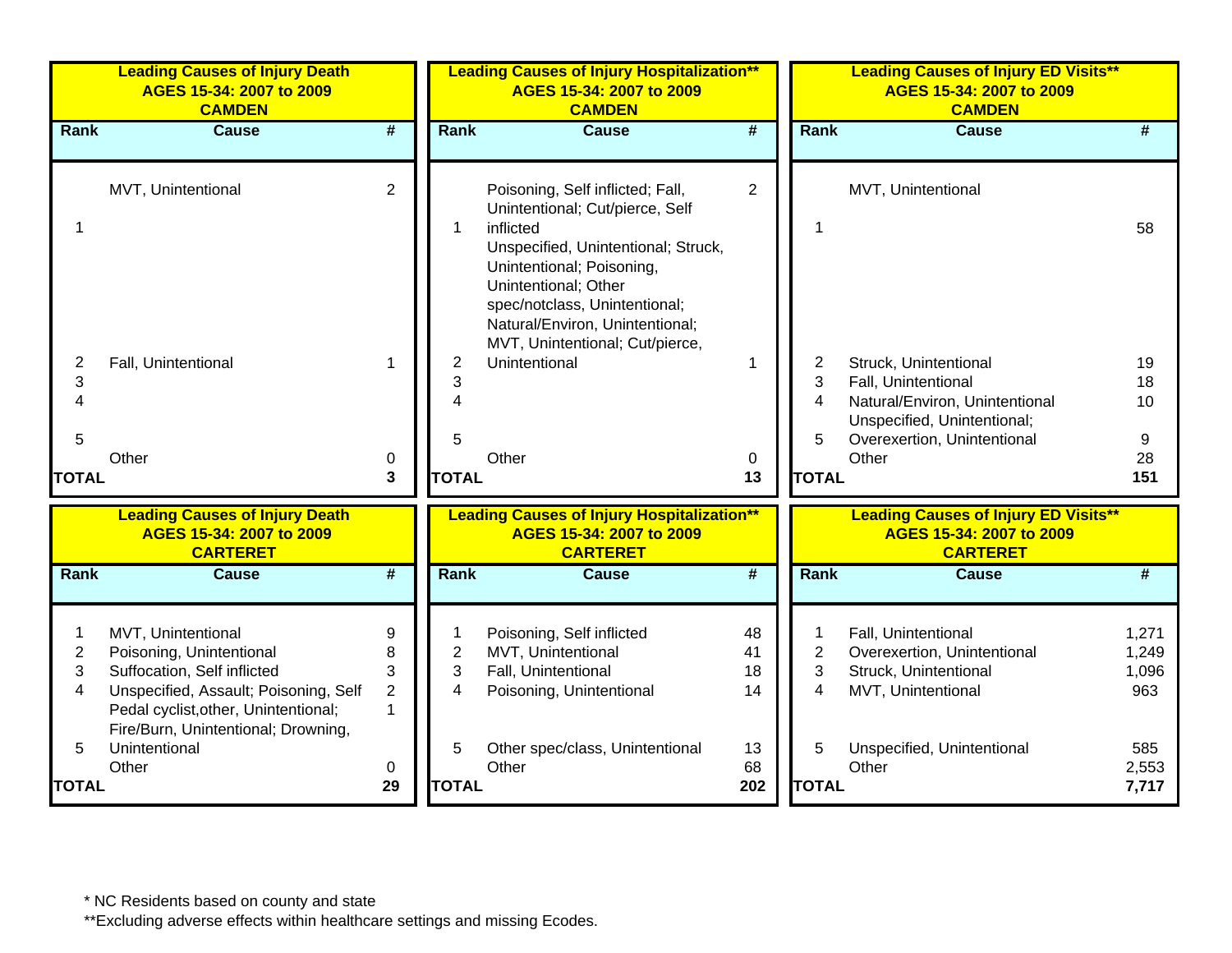|                          | <b>Leading Causes of Injury Death</b><br>AGES 15-34: 2007 to 2009<br><b>CAMDEN</b>                                                                                                                    |                                               |                          | <b>Leading Causes of Injury Hospitalization**</b><br>AGES 15-34: 2007 to 2009<br><b>CAMDEN</b>                                                                                                                                                   | <b>Leading Causes of Injury ED Visits**</b><br>AGES 15-34: 2007 to 2009<br><b>CAMDEN</b> |                          |                                                                                                                                              |                                |
|--------------------------|-------------------------------------------------------------------------------------------------------------------------------------------------------------------------------------------------------|-----------------------------------------------|--------------------------|--------------------------------------------------------------------------------------------------------------------------------------------------------------------------------------------------------------------------------------------------|------------------------------------------------------------------------------------------|--------------------------|----------------------------------------------------------------------------------------------------------------------------------------------|--------------------------------|
| Rank                     | <b>Cause</b>                                                                                                                                                                                          | $\overline{\boldsymbol{t}}$                   | <b>Rank</b>              | <b>Cause</b>                                                                                                                                                                                                                                     | #                                                                                        | Rank                     | <b>Cause</b>                                                                                                                                 | #                              |
|                          | MVT, Unintentional                                                                                                                                                                                    | $\overline{2}$                                |                          | Poisoning, Self inflicted; Fall,<br>Unintentional; Cut/pierce, Self<br>inflicted<br>Unspecified, Unintentional; Struck,<br>Unintentional; Poisoning,<br>Unintentional; Other<br>spec/notclass, Unintentional;<br>Natural/Environ, Unintentional; | $\overline{2}$                                                                           |                          | MVT, Unintentional                                                                                                                           | 58                             |
| 2<br>3<br>5              | Fall, Unintentional                                                                                                                                                                                   | 1                                             | 2<br>3<br>5              | MVT, Unintentional; Cut/pierce,<br>Unintentional                                                                                                                                                                                                 | 1                                                                                        | 2<br>3<br>4<br>5         | Struck, Unintentional<br>Fall, Unintentional<br>Natural/Environ, Unintentional<br>Unspecified, Unintentional;<br>Overexertion, Unintentional | 19<br>18<br>10<br>9            |
| <b>TOTAL</b>             | Other                                                                                                                                                                                                 | 0<br>3                                        | <b>TOTAL</b>             | Other                                                                                                                                                                                                                                            | 0<br>13                                                                                  | <b>TOTAL</b>             | Other                                                                                                                                        | 28<br>151                      |
|                          | <b>Leading Causes of Injury Death</b><br>AGES 15-34: 2007 to 2009<br><b>CARTERET</b>                                                                                                                  |                                               |                          | <b>Leading Causes of Injury Hospitalization**</b><br>AGES 15-34: 2007 to 2009<br><b>CARTERET</b>                                                                                                                                                 |                                                                                          |                          | <b>Leading Causes of Injury ED Visits**</b><br>AGES 15-34: 2007 to 2009<br><b>CARTERET</b>                                                   |                                |
| Rank                     | <b>Cause</b>                                                                                                                                                                                          | $\overline{\boldsymbol{H}}$                   | Rank                     | <b>Cause</b>                                                                                                                                                                                                                                     | $\overline{\#}$                                                                          | Rank                     | <b>Cause</b>                                                                                                                                 | #                              |
| $\overline{c}$<br>3<br>4 | MVT, Unintentional<br>Poisoning, Unintentional<br>Suffocation, Self inflicted<br>Unspecified, Assault; Poisoning, Self<br>Pedal cyclist, other, Unintentional;<br>Fire/Burn, Unintentional; Drowning, | 9<br>8<br>3<br>$\overline{2}$<br>$\mathbf{1}$ | $\overline{2}$<br>3<br>4 | Poisoning, Self inflicted<br>MVT, Unintentional<br>Fall, Unintentional<br>Poisoning, Unintentional                                                                                                                                               | 48<br>41<br>18<br>14                                                                     | $\overline{2}$<br>3<br>4 | Fall, Unintentional<br>Overexertion, Unintentional<br>Struck, Unintentional<br>MVT, Unintentional                                            | 1,271<br>1,249<br>1,096<br>963 |
| 5<br><b>TOTAL</b>        | Unintentional<br>Other                                                                                                                                                                                | 0<br>29                                       | 5<br><b>TOTAL</b>        | Other spec/class, Unintentional<br>Other                                                                                                                                                                                                         | 13<br>68<br>202                                                                          | 5<br><b>TOTAL</b>        | Unspecified, Unintentional<br>Other                                                                                                          | 585<br>2,553<br>7,717          |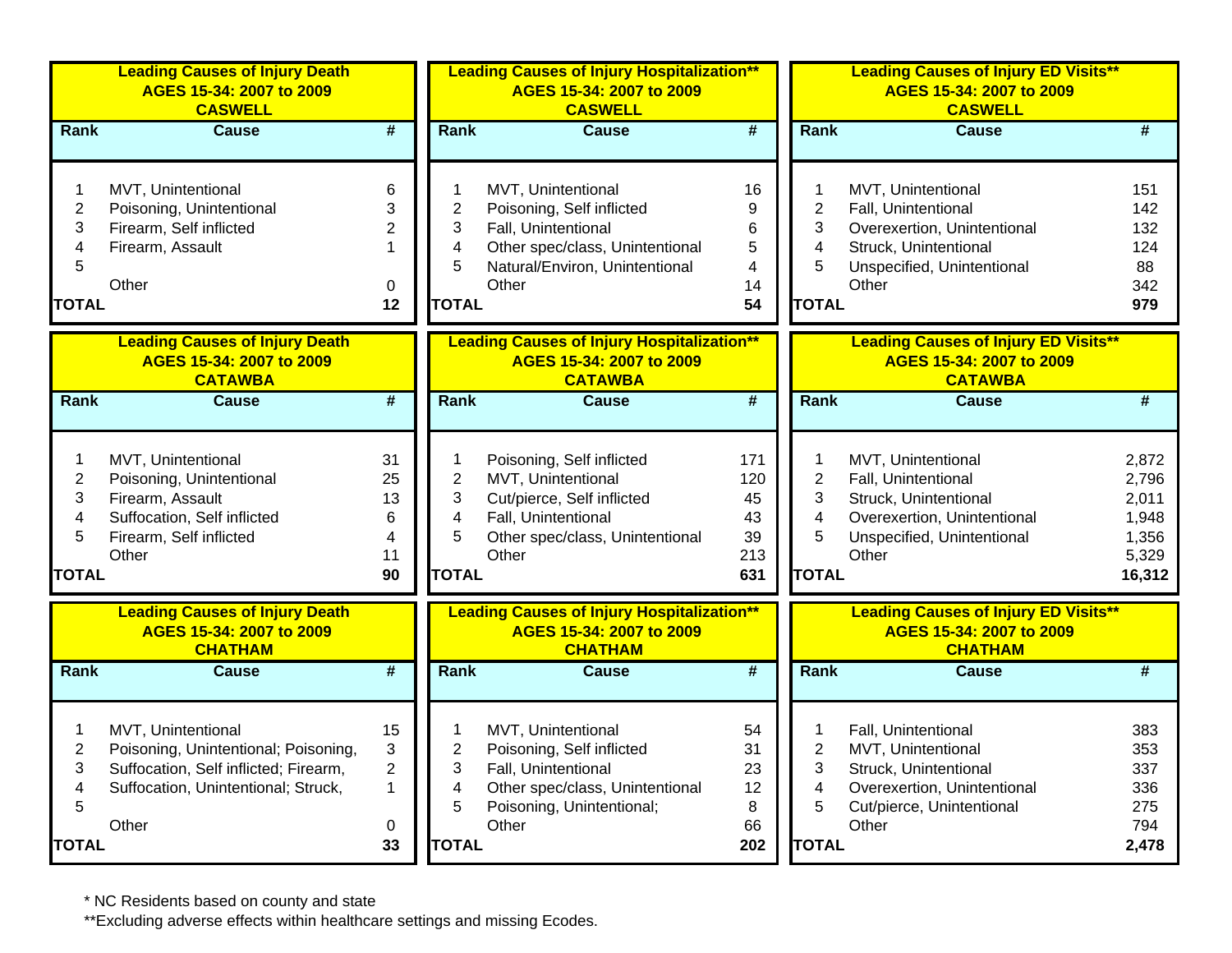|                                                    | <b>Leading Causes of Injury Death</b><br>AGES 15-34: 2007 to 2009<br><b>CASWELL</b>                                                                 |                                           | <b>Leading Causes of Injury Hospitalization**</b><br>AGES 15-34: 2007 to 2009<br><b>CASWELL</b>                                                                                                                                                                                                                                                                            | <b>Leading Causes of Injury ED Visits**</b><br>AGES 15-34: 2007 to 2009<br><b>CASWELL</b>                                                                                                       |
|----------------------------------------------------|-----------------------------------------------------------------------------------------------------------------------------------------------------|-------------------------------------------|----------------------------------------------------------------------------------------------------------------------------------------------------------------------------------------------------------------------------------------------------------------------------------------------------------------------------------------------------------------------------|-------------------------------------------------------------------------------------------------------------------------------------------------------------------------------------------------|
| Rank                                               | <b>Cause</b>                                                                                                                                        | $\overline{\#}$                           | <b>Rank</b><br><b>Cause</b><br>$\overline{\mathbf{H}}$<br><b>Rank</b>                                                                                                                                                                                                                                                                                                      | #<br><b>Cause</b>                                                                                                                                                                               |
| 1<br>$\overline{2}$<br>3<br>4<br>5<br><b>TOTAL</b> | MVT, Unintentional<br>Poisoning, Unintentional<br>Firearm, Self inflicted<br>Firearm, Assault<br>Other                                              | 6<br>3<br>$\overline{2}$<br>0<br>12       | MVT, Unintentional<br>16<br>1<br>1<br>$\overline{2}$<br>$\overline{2}$<br>$\boldsymbol{9}$<br>Poisoning, Self inflicted<br>3<br>3<br>6<br>Fall, Unintentional<br>Other spec/class, Unintentional<br>$\sqrt{5}$<br>$\overline{\mathbf{4}}$<br>4<br>5<br>5<br>Natural/Environ, Unintentional<br>$\overline{4}$<br>Other<br>14<br>Other<br><b>TOTAL</b><br>54<br><b>TOTAL</b> | MVT, Unintentional<br>151<br>142<br>Fall, Unintentional<br>Overexertion, Unintentional<br>132<br>Struck, Unintentional<br>124<br>Unspecified, Unintentional<br>88<br>342<br>979                 |
|                                                    | <b>Leading Causes of Injury Death</b><br>AGES 15-34: 2007 to 2009<br><b>CATAWBA</b>                                                                 |                                           | <b>Leading Causes of Injury Hospitalization**</b><br>AGES 15-34: 2007 to 2009<br><b>CATAWBA</b>                                                                                                                                                                                                                                                                            | <b>Leading Causes of Injury ED Visits**</b><br>AGES 15-34: 2007 to 2009<br><b>CATAWBA</b>                                                                                                       |
| Rank                                               | <b>Cause</b>                                                                                                                                        | $\overline{\#}$                           | $\overline{\boldsymbol{t}}$<br>Rank<br>Rank<br><b>Cause</b>                                                                                                                                                                                                                                                                                                                | #<br><b>Cause</b>                                                                                                                                                                               |
| 1<br>$\overline{2}$<br>3<br>4<br>5<br><b>TOTAL</b> | MVT, Unintentional<br>Poisoning, Unintentional<br>Firearm, Assault<br>Suffocation, Self inflicted<br>Firearm, Self inflicted<br>Other               | 31<br>25<br>13<br>6<br>4<br>11<br>90      | Poisoning, Self inflicted<br>171<br>1<br>1<br>$\overline{2}$<br>$\mathbf 2$<br>MVT, Unintentional<br>120<br>3<br>3<br>Cut/pierce, Self inflicted<br>45<br>Fall, Unintentional<br>$\overline{\mathbf{4}}$<br>4<br>43<br>5<br>5<br>Other spec/class, Unintentional<br>39<br>Other<br>213<br>Other<br><b>TOTAL</b><br><b>TOTAL</b><br>631                                     | 2,872<br>MVT, Unintentional<br>Fall, Unintentional<br>2,796<br>Struck, Unintentional<br>2,011<br>Overexertion, Unintentional<br>1,948<br>1,356<br>Unspecified, Unintentional<br>5,329<br>16,312 |
|                                                    | <b>Leading Causes of Injury Death</b><br>AGES 15-34: 2007 to 2009<br><b>CHATHAM</b>                                                                 |                                           | <b>Leading Causes of Injury Hospitalization**</b><br>AGES 15-34: 2007 to 2009<br><b>CHATHAM</b>                                                                                                                                                                                                                                                                            | <b>Leading Causes of Injury ED Visits**</b><br>AGES 15-34: 2007 to 2009<br><b>CHATHAM</b>                                                                                                       |
| <b>Rank</b>                                        | <b>Cause</b>                                                                                                                                        | $\overline{\#}$                           | <b>Rank</b><br>$\overline{\boldsymbol{t}}$<br>Rank<br><b>Cause</b>                                                                                                                                                                                                                                                                                                         | #<br><b>Cause</b>                                                                                                                                                                               |
| 1<br>$\overline{2}$<br>3<br>4<br>5<br><b>TOTAL</b> | MVT, Unintentional<br>Poisoning, Unintentional; Poisoning,<br>Suffocation, Self inflicted; Firearm,<br>Suffocation, Unintentional; Struck,<br>Other | 15<br>3<br>$\overline{2}$<br>1<br>0<br>33 | MVT, Unintentional<br>54<br>1<br>1<br>$\overline{2}$<br>2<br>Poisoning, Self inflicted<br>31<br>3<br>3<br>Fall, Unintentional<br>23<br>Other spec/class, Unintentional<br>$\overline{\mathbf{4}}$<br>$\overline{4}$<br>12<br>5<br>5<br>Poisoning, Unintentional;<br>8<br>Other<br>66<br>Other<br><b>TOTAL</b><br>202<br><b>TOTAL</b>                                       | Fall, Unintentional<br>383<br>MVT, Unintentional<br>353<br>Struck, Unintentional<br>337<br>Overexertion, Unintentional<br>336<br>Cut/pierce, Unintentional<br>275<br>794<br>2,478               |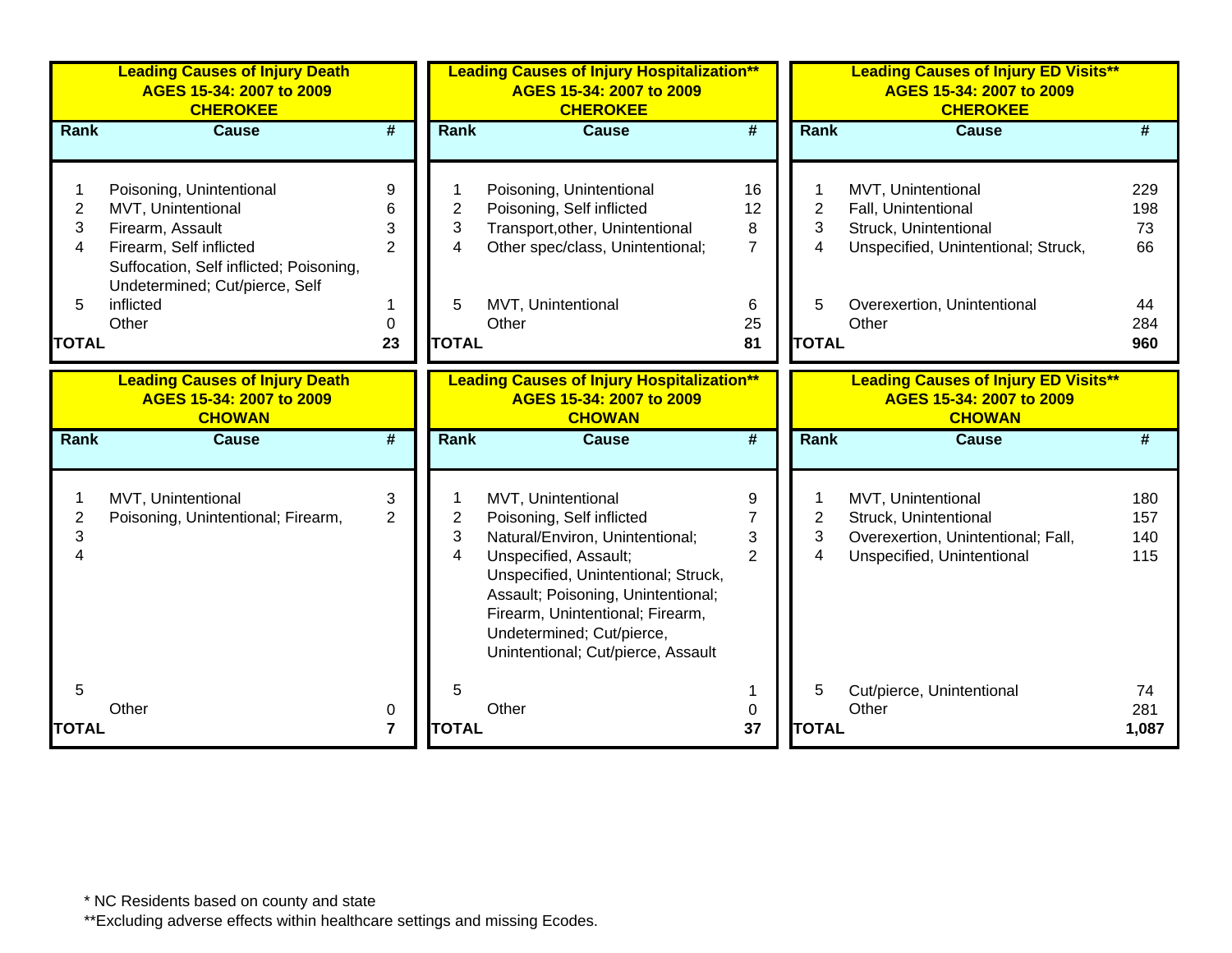|                          | <b>Leading Causes of Injury Death</b><br>AGES 15-34: 2007 to 2009<br><b>CHEROKEE</b>                                                                                                             |                                    |                   | <b>Leading Causes of Injury Hospitalization**</b><br>AGES 15-34: 2007 to 2009<br><b>CHEROKEE</b>                                                                                                                                                                                                |                                            |                          | <b>Leading Causes of Injury ED Visits**</b><br>AGES 15-34: 2007 to 2009<br><b>CHEROKEE</b>                                                        |                                     |
|--------------------------|--------------------------------------------------------------------------------------------------------------------------------------------------------------------------------------------------|------------------------------------|-------------------|-------------------------------------------------------------------------------------------------------------------------------------------------------------------------------------------------------------------------------------------------------------------------------------------------|--------------------------------------------|--------------------------|---------------------------------------------------------------------------------------------------------------------------------------------------|-------------------------------------|
| <b>Rank</b>              | <b>Cause</b>                                                                                                                                                                                     | #                                  | Rank              | <b>Cause</b>                                                                                                                                                                                                                                                                                    | #                                          | <b>Rank</b>              | <b>Cause</b>                                                                                                                                      | #                                   |
| 2<br>3<br>4<br>5         | Poisoning, Unintentional<br>MVT, Unintentional<br>Firearm, Assault<br>Firearm, Self inflicted<br>Suffocation, Self inflicted; Poisoning,<br>Undetermined; Cut/pierce, Self<br>inflicted<br>Other | 9<br>6<br>3<br>$\overline{2}$<br>0 | 2<br>3<br>4<br>5  | Poisoning, Unintentional<br>Poisoning, Self inflicted<br>Transport, other, Unintentional<br>Other spec/class, Unintentional;<br>MVT, Unintentional<br>Other                                                                                                                                     | 16<br>12<br>8<br>$\overline{7}$<br>6<br>25 | 2<br>3<br>4<br>5         | MVT, Unintentional<br>Fall, Unintentional<br>Struck, Unintentional<br>Unspecified, Unintentional; Struck,<br>Overexertion, Unintentional<br>Other | 229<br>198<br>73<br>66<br>44<br>284 |
| <b>TOTAL</b>             |                                                                                                                                                                                                  | 23                                 | <b>TOTAL</b>      |                                                                                                                                                                                                                                                                                                 | 81                                         | <b>TOTAL</b>             |                                                                                                                                                   | 960                                 |
|                          | <b>Leading Causes of Injury Death</b><br>AGES 15-34: 2007 to 2009<br><b>CHOWAN</b>                                                                                                               |                                    |                   | <b>Leading Causes of Injury Hospitalization**</b><br>AGES 15-34: 2007 to 2009<br><b>CHOWAN</b>                                                                                                                                                                                                  |                                            |                          | <b>Leading Causes of Injury ED Visits**</b><br>AGES 15-34: 2007 to 2009<br><b>CHOWAN</b>                                                          |                                     |
| <b>Rank</b>              | <b>Cause</b>                                                                                                                                                                                     | $\overline{\boldsymbol{t}}$        | Rank              | <b>Cause</b>                                                                                                                                                                                                                                                                                    | #                                          | <b>Rank</b>              | <b>Cause</b>                                                                                                                                      | #                                   |
| $\overline{2}$<br>3<br>Δ | MVT, Unintentional<br>Poisoning, Unintentional; Firearm,                                                                                                                                         | 3<br>$\overline{2}$                | 2<br>3<br>4       | MVT, Unintentional<br>Poisoning, Self inflicted<br>Natural/Environ, Unintentional;<br>Unspecified, Assault;<br>Unspecified, Unintentional; Struck,<br>Assault; Poisoning, Unintentional;<br>Firearm, Unintentional; Firearm,<br>Undetermined; Cut/pierce,<br>Unintentional; Cut/pierce, Assault | 9<br>$\overline{7}$<br>3<br>$\overline{2}$ | $\overline{2}$<br>3<br>4 | MVT, Unintentional<br>Struck, Unintentional<br>Overexertion, Unintentional; Fall,<br>Unspecified, Unintentional                                   | 180<br>157<br>140<br>115            |
| 5<br><b>TOTAL</b>        | Other                                                                                                                                                                                            | 0<br>$\overline{7}$                | 5<br><b>TOTAL</b> | Other                                                                                                                                                                                                                                                                                           | 0<br>37                                    | 5<br><b>TOTAL</b>        | Cut/pierce, Unintentional<br>Other                                                                                                                | 74<br>281<br>1,087                  |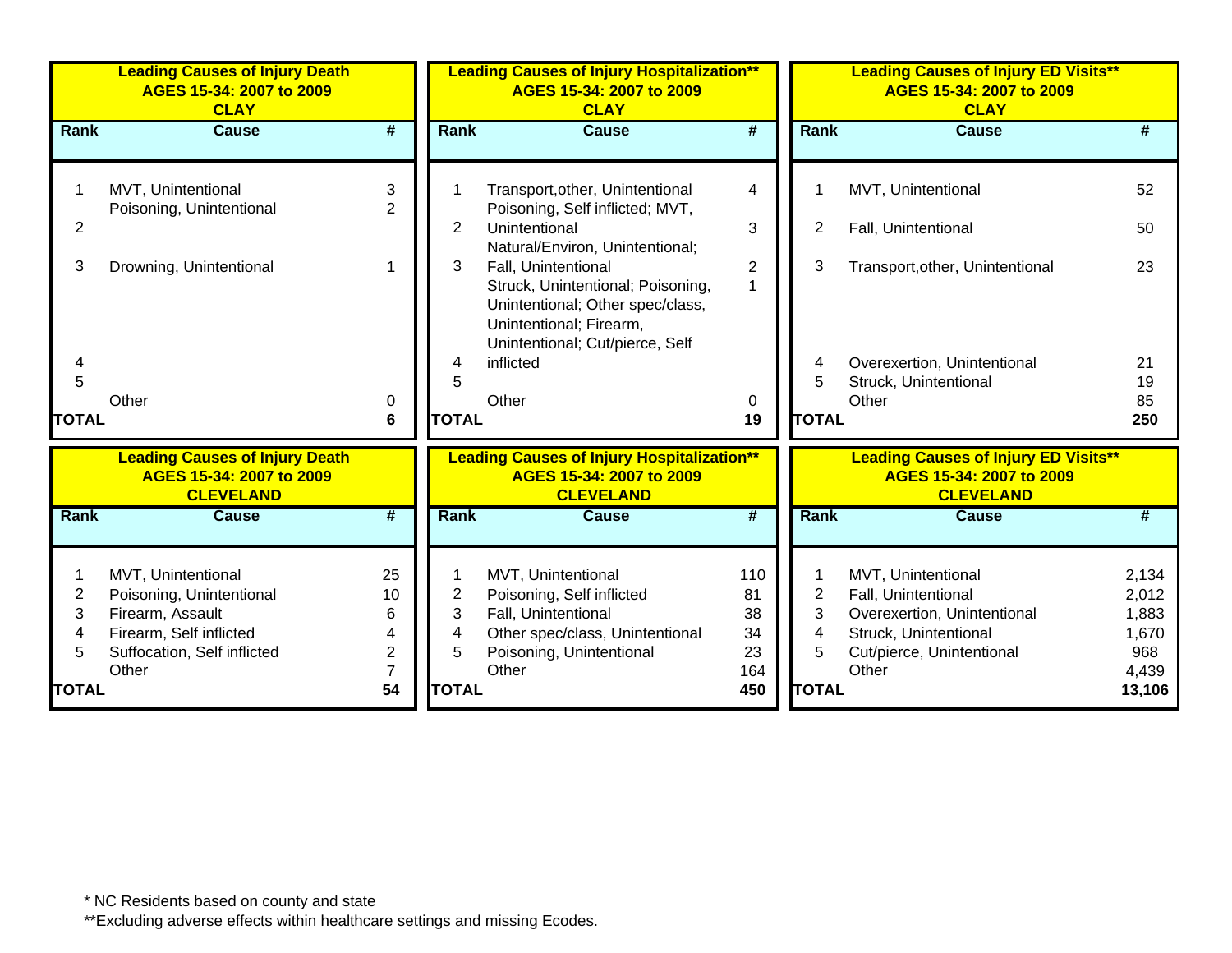|              | <b>Leading Causes of Injury Death</b><br>AGES 15-34: 2007 to 2009<br><b>CLAY</b>      |                | <b>Leading Causes of Injury Hospitalization**</b><br>AGES 15-34: 2007 to 2009<br><b>CLAY</b> |                                                                                                   |                 | <b>Leading Causes of Injury ED Visits**</b><br>AGES 15-34: 2007 to 2009<br><b>CLAY</b> |                                                                                             |          |  |
|--------------|---------------------------------------------------------------------------------------|----------------|----------------------------------------------------------------------------------------------|---------------------------------------------------------------------------------------------------|-----------------|----------------------------------------------------------------------------------------|---------------------------------------------------------------------------------------------|----------|--|
| Rank         | <b>Cause</b>                                                                          | #              | <b>Rank</b>                                                                                  | <b>Cause</b>                                                                                      | #               | <b>Rank</b>                                                                            | <b>Cause</b>                                                                                | #        |  |
|              |                                                                                       |                |                                                                                              |                                                                                                   |                 |                                                                                        |                                                                                             |          |  |
|              | MVT, Unintentional                                                                    | 3              |                                                                                              | Transport, other, Unintentional                                                                   | 4               | 1                                                                                      | MVT, Unintentional                                                                          | 52       |  |
| 2            | Poisoning, Unintentional                                                              | $\overline{2}$ | 2                                                                                            | Poisoning, Self inflicted; MVT,<br>Unintentional                                                  | 3               | $\overline{2}$                                                                         | Fall, Unintentional                                                                         | 50       |  |
|              |                                                                                       |                |                                                                                              | Natural/Environ, Unintentional;                                                                   |                 |                                                                                        |                                                                                             |          |  |
| 3            | Drowning, Unintentional                                                               |                | 3                                                                                            | Fall, Unintentional                                                                               | $\overline{2}$  | 3                                                                                      | Transport, other, Unintentional                                                             | 23       |  |
|              |                                                                                       |                |                                                                                              | Struck, Unintentional; Poisoning,<br>Unintentional; Other spec/class,                             | 1               |                                                                                        |                                                                                             |          |  |
|              |                                                                                       |                |                                                                                              | Unintentional; Firearm,                                                                           |                 |                                                                                        |                                                                                             |          |  |
|              |                                                                                       |                |                                                                                              | Unintentional; Cut/pierce, Self                                                                   |                 |                                                                                        |                                                                                             |          |  |
| 5            |                                                                                       |                | 4<br>5                                                                                       | inflicted                                                                                         |                 | 4<br>5                                                                                 | Overexertion, Unintentional                                                                 | 21       |  |
|              | Other                                                                                 | 0              |                                                                                              | Other                                                                                             | 0               |                                                                                        | Struck, Unintentional<br>Other                                                              | 19<br>85 |  |
| <b>TOTAL</b> |                                                                                       | 6              | <b>TOTAL</b>                                                                                 |                                                                                                   | 19              | <b>TOTAL</b>                                                                           |                                                                                             | 250      |  |
|              | <b>Leading Causes of Injury Death</b><br>AGES 15-34: 2007 to 2009<br><b>CLEVELAND</b> |                |                                                                                              | <b>Leading Causes of Injury Hospitalization**</b><br>AGES 15-34: 2007 to 2009<br><b>CLEVELAND</b> |                 |                                                                                        | <b>Leading Causes of Injury ED Visits**</b><br>AGES 15-34: 2007 to 2009<br><b>CLEVELAND</b> |          |  |
| Rank         | <b>Cause</b>                                                                          | #              | Rank                                                                                         | <b>Cause</b>                                                                                      | $\overline{\#}$ | Rank                                                                                   | <b>Cause</b>                                                                                | #        |  |
|              |                                                                                       |                |                                                                                              |                                                                                                   |                 |                                                                                        |                                                                                             |          |  |
|              | MVT, Unintentional                                                                    | 25             |                                                                                              | MVT, Unintentional                                                                                | 110             |                                                                                        | MVT, Unintentional                                                                          | 2,134    |  |
| 2            | Poisoning, Unintentional                                                              | 10             | $\overline{2}$                                                                               | Poisoning, Self inflicted                                                                         | 81              | $\overline{2}$                                                                         | Fall, Unintentional                                                                         | 2,012    |  |
| 3            | Firearm, Assault                                                                      | 6              | 3                                                                                            | Fall, Unintentional                                                                               | 38              | 3                                                                                      | Overexertion, Unintentional                                                                 | 1,883    |  |
| 4            | Firearm, Self inflicted                                                               |                | 4                                                                                            | Other spec/class, Unintentional                                                                   | 34              | 4                                                                                      | Struck, Unintentional                                                                       | 1,670    |  |
|              | Suffocation, Self inflicted                                                           | $\mathbf{2}$   | 5                                                                                            | Poisoning, Unintentional                                                                          | 23              | 5                                                                                      | Cut/pierce, Unintentional                                                                   | 968      |  |
|              | Other                                                                                 |                |                                                                                              | Other                                                                                             | 164             |                                                                                        | Other                                                                                       | 4,439    |  |
| <b>TOTAL</b> |                                                                                       | 54             | <b>TOTAL</b>                                                                                 |                                                                                                   | 450             | <b>TOTAL</b>                                                                           |                                                                                             | 13,106   |  |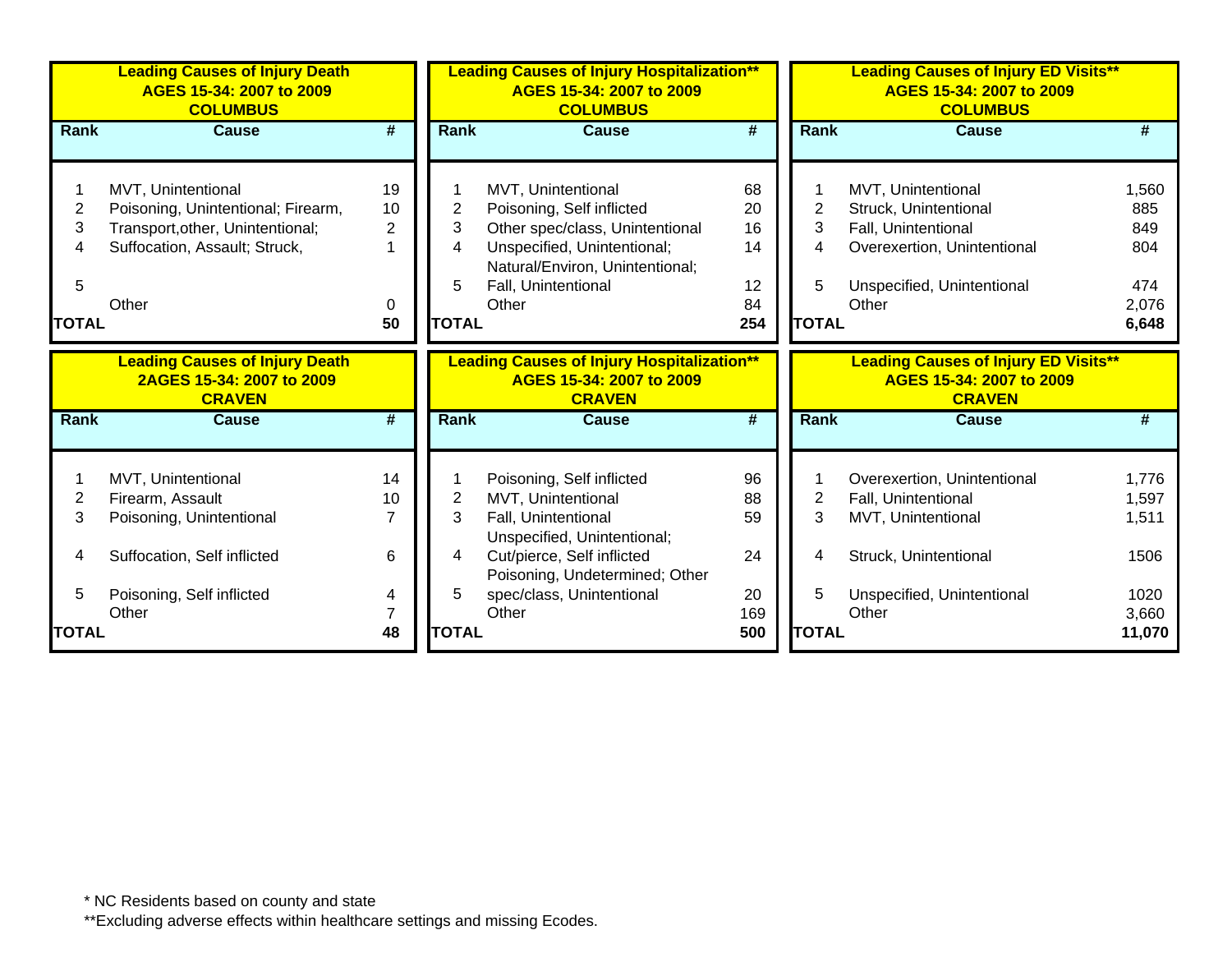|              | <b>Leading Causes of Injury Death</b><br>AGES 15-34: 2007 to 2009<br><b>COLUMBUS</b> |                | <b>Leading Causes of Injury Hospitalization**</b><br>AGES 15-34: 2007 to 2009<br><b>COLUMBUS</b> |                                                                                                |     | <b>Leading Causes of Injury ED Visits**</b><br>AGES 15-34: 2007 to 2009<br><b>COLUMBUS</b> |                                                                                          |        |  |
|--------------|--------------------------------------------------------------------------------------|----------------|--------------------------------------------------------------------------------------------------|------------------------------------------------------------------------------------------------|-----|--------------------------------------------------------------------------------------------|------------------------------------------------------------------------------------------|--------|--|
| <b>Rank</b>  | <b>Cause</b>                                                                         | #              | Rank                                                                                             | <b>Cause</b>                                                                                   | #   | <b>Rank</b>                                                                                | <b>Cause</b>                                                                             | #      |  |
|              |                                                                                      |                |                                                                                                  |                                                                                                |     |                                                                                            |                                                                                          |        |  |
|              | MVT, Unintentional                                                                   | 19             |                                                                                                  | MVT, Unintentional                                                                             | 68  |                                                                                            | MVT, Unintentional                                                                       | 1,560  |  |
| 2            | Poisoning, Unintentional; Firearm,                                                   | 10             | 2                                                                                                | Poisoning, Self inflicted                                                                      | 20  | $\overline{2}$                                                                             | Struck, Unintentional                                                                    | 885    |  |
| 3            | Transport, other, Unintentional;                                                     | $\overline{2}$ | 3                                                                                                | Other spec/class, Unintentional                                                                | 16  | 3                                                                                          | Fall, Unintentional                                                                      | 849    |  |
| 4            | Suffocation, Assault; Struck,                                                        |                | 4                                                                                                | Unspecified, Unintentional;                                                                    | 14  | 4                                                                                          | Overexertion, Unintentional                                                              | 804    |  |
|              |                                                                                      |                |                                                                                                  | Natural/Environ, Unintentional;                                                                |     |                                                                                            |                                                                                          |        |  |
| 5            |                                                                                      |                | 5                                                                                                | Fall, Unintentional                                                                            | 12  | 5                                                                                          | Unspecified, Unintentional                                                               | 474    |  |
|              | Other                                                                                | 0              |                                                                                                  | Other                                                                                          | 84  |                                                                                            | Other                                                                                    | 2,076  |  |
| <b>TOTAL</b> |                                                                                      | 50             | <b>TOTAL</b>                                                                                     |                                                                                                | 254 | <b>TOTAL</b>                                                                               |                                                                                          | 6,648  |  |
|              | <b>Leading Causes of Injury Death</b><br>2AGES 15-34: 2007 to 2009<br><b>CRAVEN</b>  |                |                                                                                                  | <b>Leading Causes of Injury Hospitalization**</b><br>AGES 15-34: 2007 to 2009<br><b>CRAVEN</b> |     |                                                                                            | <b>Leading Causes of Injury ED Visits**</b><br>AGES 15-34: 2007 to 2009<br><b>CRAVEN</b> |        |  |
| <b>Rank</b>  | <b>Cause</b>                                                                         | #              | <b>Rank</b>                                                                                      | <b>Cause</b>                                                                                   | #   | <b>Rank</b>                                                                                | Cause                                                                                    | #      |  |
|              |                                                                                      |                |                                                                                                  |                                                                                                |     |                                                                                            |                                                                                          |        |  |
|              | MVT, Unintentional                                                                   | 14             |                                                                                                  | Poisoning, Self inflicted                                                                      | 96  |                                                                                            | Overexertion, Unintentional                                                              | 1,776  |  |
| 2            | Firearm, Assault                                                                     | 10             | 2                                                                                                | MVT, Unintentional                                                                             | 88  | 2                                                                                          | Fall, Unintentional                                                                      | 1,597  |  |
| 3            | Poisoning, Unintentional                                                             | $\overline{7}$ | 3                                                                                                | Fall, Unintentional<br>Unspecified, Unintentional;                                             | 59  | 3                                                                                          | MVT, Unintentional                                                                       | 1,511  |  |
| 4            | Suffocation, Self inflicted                                                          | 6              | 4                                                                                                | Cut/pierce, Self inflicted<br>Poisoning, Undetermined; Other                                   | 24  | 4                                                                                          | Struck, Unintentional                                                                    | 1506   |  |
| 5            | Poisoning, Self inflicted                                                            | 4              | 5                                                                                                | spec/class, Unintentional                                                                      | 20  | 5                                                                                          | Unspecified, Unintentional                                                               | 1020   |  |
|              | Other                                                                                | $\overline{7}$ |                                                                                                  | Other                                                                                          | 169 |                                                                                            | Other                                                                                    | 3,660  |  |
| TOTAL        |                                                                                      | 48             | <b>TOTAL</b>                                                                                     |                                                                                                | 500 | <b>TOTAL</b>                                                                               |                                                                                          | 11,070 |  |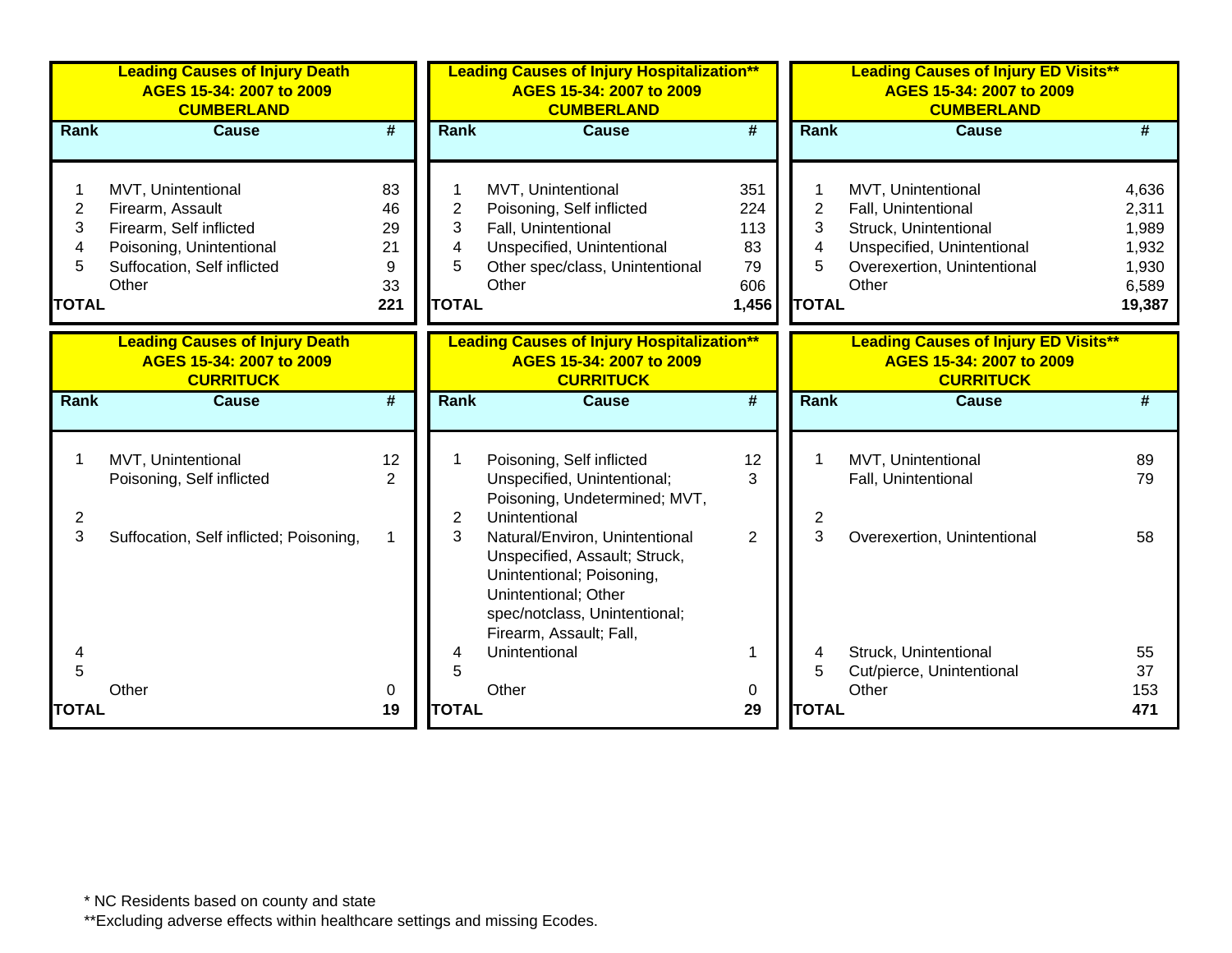|                                               | <b>Leading Causes of Injury Death</b><br>AGES 15-34: 2007 to 2009<br><b>CUMBERLAND</b>                                                |                                        |                                                    | <b>Leading Causes of Injury Hospitalization**</b><br>AGES 15-34: 2007 to 2009<br><b>CUMBERLAND</b>                                                                               |                                               |                                               | <b>Leading Causes of Injury ED Visits**</b><br>AGES 15-34: 2007 to 2009<br><b>CUMBERLAND</b>                                             |                                                              |
|-----------------------------------------------|---------------------------------------------------------------------------------------------------------------------------------------|----------------------------------------|----------------------------------------------------|----------------------------------------------------------------------------------------------------------------------------------------------------------------------------------|-----------------------------------------------|-----------------------------------------------|------------------------------------------------------------------------------------------------------------------------------------------|--------------------------------------------------------------|
| Rank                                          | <b>Cause</b>                                                                                                                          | $\overline{\boldsymbol{t}}$            | <b>Rank</b>                                        | <b>Cause</b>                                                                                                                                                                     | $\overline{\boldsymbol{t}}$                   | Rank                                          | <b>Cause</b>                                                                                                                             | #                                                            |
| $\overline{c}$<br>3<br>4<br>5<br><b>TOTAL</b> | MVT, Unintentional<br>Firearm, Assault<br>Firearm, Self inflicted<br>Poisoning, Unintentional<br>Suffocation, Self inflicted<br>Other | 83<br>46<br>29<br>21<br>9<br>33<br>221 | 1<br>$\overline{2}$<br>3<br>4<br>5<br><b>TOTAL</b> | MVT, Unintentional<br>Poisoning, Self inflicted<br>Fall, Unintentional<br>Unspecified, Unintentional<br>Other spec/class, Unintentional<br>Other                                 | 351<br>224<br>113<br>83<br>79<br>606<br>1,456 | $\overline{2}$<br>3<br>4<br>5<br><b>TOTAL</b> | MVT, Unintentional<br>Fall, Unintentional<br>Struck, Unintentional<br>Unspecified, Unintentional<br>Overexertion, Unintentional<br>Other | 4,636<br>2,311<br>1,989<br>1,932<br>1,930<br>6,589<br>19,387 |
|                                               | <b>Leading Causes of Injury Death</b><br>AGES 15-34: 2007 to 2009<br><b>CURRITUCK</b>                                                 |                                        |                                                    | <b>Leading Causes of Injury Hospitalization**</b><br>AGES 15-34: 2007 to 2009<br><b>CURRITUCK</b>                                                                                |                                               |                                               | <b>Leading Causes of Injury ED Visits**</b><br>AGES 15-34: 2007 to 2009<br><b>CURRITUCK</b>                                              |                                                              |
| Rank                                          | <b>Cause</b>                                                                                                                          | #                                      | Rank                                               | <b>Cause</b>                                                                                                                                                                     | #                                             | Rank                                          | <b>Cause</b>                                                                                                                             | #                                                            |
| $\overline{2}$                                | MVT, Unintentional<br>Poisoning, Self inflicted                                                                                       | 12<br>2                                | 2                                                  | Poisoning, Self inflicted<br>Unspecified, Unintentional;<br>Poisoning, Undetermined; MVT,<br>Unintentional                                                                       | 12<br>3                                       | 2                                             | MVT, Unintentional<br>Fall, Unintentional                                                                                                | 89<br>79                                                     |
| 3                                             | Suffocation, Self inflicted; Poisoning,                                                                                               |                                        | 3                                                  | Natural/Environ, Unintentional<br>Unspecified, Assault; Struck,<br>Unintentional; Poisoning,<br>Unintentional; Other<br>spec/notclass, Unintentional;<br>Firearm, Assault; Fall, | $\overline{2}$                                | 3                                             | Overexertion, Unintentional                                                                                                              | 58                                                           |
| 4                                             |                                                                                                                                       |                                        | 4                                                  | Unintentional                                                                                                                                                                    |                                               | 4                                             | Struck, Unintentional                                                                                                                    | 55                                                           |
| 5                                             | Other                                                                                                                                 | 0                                      | 5                                                  | Other                                                                                                                                                                            | 0                                             | 5                                             | Cut/pierce, Unintentional<br>Other                                                                                                       | 37<br>153                                                    |
| <b>TOTAL</b>                                  |                                                                                                                                       | 19                                     | <b>TOTAL</b>                                       |                                                                                                                                                                                  | 29                                            | <b>TOTAL</b>                                  |                                                                                                                                          | 471                                                          |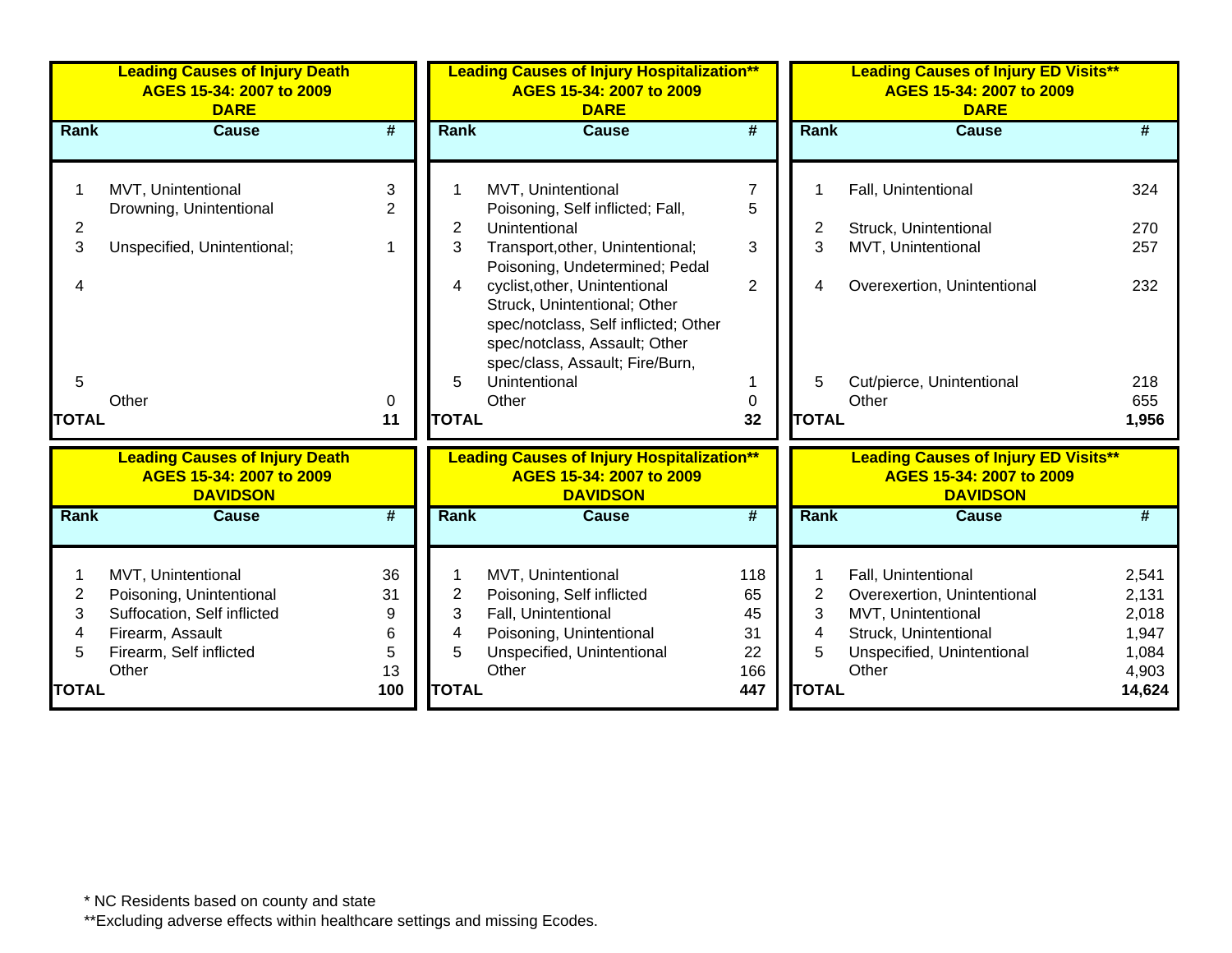|                             | <b>Leading Causes of Injury Death</b><br>AGES 15-34: 2007 to 2009<br><b>DARE</b>                                                      |                                      |                                  | <b>Leading Causes of Injury Hospitalization**</b><br>AGES 15-34: 2007 to 2009<br><b>DARE</b>                                                                              |                                           |                                               | <b>Leading Causes of Injury ED Visits**</b><br>AGES 15-34: 2007 to 2009<br><b>DARE</b>                                                   |                                                              |
|-----------------------------|---------------------------------------------------------------------------------------------------------------------------------------|--------------------------------------|----------------------------------|---------------------------------------------------------------------------------------------------------------------------------------------------------------------------|-------------------------------------------|-----------------------------------------------|------------------------------------------------------------------------------------------------------------------------------------------|--------------------------------------------------------------|
| Rank                        | <b>Cause</b>                                                                                                                          | $\overline{\boldsymbol{t}}$          | Rank                             | <b>Cause</b>                                                                                                                                                              | $\overline{\boldsymbol{t}}$               | Rank                                          | <b>Cause</b>                                                                                                                             | #                                                            |
|                             | MVT, Unintentional<br>Drowning, Unintentional                                                                                         | 3<br>2                               |                                  | MVT, Unintentional<br>Poisoning, Self inflicted; Fall,                                                                                                                    | 7<br>5                                    |                                               | Fall, Unintentional                                                                                                                      | 324                                                          |
| 2<br>3                      | Unspecified, Unintentional;                                                                                                           |                                      | 2<br>3                           | Unintentional<br>Transport, other, Unintentional;<br>Poisoning, Undetermined; Pedal                                                                                       | 3                                         | 2<br>3                                        | Struck, Unintentional<br>MVT, Unintentional                                                                                              | 270<br>257                                                   |
|                             |                                                                                                                                       |                                      | 4                                | cyclist, other, Unintentional<br>Struck, Unintentional; Other<br>spec/notclass, Self inflicted; Other<br>spec/notclass, Assault; Other<br>spec/class, Assault; Fire/Burn, | $\overline{2}$                            | 4                                             | Overexertion, Unintentional                                                                                                              | 232                                                          |
| 5                           |                                                                                                                                       |                                      | 5                                | Unintentional                                                                                                                                                             |                                           | 5                                             | Cut/pierce, Unintentional                                                                                                                | 218                                                          |
| <b>TOTAL</b>                | Other                                                                                                                                 | 0<br>11                              | <b>TOTAL</b>                     | Other                                                                                                                                                                     | 0<br>32                                   | <b>TOTAL</b>                                  | Other                                                                                                                                    | 655<br>1,956                                                 |
|                             | <b>Leading Causes of Injury Death</b><br>AGES 15-34: 2007 to 2009<br><b>DAVIDSON</b>                                                  |                                      |                                  | <b>Leading Causes of Injury Hospitalization**</b><br>AGES 15-34: 2007 to 2009<br><b>DAVIDSON</b>                                                                          |                                           |                                               | <b>Leading Causes of Injury ED Visits**</b><br>AGES 15-34: 2007 to 2009<br><b>DAVIDSON</b>                                               |                                                              |
| Rank                        | <b>Cause</b>                                                                                                                          | $\overline{\#}$                      | Rank                             | <b>Cause</b>                                                                                                                                                              | $\overline{\#}$                           | Rank                                          | <b>Cause</b>                                                                                                                             | #                                                            |
| 2<br>3<br>4<br><b>TOTAL</b> | MVT, Unintentional<br>Poisoning, Unintentional<br>Suffocation, Self inflicted<br>Firearm, Assault<br>Firearm, Self inflicted<br>Other | 36<br>31<br>9<br>6<br>5<br>13<br>100 | 2<br>3<br>4<br>5<br><b>TOTAL</b> | MVT, Unintentional<br>Poisoning, Self inflicted<br>Fall, Unintentional<br>Poisoning, Unintentional<br>Unspecified, Unintentional<br>Other                                 | 118<br>65<br>45<br>31<br>22<br>166<br>447 | $\overline{c}$<br>3<br>4<br>5<br><b>TOTAL</b> | Fall, Unintentional<br>Overexertion, Unintentional<br>MVT, Unintentional<br>Struck, Unintentional<br>Unspecified, Unintentional<br>Other | 2,541<br>2,131<br>2,018<br>1,947<br>1,084<br>4,903<br>14,624 |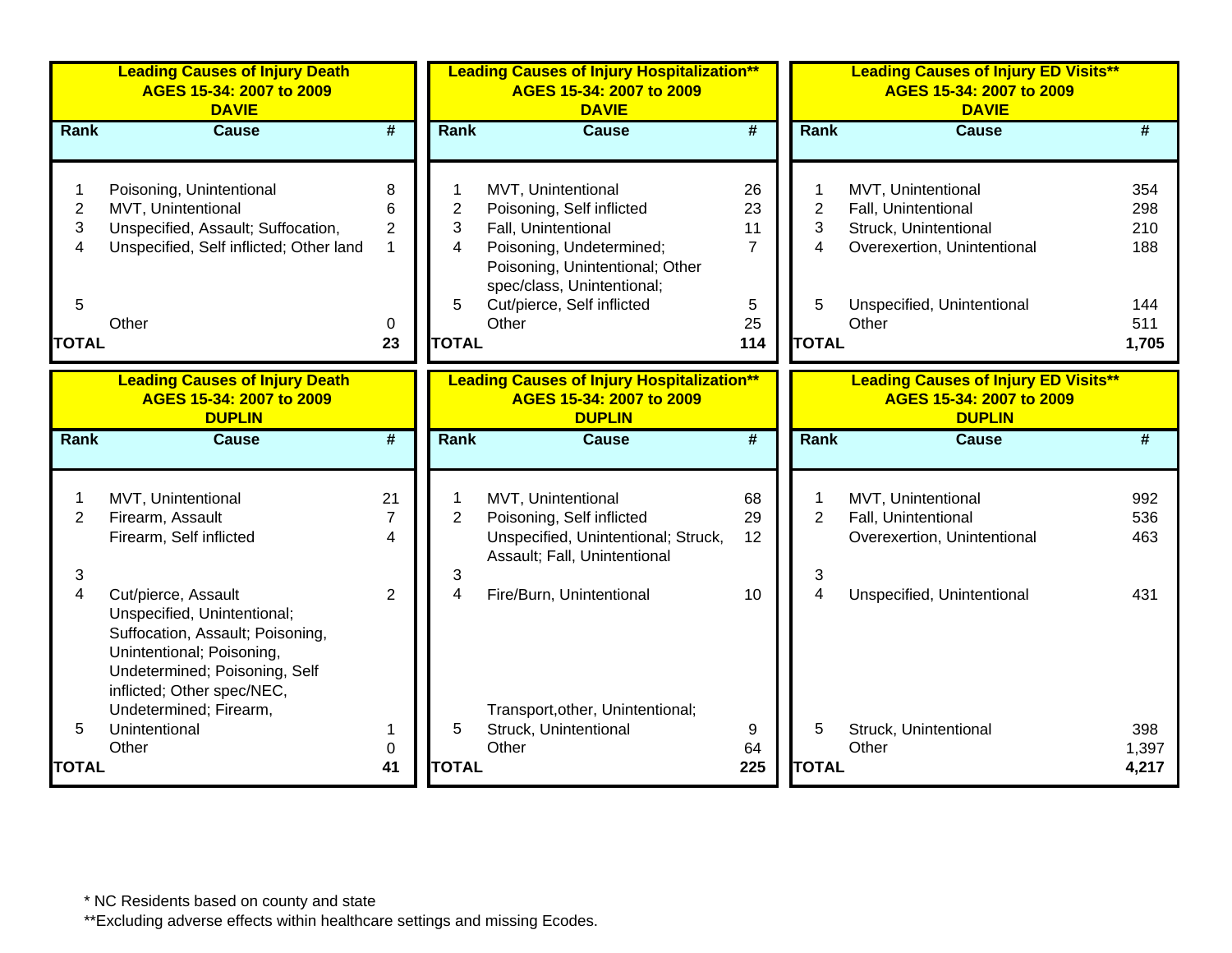|                          | <b>Leading Causes of Injury Death</b><br>AGES 15-34: 2007 to 2009<br><b>DAVIE</b>                                                                                                  |                                                 |                          | <b>Leading Causes of Injury Hospitalization**</b><br>AGES 15-34: 2007 to 2009<br><b>DAVIE</b>                                         |                                  |                          | <b>Leading Causes of Injury ED Visits**</b><br>AGES 15-34: 2007 to 2009<br><b>DAVIE</b>           |                          |
|--------------------------|------------------------------------------------------------------------------------------------------------------------------------------------------------------------------------|-------------------------------------------------|--------------------------|---------------------------------------------------------------------------------------------------------------------------------------|----------------------------------|--------------------------|---------------------------------------------------------------------------------------------------|--------------------------|
| Rank                     | <b>Cause</b>                                                                                                                                                                       | $\overline{\#}$                                 | Rank                     | <b>Cause</b>                                                                                                                          | $\overline{\boldsymbol{t}}$      | Rank                     | <b>Cause</b>                                                                                      | #                        |
| $\overline{2}$<br>3<br>4 | Poisoning, Unintentional<br>MVT, Unintentional<br>Unspecified, Assault; Suffocation,<br>Unspecified, Self inflicted; Other land                                                    | 8<br>6<br>$\overline{2}$<br>$\mathbf{1}$        | $\overline{2}$<br>3<br>4 | MVT, Unintentional<br>Poisoning, Self inflicted<br>Fall, Unintentional<br>Poisoning, Undetermined;<br>Poisoning, Unintentional; Other | 26<br>23<br>11<br>$\overline{7}$ | $\overline{2}$<br>3<br>4 | MVT, Unintentional<br>Fall, Unintentional<br>Struck, Unintentional<br>Overexertion, Unintentional | 354<br>298<br>210<br>188 |
| 5<br><b>TOTAL</b>        | Other                                                                                                                                                                              | 0<br>23                                         | 5<br><b>TOTAL</b>        | spec/class, Unintentional;<br>Cut/pierce, Self inflicted<br>Other                                                                     | 5<br>25<br>114                   | 5<br><b>TOTAL</b>        | Unspecified, Unintentional<br>Other                                                               | 144<br>511<br>1,705      |
|                          | <b>Leading Causes of Injury Death</b><br>AGES 15-34: 2007 to 2009<br><b>DUPLIN</b>                                                                                                 |                                                 |                          | <b>Leading Causes of Injury Hospitalization**</b><br>AGES 15-34: 2007 to 2009<br><b>DUPLIN</b>                                        |                                  |                          | <b>Leading Causes of Injury ED Visits**</b><br>AGES 15-34: 2007 to 2009<br><b>DUPLIN</b>          |                          |
| <b>Rank</b>              | <b>Cause</b>                                                                                                                                                                       | $\overline{\boldsymbol{r}}$                     | <b>Rank</b>              | <b>Cause</b>                                                                                                                          | $\overline{\boldsymbol{t}}$      | Rank                     | <b>Cause</b>                                                                                      | #                        |
| $\overline{2}$           | MVT, Unintentional<br>Firearm, Assault<br>Firearm, Self inflicted                                                                                                                  | 21<br>$\overline{7}$<br>$\overline{\mathbf{4}}$ | $\overline{2}$           | MVT, Unintentional<br>Poisoning, Self inflicted<br>Unspecified, Unintentional; Struck,<br>Assault; Fall, Unintentional                | 68<br>29<br>12                   | $\overline{2}$           | MVT, Unintentional<br>Fall, Unintentional<br>Overexertion, Unintentional                          | 992<br>536<br>463        |
| 3<br>$\overline{4}$      | Cut/pierce, Assault<br>Unspecified, Unintentional;<br>Suffocation, Assault; Poisoning,<br>Unintentional; Poisoning,<br>Undetermined; Poisoning, Self<br>inflicted; Other spec/NEC, | $\overline{2}$                                  | 3<br>4                   | Fire/Burn, Unintentional                                                                                                              | 10                               | 3<br>4                   | Unspecified, Unintentional                                                                        | 431                      |
| 5<br><b>TOTAL</b>        | Undetermined; Firearm,<br>Unintentional<br>Other                                                                                                                                   | 1<br>0<br>41                                    | 5<br><b>TOTAL</b>        | Transport, other, Unintentional;<br>Struck, Unintentional<br>Other                                                                    | 9<br>64<br>225                   | 5<br><b>TOTAL</b>        | Struck, Unintentional<br>Other                                                                    | 398<br>1,397<br>4,217    |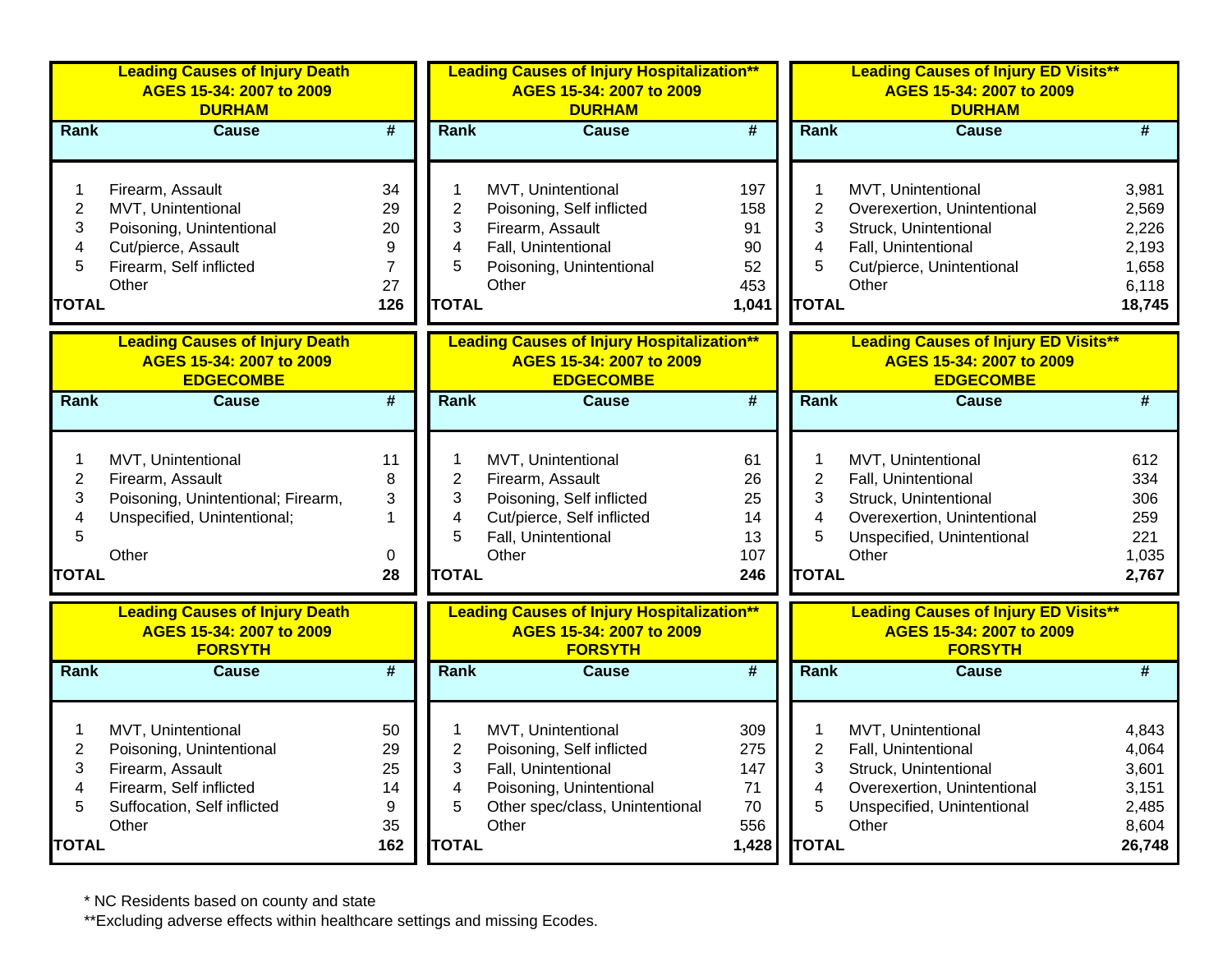|                                                    | <b>Leading Causes of Injury Death</b><br>AGES 15-34: 2007 to 2009<br><b>DURHAM</b>                                                    |                                        |                                                    | <b>Leading Causes of Injury Hospitalization**</b><br>AGES 15-34: 2007 to 2009<br><b>DURHAM</b>                                                 |                                               |                                                                          | <b>Leading Causes of Injury ED Visits**</b><br>AGES 15-34: 2007 to 2009<br><b>DURHAM</b>                                                 |                                                              |
|----------------------------------------------------|---------------------------------------------------------------------------------------------------------------------------------------|----------------------------------------|----------------------------------------------------|------------------------------------------------------------------------------------------------------------------------------------------------|-----------------------------------------------|--------------------------------------------------------------------------|------------------------------------------------------------------------------------------------------------------------------------------|--------------------------------------------------------------|
| Rank                                               | <b>Cause</b>                                                                                                                          | $\overline{\#}$                        | <b>Rank</b>                                        | <b>Cause</b>                                                                                                                                   | $\overline{\#}$                               | Rank                                                                     | <b>Cause</b>                                                                                                                             | #                                                            |
| 1<br>$\overline{2}$<br>3<br>4<br>5<br><b>TOTAL</b> | Firearm, Assault<br>MVT, Unintentional<br>Poisoning, Unintentional<br>Cut/pierce, Assault<br>Firearm, Self inflicted<br>Other         | 34<br>29<br>20<br>9<br>7<br>27<br>126  | 1<br>$\overline{2}$<br>3<br>4<br>5<br><b>TOTAL</b> | MVT, Unintentional<br>Poisoning, Self inflicted<br>Firearm, Assault<br>Fall, Unintentional<br>Poisoning, Unintentional<br>Other                | 197<br>158<br>91<br>90<br>52<br>453<br>1,041  | 1<br>$\overline{2}$<br>3<br>$\overline{\mathbf{4}}$<br>5<br><b>TOTAL</b> | MVT, Unintentional<br>Overexertion, Unintentional<br>Struck, Unintentional<br>Fall, Unintentional<br>Cut/pierce, Unintentional<br>Other  | 3,981<br>2,569<br>2,226<br>2,193<br>1,658<br>6,118<br>18,745 |
|                                                    | <b>Leading Causes of Injury Death</b><br>AGES 15-34: 2007 to 2009<br><b>EDGECOMBE</b>                                                 |                                        |                                                    | <b>Leading Causes of Injury Hospitalization**</b><br>AGES 15-34: 2007 to 2009<br><b>EDGECOMBE</b>                                              |                                               |                                                                          | <b>Leading Causes of Injury ED Visits**</b><br>AGES 15-34: 2007 to 2009<br><b>EDGECOMBE</b>                                              |                                                              |
| <b>Rank</b>                                        | <b>Cause</b>                                                                                                                          | $\overline{\boldsymbol{t}}$            | Rank                                               | <b>Cause</b>                                                                                                                                   | $\overline{\boldsymbol{t}}$                   | Rank                                                                     | <b>Cause</b>                                                                                                                             | #                                                            |
| 1<br>$\sqrt{2}$<br>3<br>4<br>5<br><b>TOTAL</b>     | MVT, Unintentional<br>Firearm, Assault<br>Poisoning, Unintentional; Firearm,<br>Unspecified, Unintentional;<br>Other                  | 11<br>8<br>3<br>1<br>$\pmb{0}$<br>28   | 1<br>$\overline{2}$<br>3<br>4<br>5<br><b>TOTAL</b> | MVT, Unintentional<br>Firearm, Assault<br>Poisoning, Self inflicted<br>Cut/pierce, Self inflicted<br>Fall, Unintentional<br>Other              | 61<br>26<br>25<br>14<br>13<br>107<br>246      | 1<br>$\mathbf 2$<br>3<br>4<br>5<br><b>TOTAL</b>                          | MVT, Unintentional<br>Fall, Unintentional<br>Struck, Unintentional<br>Overexertion, Unintentional<br>Unspecified, Unintentional<br>Other | 612<br>334<br>306<br>259<br>221<br>1,035<br>2,767            |
|                                                    | <b>Leading Causes of Injury Death</b><br>AGES 15-34: 2007 to 2009<br><b>FORSYTH</b>                                                   |                                        |                                                    | <b>Leading Causes of Injury Hospitalization**</b><br>AGES 15-34: 2007 to 2009<br><b>FORSYTH</b>                                                |                                               |                                                                          | <b>Leading Causes of Injury ED Visits**</b><br>AGES 15-34: 2007 to 2009<br><b>FORSYTH</b>                                                |                                                              |
| Rank                                               | Cause                                                                                                                                 | #                                      | Rank                                               | <b>Cause</b>                                                                                                                                   | $\overline{\boldsymbol{t}}$                   | Rank                                                                     | <b>Cause</b>                                                                                                                             | #                                                            |
| 1<br>$\overline{2}$<br>3<br>4<br>5<br><b>TOTAL</b> | MVT, Unintentional<br>Poisoning, Unintentional<br>Firearm, Assault<br>Firearm, Self inflicted<br>Suffocation, Self inflicted<br>Other | 50<br>29<br>25<br>14<br>9<br>35<br>162 | 1<br>$\overline{2}$<br>3<br>4<br>5<br><b>TOTAL</b> | MVT, Unintentional<br>Poisoning, Self inflicted<br>Fall, Unintentional<br>Poisoning, Unintentional<br>Other spec/class, Unintentional<br>Other | 309<br>275<br>147<br>71<br>70<br>556<br>1,428 | 1<br>$\overline{2}$<br>3<br>4<br>5<br><b>TOTAL</b>                       | MVT, Unintentional<br>Fall, Unintentional<br>Struck, Unintentional<br>Overexertion, Unintentional<br>Unspecified, Unintentional<br>Other | 4,843<br>4,064<br>3,601<br>3,151<br>2,485<br>8,604<br>26,748 |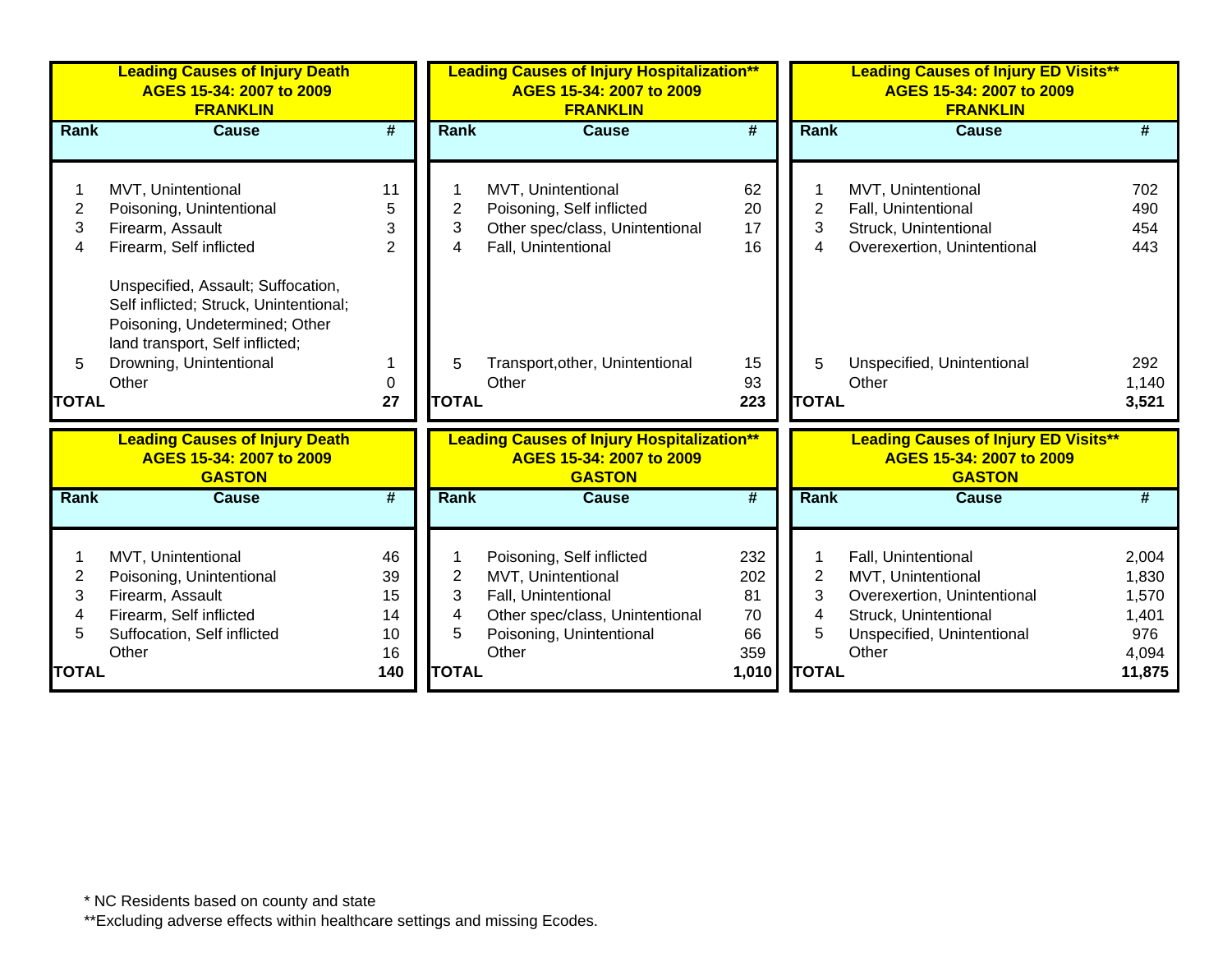|                   | <b>Leading Causes of Injury Death</b><br>AGES 15-34: 2007 to 2009<br><b>FRANKLIN</b>                                                                                                  |                |                         | <b>Leading Causes of Injury Hospitalization**</b><br>AGES 15-34: 2007 to 2009<br><b>FRANKLIN</b> |                 |                   | <b>Leading Causes of Injury ED Visits**</b><br>AGES 15-34: 2007 to 2009<br><b>FRANKLIN</b> |                       |
|-------------------|---------------------------------------------------------------------------------------------------------------------------------------------------------------------------------------|----------------|-------------------------|--------------------------------------------------------------------------------------------------|-----------------|-------------------|--------------------------------------------------------------------------------------------|-----------------------|
| <b>Rank</b>       | <b>Cause</b>                                                                                                                                                                          | #              | <b>Rank</b>             | <b>Cause</b>                                                                                     | #               | <b>Rank</b>       | <b>Cause</b>                                                                               | #                     |
|                   |                                                                                                                                                                                       |                |                         |                                                                                                  |                 |                   |                                                                                            |                       |
|                   | MVT, Unintentional                                                                                                                                                                    | 11             | 1                       | MVT, Unintentional                                                                               | 62              |                   | MVT, Unintentional                                                                         | 702                   |
| $\overline{c}$    | Poisoning, Unintentional                                                                                                                                                              | 5              | $\overline{c}$          | Poisoning, Self inflicted                                                                        | 20              | $\overline{c}$    | Fall, Unintentional                                                                        | 490                   |
| 3                 | Firearm, Assault                                                                                                                                                                      | 3              | 3                       | Other spec/class, Unintentional                                                                  | 17              | 3                 | Struck, Unintentional                                                                      | 454                   |
| 4                 | Firearm, Self inflicted                                                                                                                                                               | $\overline{2}$ | 4                       | Fall, Unintentional                                                                              | 16              | 4                 | Overexertion, Unintentional                                                                | 443                   |
| 5<br><b>TOTAL</b> | Unspecified, Assault; Suffocation,<br>Self inflicted; Struck, Unintentional;<br>Poisoning, Undetermined; Other<br>land transport, Self inflicted;<br>Drowning, Unintentional<br>Other | $\Omega$<br>27 | 5<br><b>TOTAL</b>       | Transport, other, Unintentional<br>Other                                                         | 15<br>93<br>223 | 5<br><b>TOTAL</b> | Unspecified, Unintentional<br>Other                                                        | 292<br>1,140<br>3,521 |
|                   | <b>Leading Causes of Injury Death</b><br>AGES 15-34: 2007 to 2009<br><b>GASTON</b>                                                                                                    |                |                         | <b>Leading Causes of Injury Hospitalization**</b><br>AGES 15-34: 2007 to 2009<br><b>GASTON</b>   |                 |                   | <b>Leading Causes of Injury ED Visits**</b><br>AGES 15-34: 2007 to 2009<br><b>GASTON</b>   |                       |
| <b>Rank</b>       | <b>Cause</b>                                                                                                                                                                          | #              | Rank                    | <b>Cause</b>                                                                                     | #               | Rank              | <b>Cause</b>                                                                               | #                     |
|                   |                                                                                                                                                                                       | 46             | 1                       |                                                                                                  | 232             |                   |                                                                                            | 2,004                 |
| $\overline{2}$    | MVT, Unintentional<br>Poisoning, Unintentional                                                                                                                                        | 39             | $\overline{\mathbf{c}}$ | Poisoning, Self inflicted<br>MVT, Unintentional                                                  | 202             | $\overline{2}$    | Fall, Unintentional<br>MVT, Unintentional                                                  | 1,830                 |
| 3                 | Firearm, Assault                                                                                                                                                                      | 15             | 3                       | Fall, Unintentional                                                                              | 81              | 3                 | Overexertion, Unintentional                                                                | 1,570                 |
| 4                 | Firearm, Self inflicted                                                                                                                                                               | 14             | 4                       | Other spec/class, Unintentional                                                                  | 70              | 4                 | Struck, Unintentional                                                                      | 1,401                 |
| 5                 | Suffocation, Self inflicted                                                                                                                                                           | 10             | 5                       | Poisoning, Unintentional                                                                         | 66              | 5                 | Unspecified, Unintentional                                                                 | 976                   |
|                   | Other                                                                                                                                                                                 | 16             |                         | Other                                                                                            | 359             |                   | Other                                                                                      | 4,094                 |
| <b>TOTAL</b>      |                                                                                                                                                                                       | 140            | <b>TOTAL</b>            |                                                                                                  | 1,010           | <b>TOTAL</b>      |                                                                                            | 11,875                |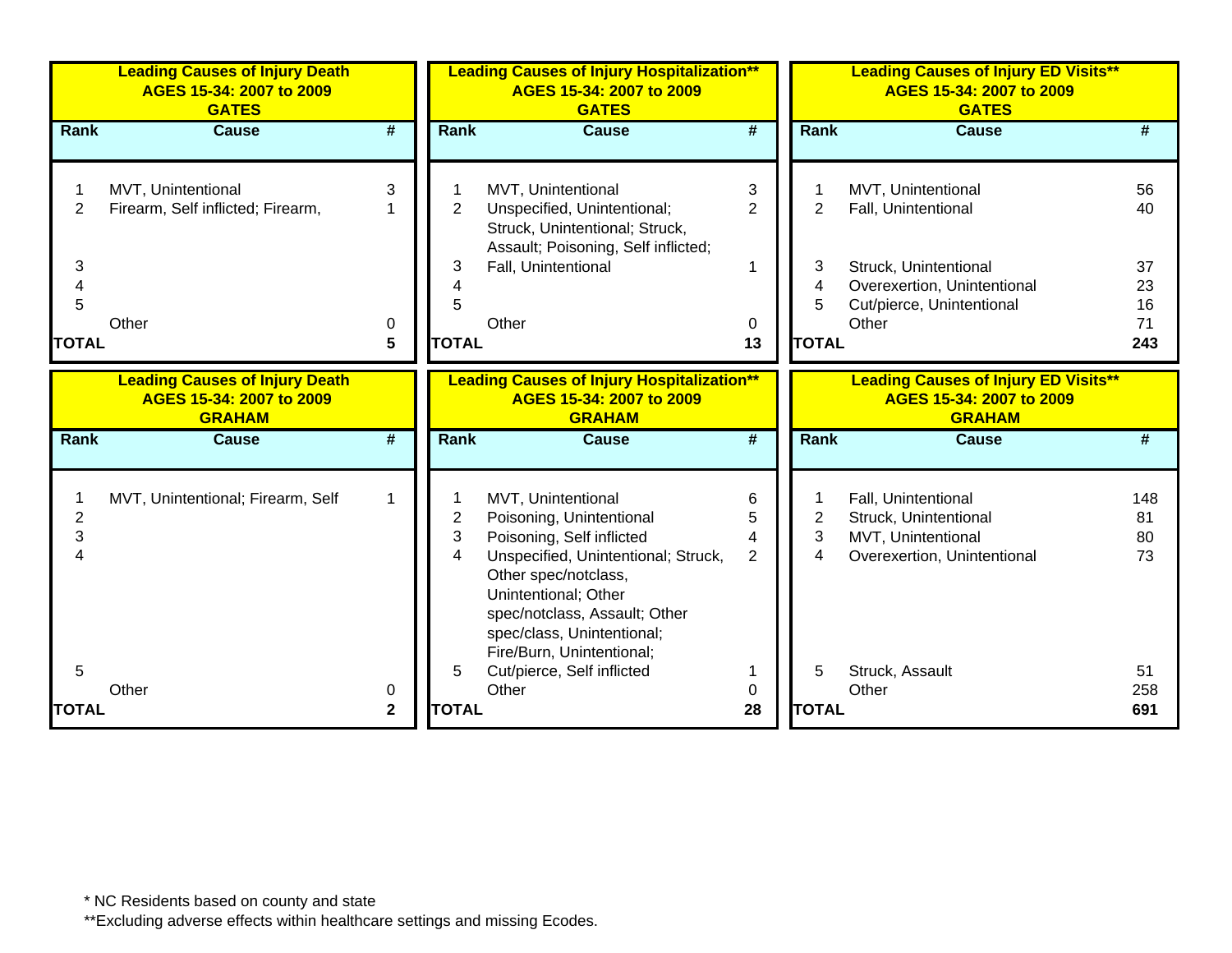|                             | <b>Leading Causes of Injury Death</b><br>AGES 15-34: 2007 to 2009<br><b>GATES</b>  |                   |                          | <b>Leading Causes of Injury Hospitalization**</b><br>AGES 15-34: 2007 to 2009<br><b>GATES</b>                                                                                                                                                                  |                     |                             | <b>Leading Causes of Injury ED Visits**</b><br>AGES 15-34: 2007 to 2009<br><b>GATES</b>           |                             |
|-----------------------------|------------------------------------------------------------------------------------|-------------------|--------------------------|----------------------------------------------------------------------------------------------------------------------------------------------------------------------------------------------------------------------------------------------------------------|---------------------|-----------------------------|---------------------------------------------------------------------------------------------------|-----------------------------|
| Rank                        | <b>Cause</b>                                                                       | #                 | Rank                     | <b>Cause</b>                                                                                                                                                                                                                                                   | #                   | <b>Rank</b>                 | <b>Cause</b>                                                                                      | #                           |
| 2                           | MVT, Unintentional<br>Firearm, Self inflicted; Firearm,                            | 3                 | $\mathbf{2}$             | MVT, Unintentional<br>Unspecified, Unintentional;<br>Struck, Unintentional; Struck,<br>Assault; Poisoning, Self inflicted;                                                                                                                                     | 3<br>$\overline{2}$ | $\overline{2}$              | MVT, Unintentional<br>Fall, Unintentional                                                         | 56<br>40                    |
| 3<br>4<br>5<br><b>TOTAL</b> | Other                                                                              | 0<br>5            | 3<br><b>TOTAL</b>        | Fall, Unintentional<br>Other                                                                                                                                                                                                                                   | 0<br>13             | 3<br>4<br>5<br><b>TOTAL</b> | Struck, Unintentional<br>Overexertion, Unintentional<br>Cut/pierce, Unintentional<br>Other        | 37<br>23<br>16<br>71<br>243 |
|                             | <b>Leading Causes of Injury Death</b><br>AGES 15-34: 2007 to 2009<br><b>GRAHAM</b> |                   |                          | <b>Leading Causes of Injury Hospitalization**</b><br>AGES 15-34: 2007 to 2009<br><b>GRAHAM</b>                                                                                                                                                                 |                     |                             | <b>Leading Causes of Injury ED Visits**</b><br>AGES 15-34: 2007 to 2009<br><b>GRAHAM</b>          |                             |
| Rank                        | <b>Cause</b>                                                                       | #                 | Rank                     | <b>Cause</b>                                                                                                                                                                                                                                                   | #                   | Rank                        | <b>Cause</b>                                                                                      | #                           |
| $\overline{2}$<br>3<br>4    | MVT, Unintentional; Firearm, Self                                                  | $\mathbf{1}$      | $\overline{2}$<br>3<br>4 | MVT, Unintentional<br>Poisoning, Unintentional<br>Poisoning, Self inflicted<br>Unspecified, Unintentional; Struck,<br>Other spec/notclass,<br>Unintentional; Other<br>spec/notclass, Assault; Other<br>spec/class, Unintentional;<br>Fire/Burn, Unintentional; | 6<br>5<br>4<br>2    | 2<br>3<br>4                 | Fall, Unintentional<br>Struck, Unintentional<br>MVT, Unintentional<br>Overexertion, Unintentional | 148<br>81<br>80<br>73       |
| 5<br><b>TOTAL</b>           | Other                                                                              | 0<br>$\mathbf{2}$ | 5<br><b>TOTAL</b>        | Cut/pierce, Self inflicted<br>Other                                                                                                                                                                                                                            | 0<br>28             | 5<br><b>TOTAL</b>           | Struck, Assault<br>Other                                                                          | 51<br>258<br>691            |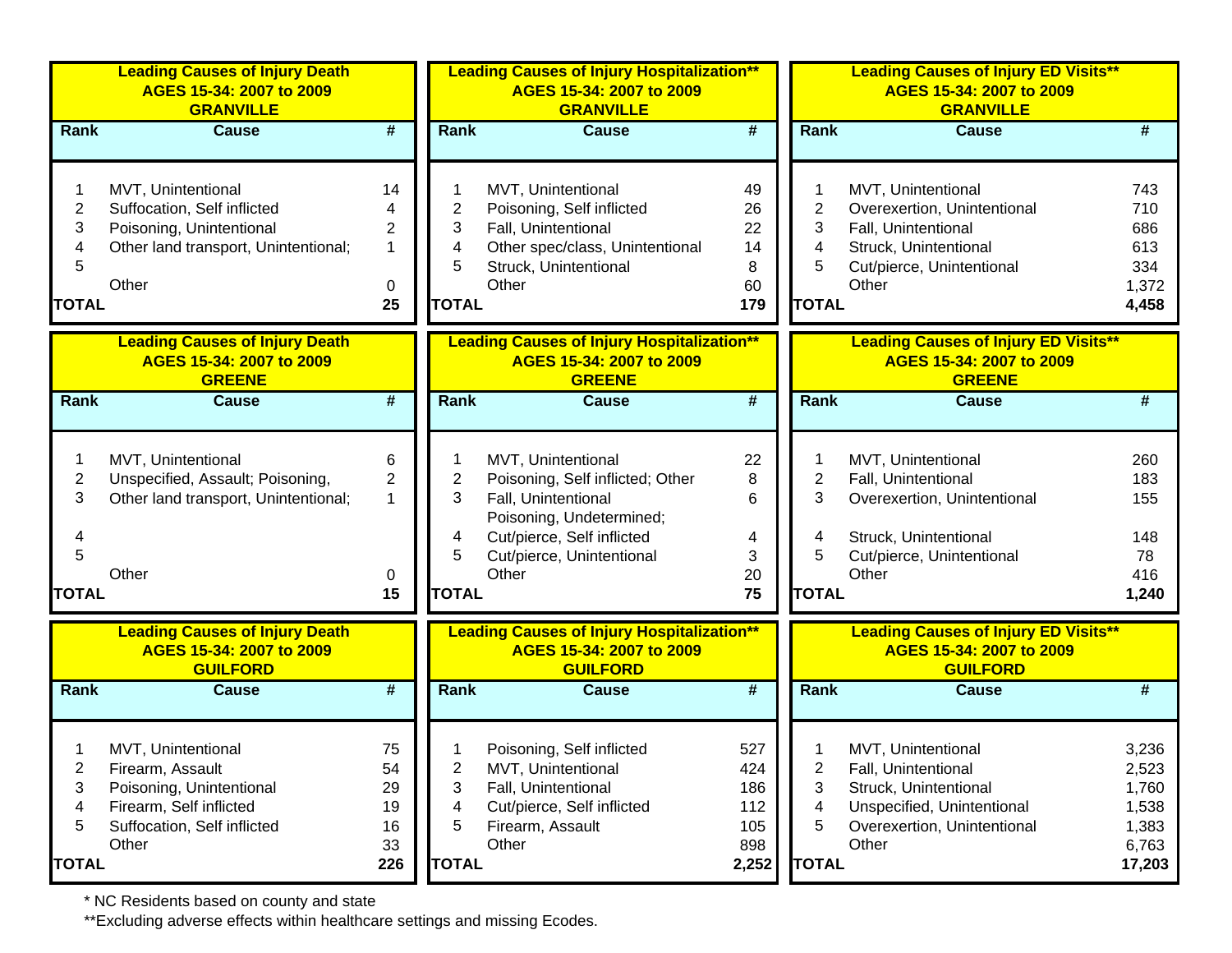|              | <b>Leading Causes of Injury Death</b><br>AGES 15-34: 2007 to 2009<br><b>GRANVILLE</b> |                             |                | <b>Leading Causes of Injury Hospitalization**</b><br>AGES 15-34: 2007 to 2009<br><b>GRANVILLE</b> |                             |              | <b>Leading Causes of Injury ED Visits**</b><br>AGES 15-34: 2007 to 2009<br><b>GRANVILLE</b> |                |
|--------------|---------------------------------------------------------------------------------------|-----------------------------|----------------|---------------------------------------------------------------------------------------------------|-----------------------------|--------------|---------------------------------------------------------------------------------------------|----------------|
| Rank         | <b>Cause</b>                                                                          | $\overline{\boldsymbol{H}}$ | Rank           | <b>Cause</b>                                                                                      | #                           |              | <b>Rank</b><br><b>Cause</b>                                                                 | #              |
|              | MVT, Unintentional                                                                    | 14                          |                | MVT, Unintentional                                                                                | 49                          |              | MVT, Unintentional                                                                          | 743            |
| 2            | Suffocation, Self inflicted                                                           |                             | $\overline{2}$ | Poisoning, Self inflicted                                                                         | 26                          |              | $\overline{2}$<br>Overexertion, Unintentional                                               | 710            |
| 3            | Poisoning, Unintentional                                                              | $\overline{2}$              | 3              | Fall, Unintentional                                                                               | 22                          |              | 3<br>Fall, Unintentional                                                                    | 686            |
|              | Other land transport, Unintentional;                                                  | $\mathbf{1}$                | 4              | Other spec/class, Unintentional                                                                   | 14                          |              | Struck, Unintentional<br>4                                                                  | 613            |
| 5            | Other                                                                                 |                             | 5              | Struck, Unintentional<br>Other                                                                    | 8<br>60                     |              | 5<br>Cut/pierce, Unintentional<br>Other                                                     | 334            |
| <b>TOTAL</b> |                                                                                       | 0<br>25                     | <b>TOTAL</b>   |                                                                                                   | 179                         |              | <b>TOTAL</b>                                                                                | 1,372<br>4,458 |
|              |                                                                                       |                             |                |                                                                                                   |                             |              |                                                                                             |                |
|              | <b>Leading Causes of Injury Death</b><br>AGES 15-34: 2007 to 2009<br><b>GREENE</b>    |                             |                | <b>Leading Causes of Injury Hospitalization**</b><br>AGES 15-34: 2007 to 2009<br><b>GREENE</b>    |                             |              | <b>Leading Causes of Injury ED Visits**</b><br>AGES 15-34: 2007 to 2009<br><b>GREENE</b>    |                |
| <b>Rank</b>  | <b>Cause</b>                                                                          | $\overline{\boldsymbol{t}}$ | <b>Rank</b>    | <b>Cause</b>                                                                                      | $\overline{\boldsymbol{t}}$ |              | <b>Rank</b><br><b>Cause</b>                                                                 | #              |
|              |                                                                                       |                             |                |                                                                                                   |                             |              |                                                                                             |                |
|              | MVT, Unintentional                                                                    | 6                           |                | MVT, Unintentional                                                                                | 22                          |              | MVT, Unintentional                                                                          | 260            |
| 2            | Unspecified, Assault; Poisoning,                                                      | $\overline{c}$              | 2              | Poisoning, Self inflicted; Other                                                                  | 8                           |              | $\overline{c}$<br>Fall, Unintentional                                                       | 183            |
| 3            | Other land transport, Unintentional;                                                  | 1                           | 3              | Fall, Unintentional                                                                               | 6                           |              | 3<br>Overexertion, Unintentional                                                            | 155            |
|              |                                                                                       |                             |                | Poisoning, Undetermined;                                                                          |                             |              |                                                                                             |                |
|              |                                                                                       |                             | 4              | Cut/pierce, Self inflicted                                                                        | 4                           |              | Struck, Unintentional<br>4                                                                  | 148            |
| 5            |                                                                                       |                             | 5              | Cut/pierce, Unintentional                                                                         | 3                           |              | Cut/pierce, Unintentional<br>5                                                              | 78             |
|              | Other                                                                                 | 0                           |                | Other                                                                                             | 20                          |              | Other                                                                                       | 416            |
| <b>TOTAL</b> |                                                                                       | 15                          | <b>TOTAL</b>   |                                                                                                   | 75                          |              | <b>TOTAL</b>                                                                                | 1,240          |
|              |                                                                                       |                             |                |                                                                                                   |                             |              |                                                                                             |                |
|              | <b>Leading Causes of Injury Death</b><br>AGES 15-34: 2007 to 2009                     |                             |                | <b>Leading Causes of Injury Hospitalization**</b><br>AGES 15-34: 2007 to 2009                     |                             |              | <b>Leading Causes of Injury ED Visits**</b><br>AGES 15-34: 2007 to 2009                     |                |
|              | <b>GUILFORD</b>                                                                       |                             |                | <b>GUILFORD</b>                                                                                   |                             |              | <b>GUILFORD</b>                                                                             |                |
| Rank         | <b>Cause</b>                                                                          | $\overline{\boldsymbol{H}}$ | <b>Rank</b>    | <b>Cause</b>                                                                                      | $\overline{\boldsymbol{t}}$ |              | Rank<br><b>Cause</b>                                                                        | #              |
|              |                                                                                       |                             |                |                                                                                                   |                             |              |                                                                                             |                |
|              |                                                                                       |                             |                |                                                                                                   |                             |              |                                                                                             |                |
|              | MVT, Unintentional                                                                    | 75                          |                | Poisoning, Self inflicted                                                                         | 527                         |              | MVT, Unintentional                                                                          | 3,236          |
| 2            | Firearm, Assault                                                                      | 54                          | 2              | MVT, Unintentional                                                                                | 424                         |              | 2<br>Fall, Unintentional                                                                    | 2,523          |
| 3            | Poisoning, Unintentional                                                              | 29                          | 3              | Fall, Unintentional                                                                               | 186                         |              | Struck, Unintentional<br>3                                                                  | 1,760          |
| 4            | Firearm, Self inflicted                                                               | 19                          | 4              | Cut/pierce, Self inflicted                                                                        | 112                         |              | Unspecified, Unintentional<br>4                                                             | 1,538          |
| 5            | Suffocation, Self inflicted                                                           | 16                          | 5              | Firearm, Assault                                                                                  | 105                         |              | Overexertion, Unintentional<br>5                                                            | 1,383          |
|              | Other                                                                                 | 33                          |                | Other                                                                                             | 898                         |              | Other                                                                                       | 6,763          |
| <b>TOTAL</b> |                                                                                       | 226                         | <b>TOTAL</b>   |                                                                                                   | 2,252                       | <b>TOTAL</b> |                                                                                             | 17,203         |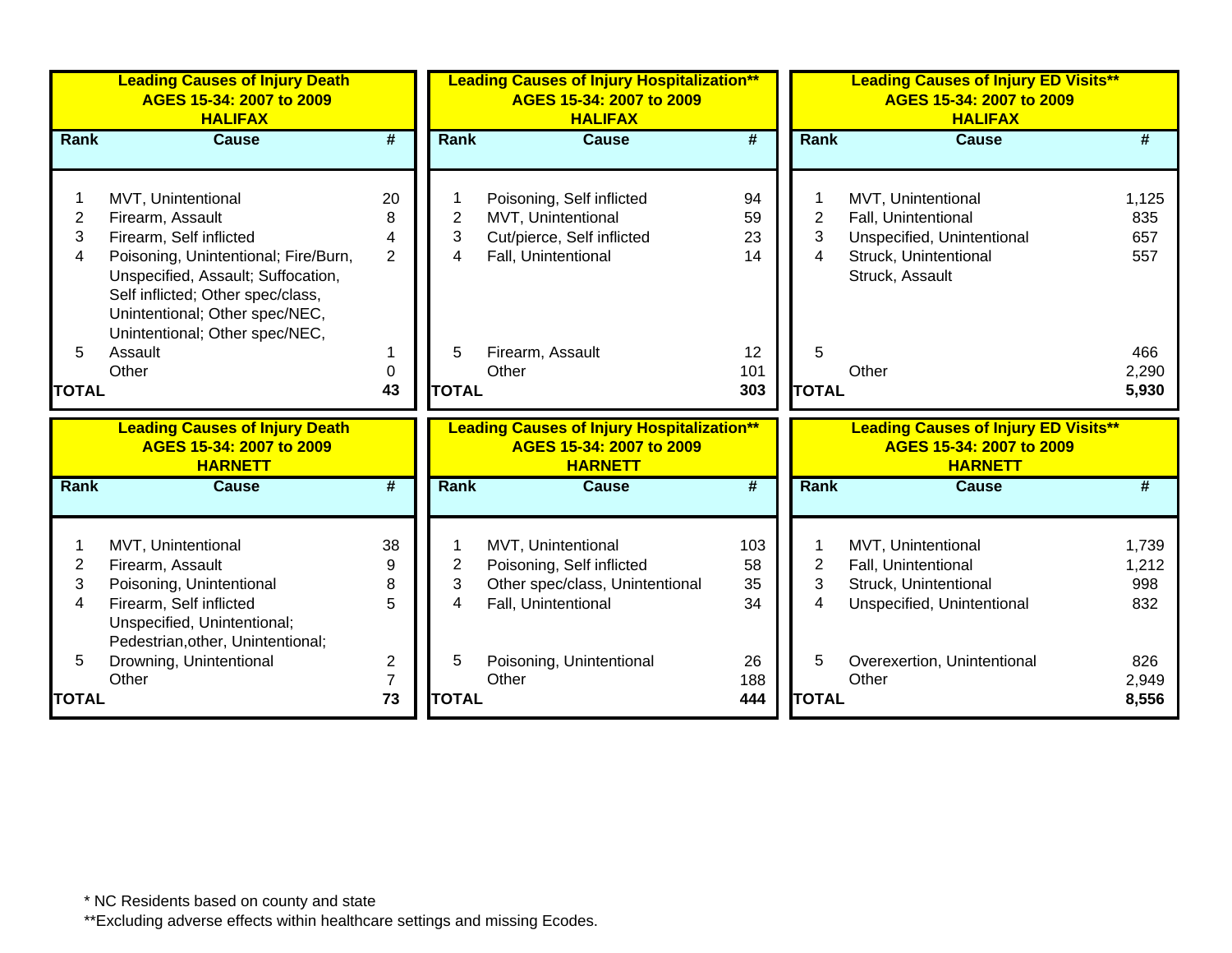|                | <b>Leading Causes of Injury Death</b><br>AGES 15-34: 2007 to 2009<br><b>HALIFAX</b>                                                                                                 |                             |                | <b>Leading Causes of Injury Hospitalization**</b><br>AGES 15-34: 2007 to 2009<br><b>HALIFAX</b> |                             | <b>Leading Causes of Injury ED Visits**</b><br>AGES 15-34: 2007 to 2009<br><b>HALIFAX</b> |       |
|----------------|-------------------------------------------------------------------------------------------------------------------------------------------------------------------------------------|-----------------------------|----------------|-------------------------------------------------------------------------------------------------|-----------------------------|-------------------------------------------------------------------------------------------|-------|
| Rank           | <b>Cause</b>                                                                                                                                                                        | $\overline{\boldsymbol{t}}$ | <b>Rank</b>    | Cause                                                                                           | $\overline{\boldsymbol{t}}$ | Rank<br><b>Cause</b>                                                                      | #     |
|                |                                                                                                                                                                                     |                             |                |                                                                                                 |                             |                                                                                           |       |
|                | MVT, Unintentional                                                                                                                                                                  | 20                          |                | Poisoning, Self inflicted                                                                       | 94                          | MVT, Unintentional                                                                        | 1,125 |
| $\overline{2}$ | Firearm, Assault                                                                                                                                                                    | 8                           | $\overline{2}$ | MVT, Unintentional                                                                              | 59                          | $\overline{2}$<br>Fall, Unintentional                                                     | 835   |
| 3              | Firearm, Self inflicted                                                                                                                                                             | 4                           | 3              | Cut/pierce, Self inflicted                                                                      | 23                          | 3<br>Unspecified, Unintentional                                                           | 657   |
| 4              | Poisoning, Unintentional; Fire/Burn,<br>Unspecified, Assault; Suffocation,<br>Self inflicted; Other spec/class,<br>Unintentional; Other spec/NEC,<br>Unintentional; Other spec/NEC, | $\overline{2}$              | 4              | Fall, Unintentional                                                                             | 14                          | 4<br>Struck, Unintentional<br>Struck, Assault                                             | 557   |
| 5              | Assault                                                                                                                                                                             |                             | 5              | Firearm, Assault                                                                                | 12                          | 5                                                                                         | 466   |
|                | Other                                                                                                                                                                               | 0                           |                | Other                                                                                           | 101                         | Other                                                                                     | 2,290 |
| <b>TOTAL</b>   |                                                                                                                                                                                     | 43                          | <b>TOTAL</b>   |                                                                                                 | 303                         | <b>TOTAL</b>                                                                              | 5,930 |
|                | <b>Leading Causes of Injury Death</b><br>AGES 15-34: 2007 to 2009<br><b>HARNETT</b>                                                                                                 |                             |                | <b>Leading Causes of Injury Hospitalization**</b><br>AGES 15-34: 2007 to 2009<br><b>HARNETT</b> |                             | <b>Leading Causes of Injury ED Visits**</b><br>AGES 15-34: 2007 to 2009<br><b>HARNETT</b> |       |
| <b>Rank</b>    | <b>Cause</b>                                                                                                                                                                        | #                           | <b>Rank</b>    | <b>Cause</b>                                                                                    | #                           | Rank<br><b>Cause</b>                                                                      | #     |
|                | MVT, Unintentional                                                                                                                                                                  | 38                          |                | MVT, Unintentional                                                                              | 103                         | MVT, Unintentional                                                                        | 1,739 |
| $\overline{c}$ | Firearm, Assault                                                                                                                                                                    | 9                           | $\overline{c}$ | Poisoning, Self inflicted                                                                       | 58                          | 2<br>Fall, Unintentional                                                                  | 1,212 |
| 3              | Poisoning, Unintentional                                                                                                                                                            | 8                           | 3              | Other spec/class, Unintentional                                                                 | 35                          | 3<br>Struck, Unintentional                                                                | 998   |
| 4              | Firearm, Self inflicted                                                                                                                                                             | 5                           | 4              | Fall, Unintentional                                                                             | 34                          | 4<br>Unspecified, Unintentional                                                           | 832   |
|                | Unspecified, Unintentional;<br>Pedestrian, other, Unintentional;                                                                                                                    |                             |                |                                                                                                 |                             |                                                                                           |       |
| 5              | Drowning, Unintentional                                                                                                                                                             | $\boldsymbol{2}$            | 5              | Poisoning, Unintentional                                                                        | 26                          | 5<br>Overexertion, Unintentional                                                          | 826   |
|                | Other                                                                                                                                                                               | $\overline{7}$              |                | Other                                                                                           | 188                         | Other                                                                                     | 2,949 |
| <b>TOTAL</b>   |                                                                                                                                                                                     | 73                          | <b>TOTAL</b>   |                                                                                                 | 444                         | <b>TOTAL</b>                                                                              | 8,556 |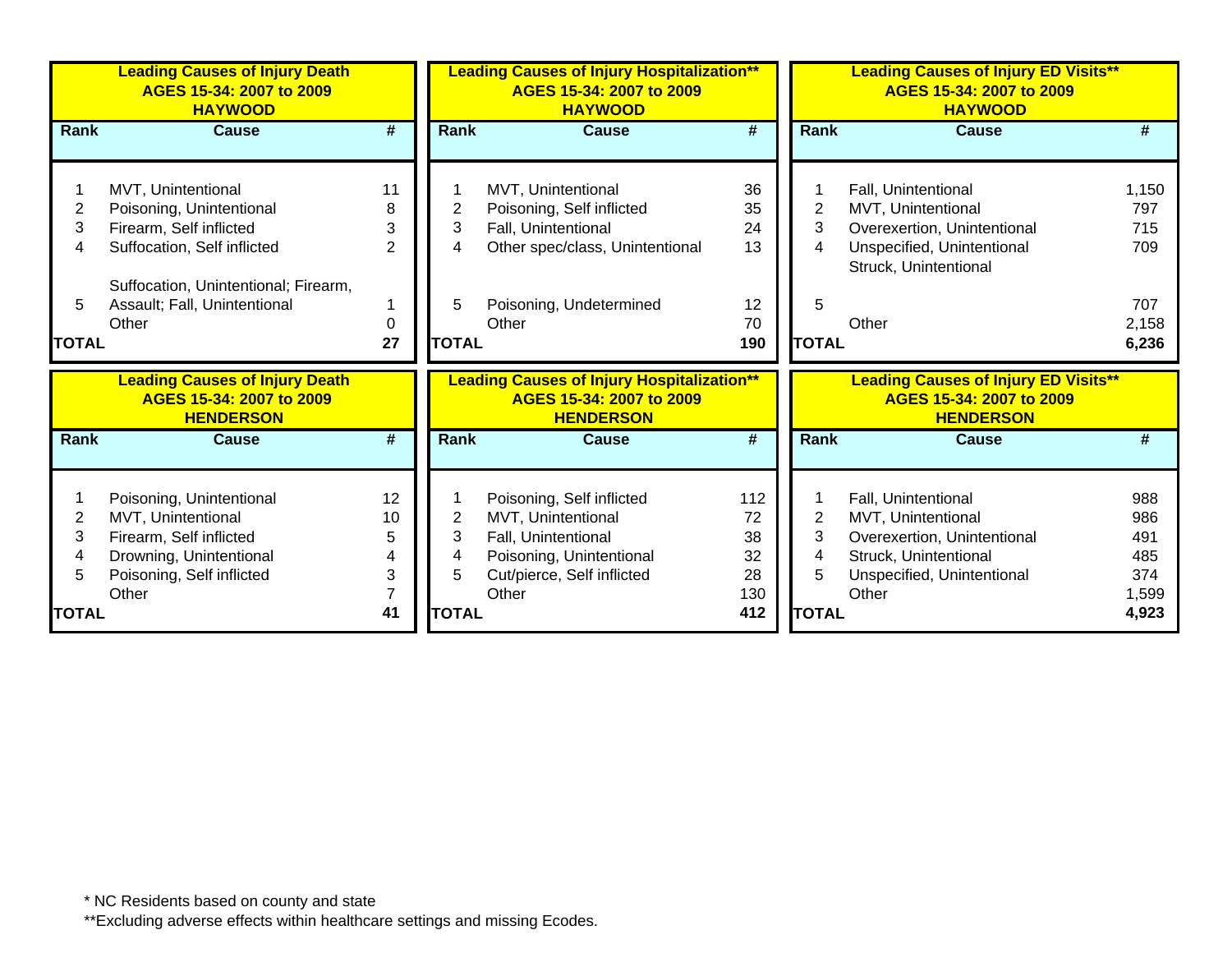|                | <b>Leading Causes of Injury Death</b><br>AGES 15-34: 2007 to 2009<br><b>HAYWOOD</b> |              |              | <b>Leading Causes of Injury Hospitalization**</b><br>AGES 15-34: 2007 to 2009<br><b>HAYWOOD</b> |     |                | <b>Leading Causes of Injury ED Visits**</b><br>AGES 15-34: 2007 to 2009<br><b>HAYWOOD</b> |       |
|----------------|-------------------------------------------------------------------------------------|--------------|--------------|-------------------------------------------------------------------------------------------------|-----|----------------|-------------------------------------------------------------------------------------------|-------|
| Rank           | <b>Cause</b>                                                                        | #            | Rank         | <b>Cause</b>                                                                                    | #   | <b>Rank</b>    | <b>Cause</b>                                                                              |       |
|                |                                                                                     |              |              |                                                                                                 |     |                |                                                                                           |       |
|                | MVT, Unintentional                                                                  | 11           |              | MVT, Unintentional                                                                              | 36  |                | Fall, Unintentional                                                                       | 1,150 |
| $\overline{2}$ | Poisoning, Unintentional                                                            | 8            | 2            | Poisoning, Self inflicted                                                                       | 35  | $\overline{2}$ | MVT, Unintentional                                                                        | 797   |
| 3              | Firearm, Self inflicted                                                             | 3            | 3            | Fall, Unintentional                                                                             | 24  | 3              | Overexertion, Unintentional                                                               | 715   |
| 4              | Suffocation, Self inflicted                                                         | $\mathbf{2}$ | 4            | Other spec/class, Unintentional                                                                 | 13  | 4              | Unspecified, Unintentional                                                                | 709   |
|                |                                                                                     |              |              |                                                                                                 |     |                | Struck, Unintentional                                                                     |       |
|                | Suffocation, Unintentional; Firearm,                                                |              |              |                                                                                                 |     |                |                                                                                           |       |
| 5              | Assault; Fall, Unintentional                                                        |              | 5            | Poisoning, Undetermined                                                                         | 12  | 5              |                                                                                           | 707   |
|                | Other                                                                               | 0            |              | Other                                                                                           | 70  |                | Other                                                                                     | 2,158 |
| <b>TOTAL</b>   |                                                                                     | 27           | <b>TOTAL</b> |                                                                                                 | 190 | <b>TOTAL</b>   |                                                                                           | 6,236 |
|                | <b>Leading Causes of Injury Death</b>                                               |              |              | <b>Leading Causes of Injury Hospitalization**</b>                                               |     |                | <b>Leading Causes of Injury ED Visits**</b>                                               |       |
|                | AGES 15-34: 2007 to 2009                                                            |              |              | AGES 15-34: 2007 to 2009                                                                        |     |                | AGES 15-34: 2007 to 2009                                                                  |       |
|                | <b>HENDERSON</b>                                                                    |              |              | <b>HENDERSON</b>                                                                                |     |                | <b>HENDERSON</b>                                                                          |       |
| <b>Rank</b>    | <b>Cause</b>                                                                        | #            | <b>Rank</b>  | <b>Cause</b>                                                                                    | #   | <b>Rank</b>    | <b>Cause</b>                                                                              |       |
|                |                                                                                     |              |              |                                                                                                 |     |                |                                                                                           |       |
|                | Poisoning, Unintentional                                                            | 12           |              | Poisoning, Self inflicted                                                                       | 112 |                | Fall, Unintentional                                                                       | 988   |
| 2              | MVT, Unintentional                                                                  | 10           | 2            | MVT, Unintentional                                                                              | 72  | 2              | MVT, Unintentional                                                                        | 986   |
| 3              | Firearm, Self inflicted                                                             | 5            | 3            | Fall, Unintentional                                                                             | 38  | 3              | Overexertion, Unintentional                                                               | 491   |
|                | Drowning, Unintentional                                                             | 4            | 4            | Poisoning, Unintentional                                                                        | 32  | 4              | Struck, Unintentional                                                                     | 485   |
| 5              | Poisoning, Self inflicted                                                           | 3            | 5            | Cut/pierce, Self inflicted                                                                      | 28  | 5              | Unspecified, Unintentional                                                                | 374   |
|                | Other                                                                               | 7            |              | Other                                                                                           | 130 |                | Other                                                                                     | 1,599 |
| <b>TOTAL</b>   |                                                                                     | 41           | <b>TOTAL</b> |                                                                                                 | 412 | <b>TOTAL</b>   |                                                                                           | 4,923 |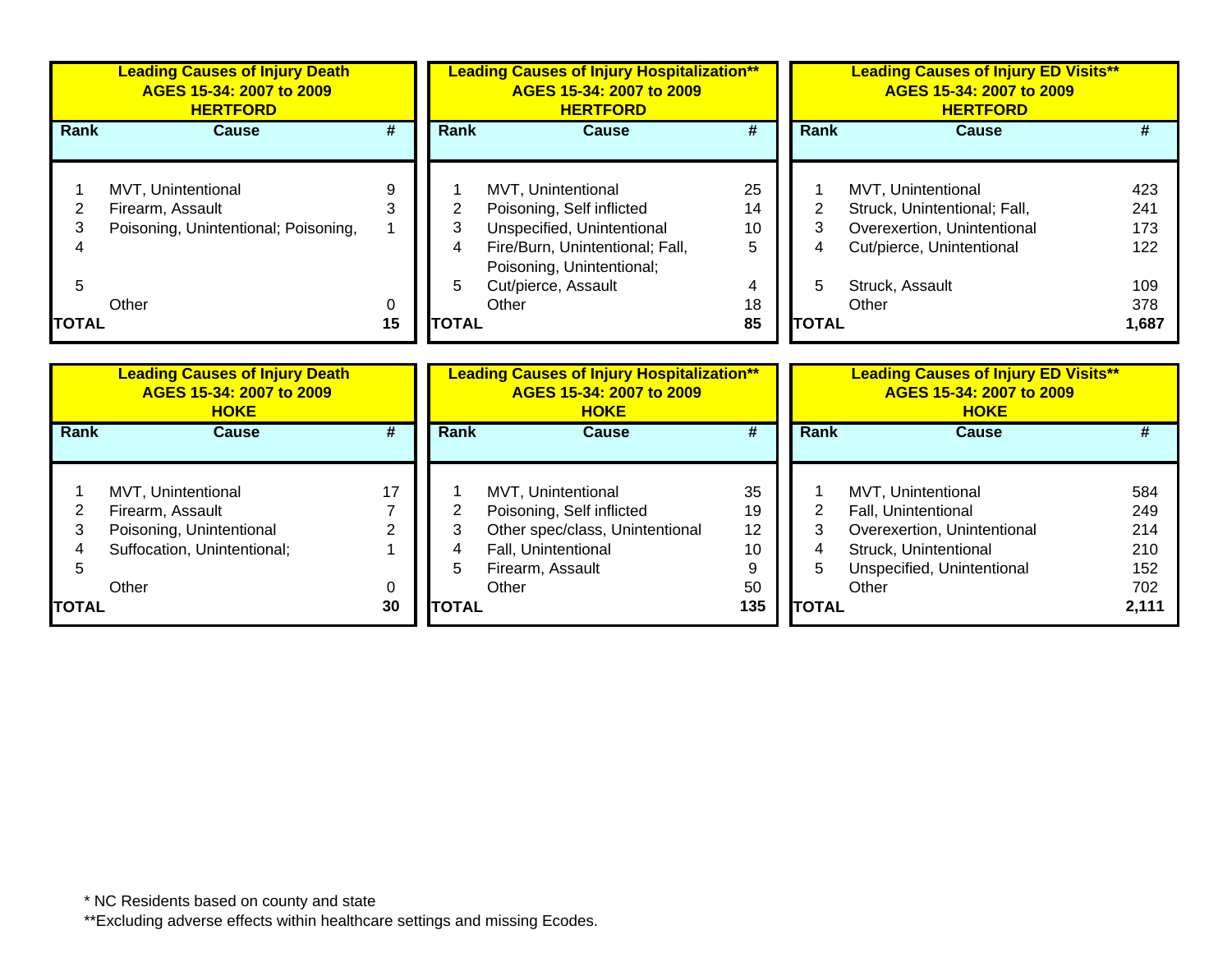|                             | <b>Leading Causes of Injury Death</b><br>AGES 15-34: 2007 to 2009<br><b>HERTFORD</b>    |              |                                               | <b>Leading Causes of Injury Hospitalization**</b><br>AGES 15-34: 2007 to 2009<br><b>HERTFORD</b>                                                                              |                                      |                                          | <b>Leading Causes of Injury ED Visits**</b><br>AGES 15-34: 2007 to 2009<br><b>HERTFORD</b>                                                 |                                                 |
|-----------------------------|-----------------------------------------------------------------------------------------|--------------|-----------------------------------------------|-------------------------------------------------------------------------------------------------------------------------------------------------------------------------------|--------------------------------------|------------------------------------------|--------------------------------------------------------------------------------------------------------------------------------------------|-------------------------------------------------|
| Rank                        | <b>Cause</b>                                                                            | #            | Rank                                          | <b>Cause</b>                                                                                                                                                                  | #                                    | <b>Rank</b>                              | <b>Cause</b>                                                                                                                               |                                                 |
| 2<br>3<br>5<br><b>TOTAL</b> | MVT, Unintentional<br>Firearm, Assault<br>Poisoning, Unintentional; Poisoning,<br>Other | 9<br>0<br>15 | $\overline{2}$<br>3<br>4<br>5<br><b>TOTAL</b> | MVT, Unintentional<br>Poisoning, Self inflicted<br>Unspecified, Unintentional<br>Fire/Burn, Unintentional; Fall,<br>Poisoning, Unintentional;<br>Cut/pierce, Assault<br>Other | 25<br>14<br>10<br>5<br>4<br>18<br>85 | $\overline{2}$<br>3<br>5<br><b>TOTAL</b> | MVT, Unintentional<br>Struck, Unintentional; Fall,<br>Overexertion, Unintentional<br>Cut/pierce, Unintentional<br>Struck, Assault<br>Other | 423<br>241<br>173<br>122<br>109<br>378<br>1,687 |
|                             |                                                                                         |              |                                               |                                                                                                                                                                               |                                      |                                          |                                                                                                                                            |                                                 |
|                             | <b>Leading Causes of Injury Death</b><br>AGES 15-34: 2007 to 2009<br><b>HOKE</b>        |              |                                               | <b>Leading Causes of Injury Hospitalization**</b><br>AGES 15-34: 2007 to 2009<br><b>HOKE</b>                                                                                  |                                      |                                          | <b>Leading Causes of Injury ED Visits**</b><br>AGES 15-34: 2007 to 2009<br><b>HOKE</b>                                                     |                                                 |
| Rank                        | <b>Cause</b>                                                                            | #            | Rank                                          | <b>Cause</b>                                                                                                                                                                  | #                                    | <b>Rank</b>                              | <b>Cause</b>                                                                                                                               | #                                               |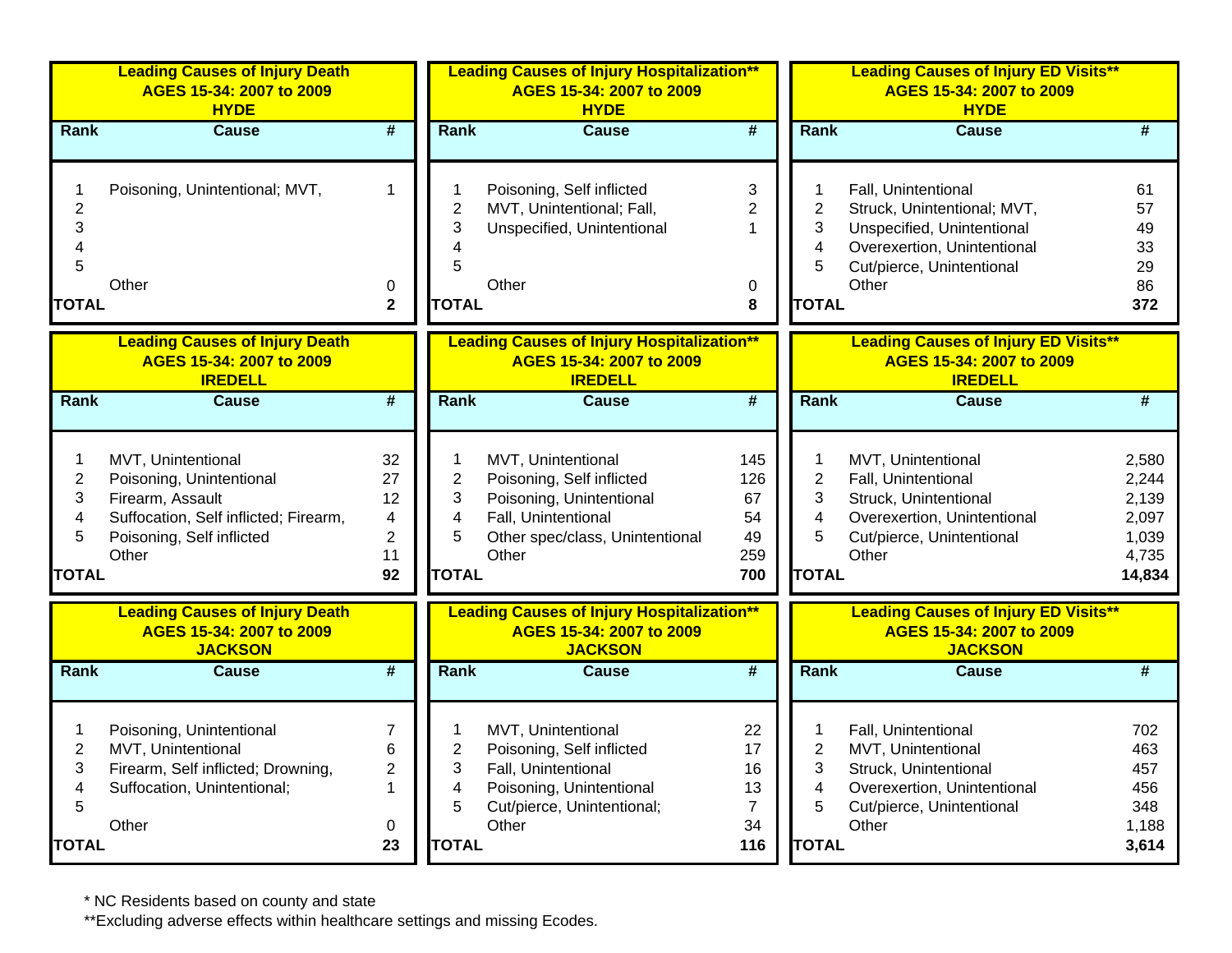|                                                    | <b>Leading Causes of Injury Death</b><br>AGES 15-34: 2007 to 2009<br><b>HYDE</b>                                                                  |                                                       |                                                                           | <b>Leading Causes of Injury Hospitalization**</b><br>AGES 15-34: 2007 to 2009<br><b>HYDE</b>                                                   |                                                     |                                                                                    | <b>Leading Causes of Injury ED Visits**</b><br>AGES 15-34: 2007 to 2009<br><b>HYDE</b>                                                  |                                                              |
|----------------------------------------------------|---------------------------------------------------------------------------------------------------------------------------------------------------|-------------------------------------------------------|---------------------------------------------------------------------------|------------------------------------------------------------------------------------------------------------------------------------------------|-----------------------------------------------------|------------------------------------------------------------------------------------|-----------------------------------------------------------------------------------------------------------------------------------------|--------------------------------------------------------------|
| <b>Rank</b>                                        | <b>Cause</b>                                                                                                                                      | $\overline{\#}$                                       | <b>Rank</b>                                                               | <b>Cause</b>                                                                                                                                   | $\overline{\mathbf{H}}$                             | <b>Rank</b>                                                                        | <b>Cause</b>                                                                                                                            | #                                                            |
| $\overline{c}$<br>3<br>4                           | Poisoning, Unintentional; MVT,                                                                                                                    | $\mathbf{1}$                                          | 1<br>$\overline{2}$<br>3<br>4                                             | Poisoning, Self inflicted<br>MVT, Unintentional; Fall,<br>Unspecified, Unintentional                                                           | 3<br>$\overline{2}$<br>$\mathbf{1}$                 | $\mathbf 1$<br>$\overline{2}$<br>3<br>4                                            | Fall, Unintentional<br>Struck, Unintentional; MVT,<br>Unspecified, Unintentional<br>Overexertion, Unintentional                         | 61<br>57<br>49<br>33                                         |
| 5                                                  | Other                                                                                                                                             | 0                                                     | 5                                                                         | Other                                                                                                                                          | $\mathbf 0$                                         | 5                                                                                  | Cut/pierce, Unintentional<br>Other                                                                                                      | 29<br>86                                                     |
| <b>TOTAL</b>                                       |                                                                                                                                                   | $\mathbf{2}$                                          | <b>TOTAL</b>                                                              |                                                                                                                                                | 8                                                   | <b>TOTAL</b>                                                                       |                                                                                                                                         | 372                                                          |
|                                                    | <b>Leading Causes of Injury Death</b><br>AGES 15-34: 2007 to 2009<br><b>IREDELL</b>                                                               |                                                       |                                                                           | <b>Leading Causes of Injury Hospitalization**</b><br>AGES 15-34: 2007 to 2009<br><b>IREDELL</b>                                                |                                                     |                                                                                    | <b>Leading Causes of Injury ED Visits**</b><br>AGES 15-34: 2007 to 2009<br><b>IREDELL</b>                                               |                                                              |
| <b>Rank</b>                                        | <b>Cause</b>                                                                                                                                      | $\overline{\boldsymbol{t}}$                           | Rank                                                                      | Cause                                                                                                                                          | #                                                   | <b>Rank</b>                                                                        | <b>Cause</b>                                                                                                                            | $\overline{\boldsymbol{H}}$                                  |
| 1<br>$\overline{2}$<br>3<br>4<br>5<br><b>TOTAL</b> | MVT, Unintentional<br>Poisoning, Unintentional<br>Firearm, Assault<br>Suffocation, Self inflicted; Firearm,<br>Poisoning, Self inflicted<br>Other | 32<br>27<br>12<br>4<br>$\overline{c}$<br>11<br>92     | 1<br>$\overline{2}$<br>3<br>4<br>5<br><b>TOTAL</b>                        | MVT, Unintentional<br>Poisoning, Self inflicted<br>Poisoning, Unintentional<br>Fall, Unintentional<br>Other spec/class, Unintentional<br>Other | 145<br>126<br>67<br>54<br>49<br>259<br>700          | $\mathbf 1$<br>$\overline{2}$<br>3<br>$\overline{\mathbf{4}}$<br>5<br><b>TOTAL</b> | MVT, Unintentional<br>Fall, Unintentional<br>Struck, Unintentional<br>Overexertion, Unintentional<br>Cut/pierce, Unintentional<br>Other | 2,580<br>2,244<br>2,139<br>2,097<br>1,039<br>4,735<br>14,834 |
|                                                    | <b>Leading Causes of Injury Death</b><br>AGES 15-34: 2007 to 2009<br><b>JACKSON</b>                                                               |                                                       |                                                                           | <b>Leading Causes of Injury Hospitalization**</b><br>AGES 15-34: 2007 to 2009<br><b>JACKSON</b>                                                |                                                     |                                                                                    | <b>Leading Causes of Injury ED Visits**</b><br>AGES 15-34: 2007 to 2009<br><b>JACKSON</b>                                               |                                                              |
| Rank                                               | <b>Cause</b>                                                                                                                                      | $\overline{\boldsymbol{t}}$                           | <b>Rank</b>                                                               | Cause                                                                                                                                          | #                                                   | <b>Rank</b>                                                                        | <b>Cause</b>                                                                                                                            | #                                                            |
| 1<br>$\overline{2}$<br>3<br>4<br>5<br><b>TOTAL</b> | Poisoning, Unintentional<br>MVT, Unintentional<br>Firearm, Self inflicted; Drowning,<br>Suffocation, Unintentional;<br>Other                      | $\overline{7}$<br>6<br>$\overline{2}$<br>1<br>0<br>23 | $\mathbf 1$<br>$\overline{2}$<br>3<br>$\overline{4}$<br>5<br><b>TOTAL</b> | MVT, Unintentional<br>Poisoning, Self inflicted<br>Fall, Unintentional<br>Poisoning, Unintentional<br>Cut/pierce, Unintentional;<br>Other      | 22<br>17<br>16<br>13<br>$\overline{7}$<br>34<br>116 | 1<br>$\overline{2}$<br>3<br>$\overline{\mathbf{4}}$<br>5<br><b>TOTAL</b>           | Fall, Unintentional<br>MVT, Unintentional<br>Struck, Unintentional<br>Overexertion, Unintentional<br>Cut/pierce, Unintentional<br>Other | 702<br>463<br>457<br>456<br>348<br>1,188<br>3,614            |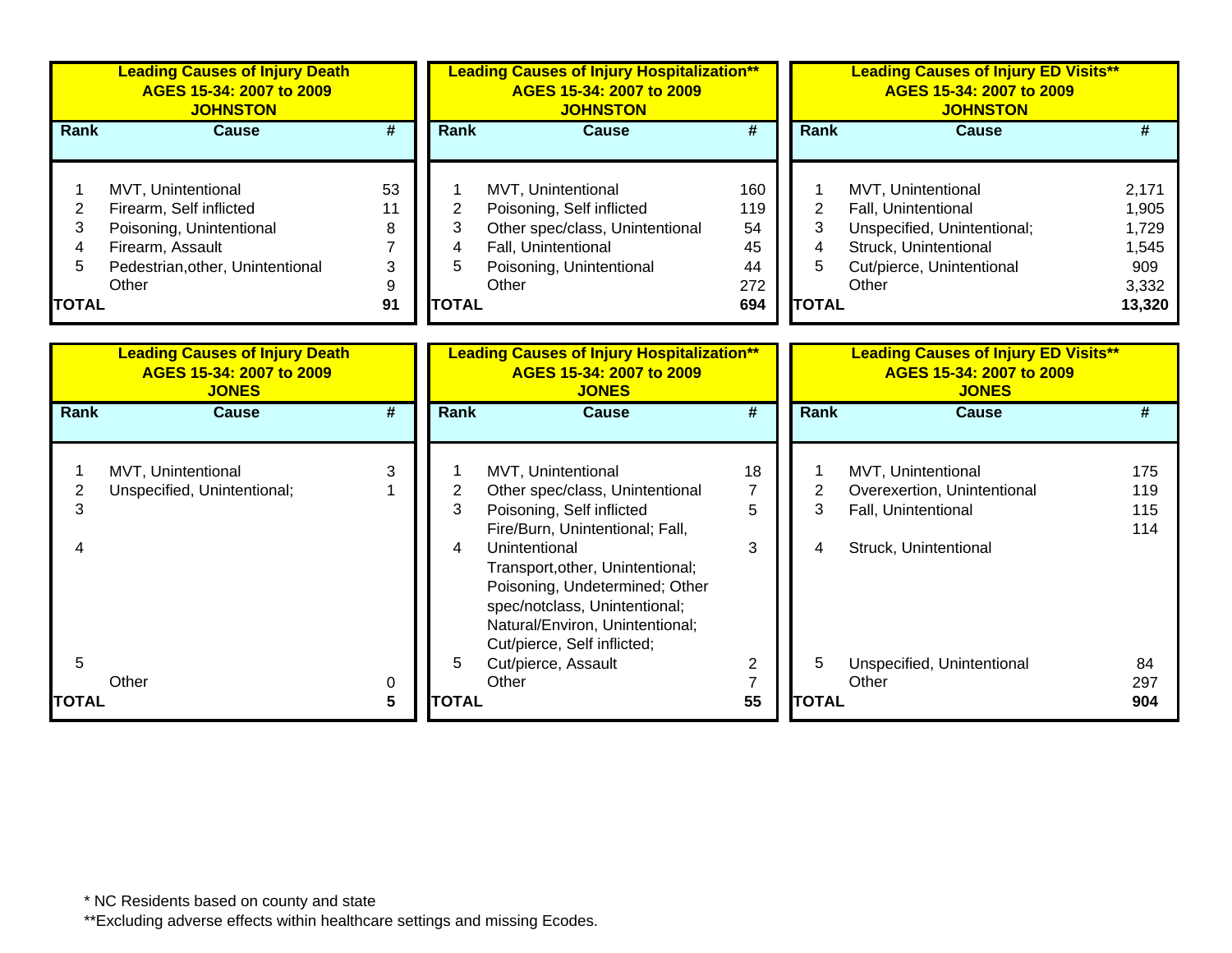|                                  | <b>Leading Causes of Injury Death</b><br>AGES 15-34: 2007 to 2009<br><b>JOHNSTON</b>                                                       |                               |                                  | <b>Leading Causes of Injury Hospitalization**</b><br>AGES 15-34: 2007 to 2009<br><b>JOHNSTON</b>                                                                                                                                                                                                                |                                            |                                  | <b>Leading Causes of Injury ED Visits**</b><br>AGES 15-34: 2007 to 2009<br><b>JOHNSTON</b>                                              |                                                            |
|----------------------------------|--------------------------------------------------------------------------------------------------------------------------------------------|-------------------------------|----------------------------------|-----------------------------------------------------------------------------------------------------------------------------------------------------------------------------------------------------------------------------------------------------------------------------------------------------------------|--------------------------------------------|----------------------------------|-----------------------------------------------------------------------------------------------------------------------------------------|------------------------------------------------------------|
| Rank                             | <b>Cause</b>                                                                                                                               | #                             | Rank                             | <b>Cause</b>                                                                                                                                                                                                                                                                                                    | #                                          | <b>Rank</b>                      | <b>Cause</b>                                                                                                                            | #                                                          |
| 2<br>3<br>4<br>5<br><b>TOTAL</b> | MVT, Unintentional<br>Firearm, Self inflicted<br>Poisoning, Unintentional<br>Firearm, Assault<br>Pedestrian, other, Unintentional<br>Other | 53<br>11<br>8<br>3<br>9<br>91 | 2<br>3<br>4<br>5<br><b>TOTAL</b> | MVT, Unintentional<br>Poisoning, Self inflicted<br>Other spec/class, Unintentional<br>Fall, Unintentional<br>Poisoning, Unintentional<br>Other                                                                                                                                                                  | 160<br>119<br>54<br>45<br>44<br>272<br>694 | 2<br>3<br>4<br>5<br><b>TOTAL</b> | MVT, Unintentional<br>Fall, Unintentional<br>Unspecified, Unintentional;<br>Struck, Unintentional<br>Cut/pierce, Unintentional<br>Other | 2,171<br>1,905<br>1,729<br>1,545<br>909<br>3,332<br>13,320 |
|                                  | <b>Leading Causes of Injury Death</b><br>AGES 15-34: 2007 to 2009<br><b>JONES</b>                                                          |                               |                                  | <b>Leading Causes of Injury Hospitalization**</b><br>AGES 15-34: 2007 to 2009<br><b>JONES</b>                                                                                                                                                                                                                   |                                            |                                  | <b>Leading Causes of Injury ED Visits**</b><br>AGES 15-34: 2007 to 2009<br><b>JONES</b>                                                 |                                                            |
| Rank                             | <b>Cause</b>                                                                                                                               | #                             | Rank                             | <b>Cause</b>                                                                                                                                                                                                                                                                                                    | #                                          | Rank                             | <b>Cause</b>                                                                                                                            | #                                                          |
| $\overline{2}$<br>3<br>4         | MVT, Unintentional<br>Unspecified, Unintentional;                                                                                          | 3                             | $\overline{2}$<br>3<br>4         | MVT, Unintentional<br>Other spec/class, Unintentional<br>Poisoning, Self inflicted<br>Fire/Burn, Unintentional; Fall,<br>Unintentional<br>Transport, other, Unintentional;<br>Poisoning, Undetermined; Other<br>spec/notclass, Unintentional;<br>Natural/Environ, Unintentional;<br>Cut/pierce, Self inflicted; | 18<br>7<br>5<br>3                          | $\overline{2}$<br>3<br>4         | MVT, Unintentional<br>Overexertion, Unintentional<br>Fall, Unintentional<br>Struck, Unintentional                                       | 175<br>119<br>115<br>114                                   |
| 5<br><b>TOTAL</b>                | Other                                                                                                                                      | 0<br>5                        | 5<br><b>TOTAL</b>                | Cut/pierce, Assault<br>Other                                                                                                                                                                                                                                                                                    | 2<br>$\overline{7}$<br>55                  | 5<br><b>TOTAL</b>                | Unspecified, Unintentional<br>Other                                                                                                     | 84<br>297<br>904                                           |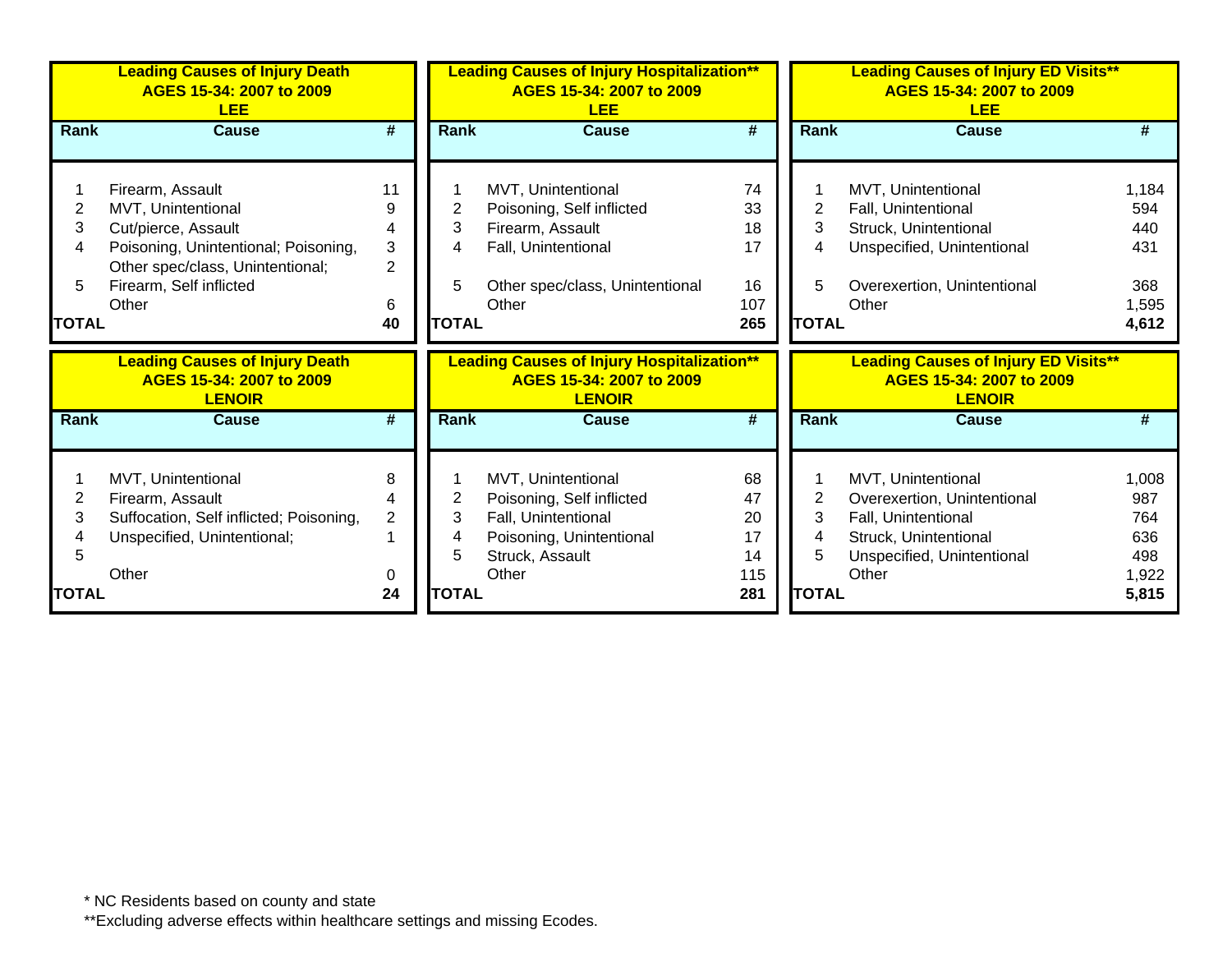|              | <b>Leading Causes of Injury Death</b><br>AGES 15-34: 2007 to 2009<br><b>LEE</b>    |                     |              | <b>Leading Causes of Injury Hospitalization**</b><br>AGES 15-34: 2007 to 2009<br><b>LEE</b>    |          |              | <b>Leading Causes of Injury ED Visits**</b><br>AGES 15-34: 2007 to 2009<br><b>LEE</b>    |                |
|--------------|------------------------------------------------------------------------------------|---------------------|--------------|------------------------------------------------------------------------------------------------|----------|--------------|------------------------------------------------------------------------------------------|----------------|
| Rank         | <b>Cause</b>                                                                       | #                   | <b>Rank</b>  | <b>Cause</b>                                                                                   | #        | Rank         | <b>Cause</b>                                                                             | #              |
|              | Firearm, Assault                                                                   | 11                  |              | MVT, Unintentional                                                                             | 74       |              | MVT, Unintentional                                                                       | 1,184          |
| 2            | MVT, Unintentional                                                                 | 9                   | 2            | Poisoning, Self inflicted                                                                      | 33       | 2            | Fall, Unintentional                                                                      | 594            |
| 3            | Cut/pierce, Assault                                                                | 4                   | 3            | Firearm, Assault                                                                               | 18       | 3            | Struck, Unintentional                                                                    | 440            |
| 4            | Poisoning, Unintentional; Poisoning,<br>Other spec/class, Unintentional;           | 3<br>$\overline{2}$ | 4            | Fall, Unintentional                                                                            | 17       | 4            | Unspecified, Unintentional                                                               | 431            |
| 5            | Firearm, Self inflicted                                                            |                     | 5            | Other spec/class, Unintentional                                                                | 16       | 5            | Overexertion, Unintentional                                                              | 368            |
|              | Other                                                                              | 6                   |              | Other                                                                                          | 107      |              | Other                                                                                    | 1,595          |
| <b>TOTAL</b> |                                                                                    | 40                  | <b>TOTAL</b> |                                                                                                | 265      | <b>TOTAL</b> |                                                                                          | 4,612          |
|              |                                                                                    |                     |              |                                                                                                |          |              |                                                                                          |                |
|              | <b>Leading Causes of Injury Death</b><br>AGES 15-34: 2007 to 2009<br><b>LENOIR</b> |                     |              | <b>Leading Causes of Injury Hospitalization**</b><br>AGES 15-34: 2007 to 2009<br><b>LENOIR</b> |          |              | <b>Leading Causes of Injury ED Visits**</b><br>AGES 15-34: 2007 to 2009<br><b>LENOIR</b> |                |
| Rank         | <b>Cause</b>                                                                       | #                   | <b>Rank</b>  | <b>Cause</b>                                                                                   | #        | Rank         | <b>Cause</b>                                                                             | #              |
|              |                                                                                    |                     |              |                                                                                                |          |              |                                                                                          |                |
| 2            | MVT, Unintentional                                                                 | 8                   |              | MVT, Unintentional                                                                             | 68<br>47 |              | MVT, Unintentional                                                                       | 1,008<br>987   |
| 3            | Firearm, Assault<br>Suffocation, Self inflicted; Poisoning,                        | $\overline{2}$      | 2<br>3       | Poisoning, Self inflicted<br>Fall, Unintentional                                               | 20       | 2<br>3       | Overexertion, Unintentional<br>Fall, Unintentional                                       | 764            |
|              | Unspecified, Unintentional;                                                        |                     | 4            | Poisoning, Unintentional                                                                       | 17       | 4            | Struck, Unintentional                                                                    | 636            |
| 5            |                                                                                    |                     |              | Struck, Assault                                                                                | 14       | 5            | Unspecified, Unintentional                                                               | 498            |
|              | Other                                                                              | 0                   | <b>TOTAL</b> | Other                                                                                          | 115      | <b>TOTAL</b> | Other                                                                                    | 1,922<br>5,815 |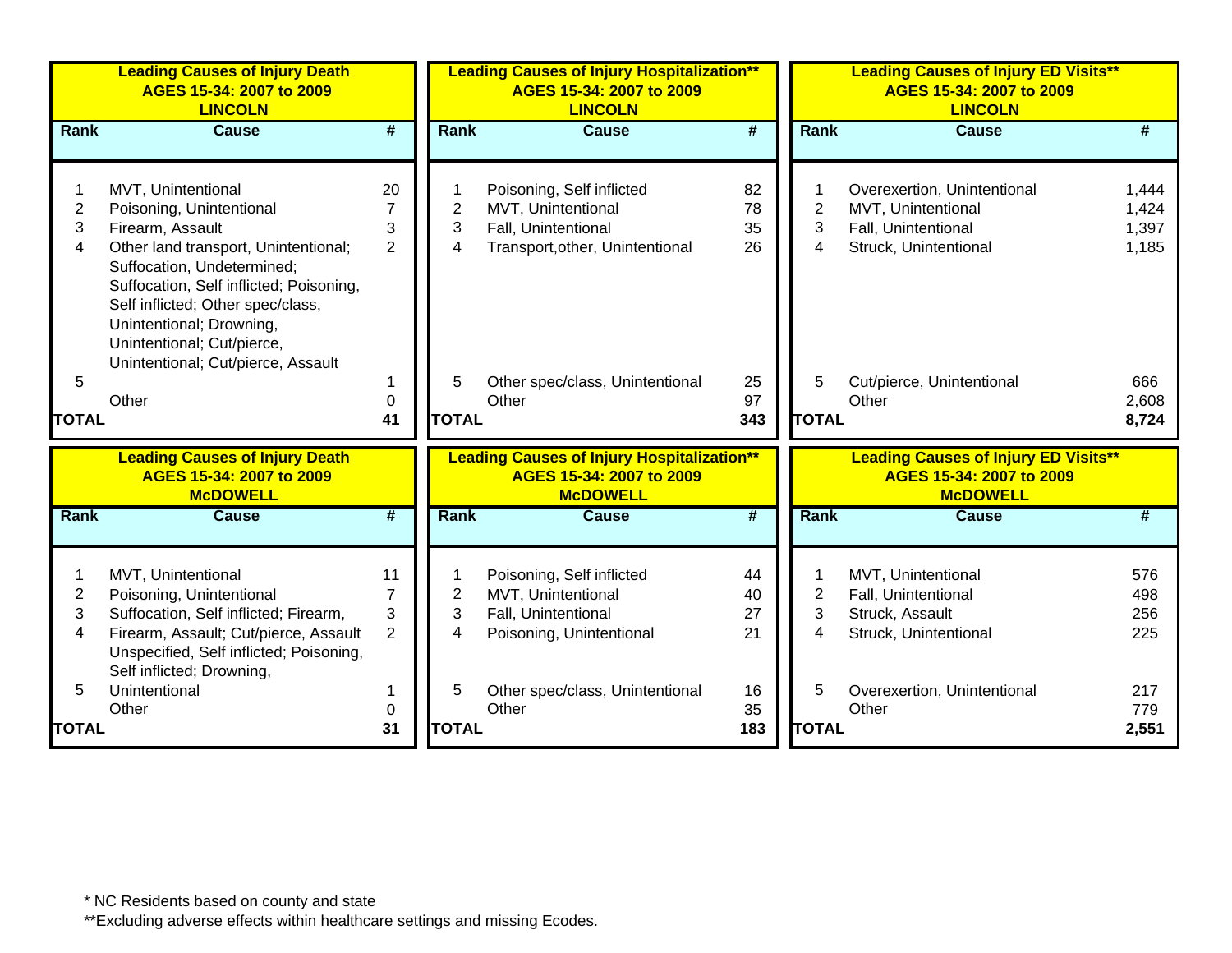|                          | <b>Leading Causes of Injury Death</b><br>AGES 15-34: 2007 to 2009<br><b>LINCOLN</b>                                                                                                                                                                                                                                      |                                             |                          | <b>Leading Causes of Injury Hospitalization**</b><br>AGES 15-34: 2007 to 2009<br><b>LINCOLN</b>           |                             |                          | <b>Leading Causes of Injury ED Visits**</b><br>AGES 15-34: 2007 to 2009<br><b>LINCOLN</b>         |                                  |
|--------------------------|--------------------------------------------------------------------------------------------------------------------------------------------------------------------------------------------------------------------------------------------------------------------------------------------------------------------------|---------------------------------------------|--------------------------|-----------------------------------------------------------------------------------------------------------|-----------------------------|--------------------------|---------------------------------------------------------------------------------------------------|----------------------------------|
| <b>Rank</b>              | <b>Cause</b>                                                                                                                                                                                                                                                                                                             | $\overline{\boldsymbol{t}}$                 | Rank                     | <b>Cause</b>                                                                                              | $\overline{\boldsymbol{H}}$ | Rank                     | <b>Cause</b>                                                                                      | #                                |
| $\overline{2}$<br>3<br>4 | MVT, Unintentional<br>Poisoning, Unintentional<br>Firearm, Assault<br>Other land transport, Unintentional;<br>Suffocation, Undetermined;<br>Suffocation, Self inflicted; Poisoning,<br>Self inflicted; Other spec/class,<br>Unintentional; Drowning,<br>Unintentional; Cut/pierce,<br>Unintentional; Cut/pierce, Assault | 20<br>7<br>3<br>$\overline{2}$              | $\overline{2}$<br>3<br>4 | Poisoning, Self inflicted<br>MVT, Unintentional<br>Fall, Unintentional<br>Transport, other, Unintentional | 82<br>78<br>35<br>26        | $\overline{2}$<br>3<br>4 | Overexertion, Unintentional<br>MVT, Unintentional<br>Fall, Unintentional<br>Struck, Unintentional | 1,444<br>1,424<br>1,397<br>1,185 |
| 5<br><b>TOTAL</b>        | Other                                                                                                                                                                                                                                                                                                                    | 1<br>$\mathbf 0$<br>41                      | 5<br><b>TOTAL</b>        | Other spec/class, Unintentional<br>Other                                                                  | 25<br>97<br>343             | 5<br><b>TOTAL</b>        | Cut/pierce, Unintentional<br>Other                                                                | 666<br>2,608<br>8,724            |
|                          | <b>Leading Causes of Injury Death</b><br>AGES 15-34: 2007 to 2009<br><b>McDOWELL</b>                                                                                                                                                                                                                                     |                                             |                          | <b>Leading Causes of Injury Hospitalization**</b><br>AGES 15-34: 2007 to 2009<br><b>McDOWELL</b>          |                             |                          | <b>Leading Causes of Injury ED Visits**</b><br>AGES 15-34: 2007 to 2009<br><b>McDOWELL</b>        |                                  |
| Rank                     | <b>Cause</b>                                                                                                                                                                                                                                                                                                             | #                                           | Rank                     | <b>Cause</b>                                                                                              | #                           | Rank                     | <b>Cause</b>                                                                                      | #                                |
| $\overline{2}$<br>3<br>4 | MVT, Unintentional<br>Poisoning, Unintentional<br>Suffocation, Self inflicted; Firearm,<br>Firearm, Assault; Cut/pierce, Assault<br>Unspecified, Self inflicted; Poisoning,<br>Self inflicted; Drowning,                                                                                                                 | 11<br>$\overline{7}$<br>3<br>$\overline{2}$ | $\overline{2}$<br>3<br>4 | Poisoning, Self inflicted<br>MVT, Unintentional<br>Fall, Unintentional<br>Poisoning, Unintentional        | 44<br>40<br>27<br>21        | $\overline{2}$<br>3<br>4 | MVT, Unintentional<br>Fall, Unintentional<br>Struck, Assault<br>Struck, Unintentional             | 576<br>498<br>256<br>225         |
| 5<br>TOTAL               | Unintentional<br>Other                                                                                                                                                                                                                                                                                                   | 1<br>$\mathbf 0$<br>31                      | 5<br><b>TOTAL</b>        | Other spec/class, Unintentional<br>Other                                                                  | 16<br>35<br>183             | 5<br><b>TOTAL</b>        | Overexertion, Unintentional<br>Other                                                              | 217<br>779<br>2,551              |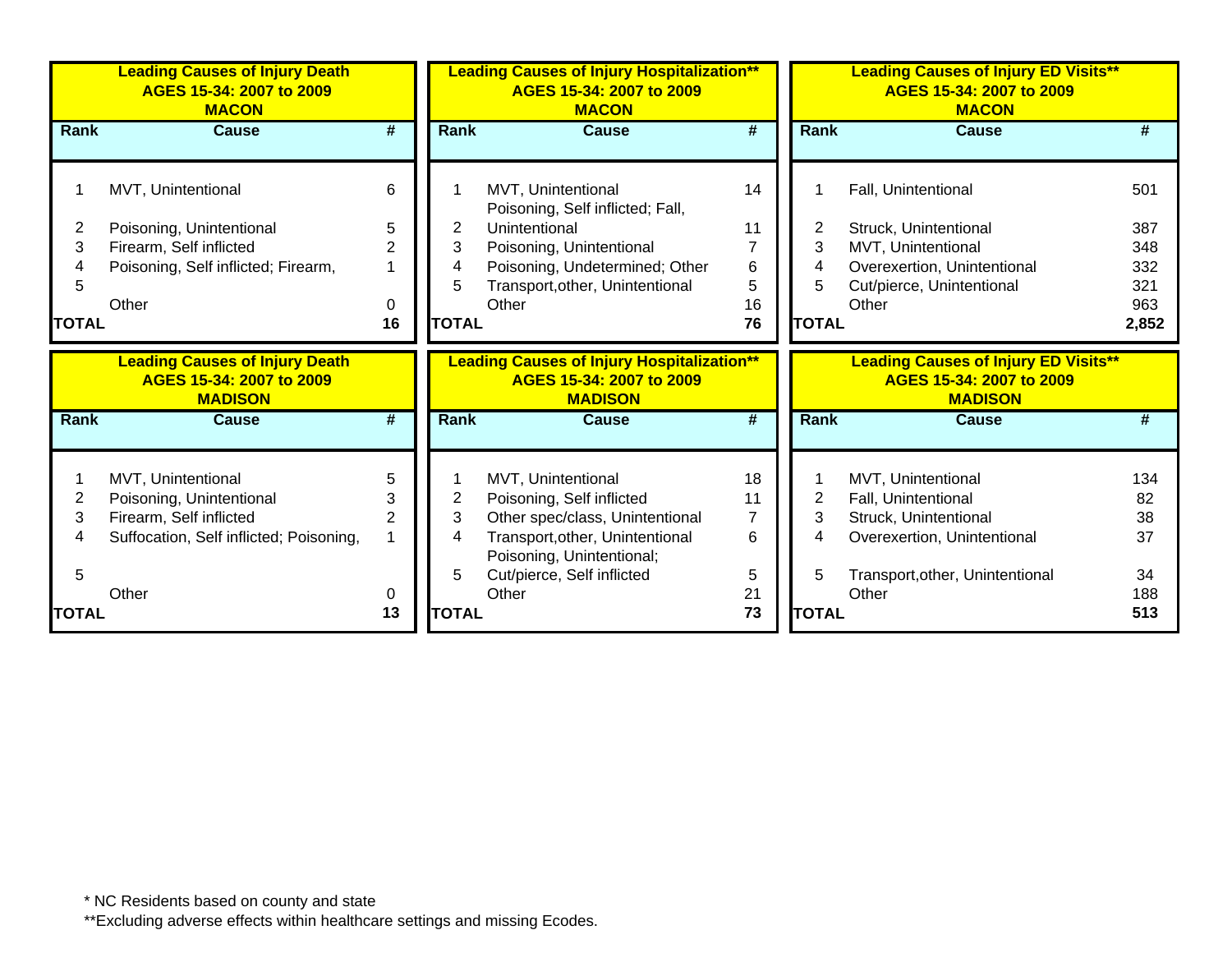|              | <b>Leading Causes of Injury Death</b><br>AGES 15-34: 2007 to 2009<br><b>MACON</b>   |                |              | <b>Leading Causes of Injury Hospitalization**</b><br>AGES 15-34: 2007 to 2009<br><b>MACON</b>   |          |              | <b>Leading Causes of Injury ED Visits**</b><br>AGES 15-34: 2007 to 2009<br><b>MACON</b>   |           |
|--------------|-------------------------------------------------------------------------------------|----------------|--------------|-------------------------------------------------------------------------------------------------|----------|--------------|-------------------------------------------------------------------------------------------|-----------|
| <b>Rank</b>  | <b>Cause</b>                                                                        | #              | <b>Rank</b>  | <b>Cause</b>                                                                                    | #        | Rank         | Cause                                                                                     |           |
|              | MVT, Unintentional                                                                  | 6              |              | MVT, Unintentional<br>Poisoning, Self inflicted; Fall,                                          | 14       |              | Fall, Unintentional                                                                       | 501       |
| 2            | Poisoning, Unintentional                                                            | 5              | 2            | Unintentional                                                                                   | 11       | 2            | Struck, Unintentional                                                                     | 387       |
| 3            | Firearm, Self inflicted                                                             | $\overline{2}$ | 3            | Poisoning, Unintentional                                                                        |          | 3            | MVT, Unintentional                                                                        | 348       |
|              | Poisoning, Self inflicted; Firearm,                                                 |                | 4            | Poisoning, Undetermined; Other                                                                  | 6        | 4            | Overexertion, Unintentional                                                               | 332       |
| 5            |                                                                                     |                | 5            | Transport, other, Unintentional                                                                 | 5        | 5            | Cut/pierce, Unintentional                                                                 | 321       |
|              | Other                                                                               | 0              |              | Other                                                                                           | 16       |              | Other                                                                                     | 963       |
| <b>TOTAL</b> |                                                                                     | 16             | <b>TOTAL</b> |                                                                                                 | 76       | <b>TOTAL</b> |                                                                                           | 2,852     |
|              | <b>Leading Causes of Injury Death</b><br>AGES 15-34: 2007 to 2009<br><b>MADISON</b> |                |              | <b>Leading Causes of Injury Hospitalization**</b><br>AGES 15-34: 2007 to 2009<br><b>MADISON</b> |          |              | <b>Leading Causes of Injury ED Visits**</b><br>AGES 15-34: 2007 to 2009<br><b>MADISON</b> |           |
| Rank         | Cause                                                                               | #              | Rank         | <b>Cause</b>                                                                                    | #        | <b>Rank</b>  | <b>Cause</b>                                                                              |           |
| 2            | MVT, Unintentional<br>Poisoning, Unintentional                                      | 5<br>3         | 2            | MVT, Unintentional<br>Poisoning, Self inflicted                                                 | 18<br>11 | 2            | MVT, Unintentional<br>Fall, Unintentional                                                 | 134<br>82 |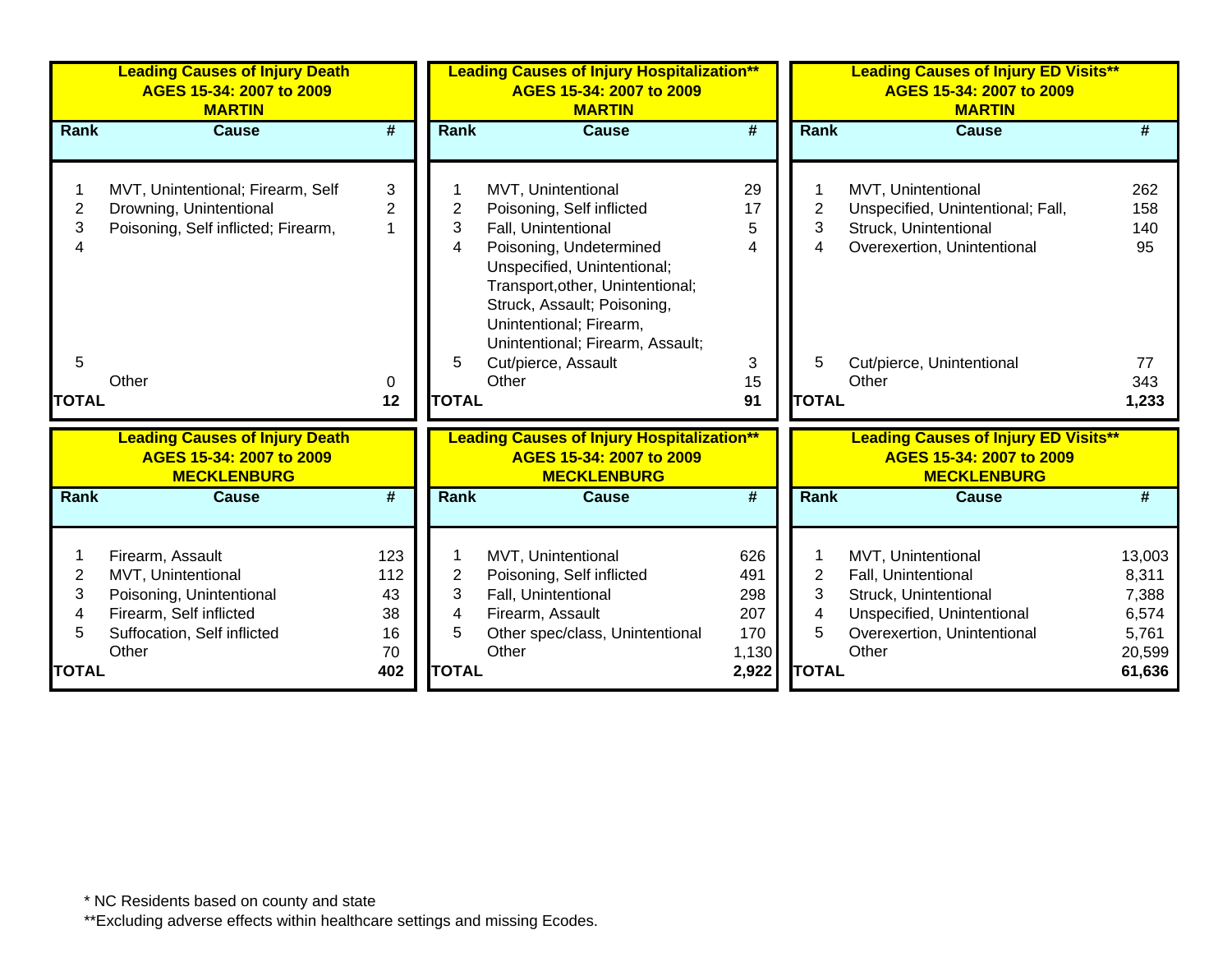| Rank<br><b>Cause</b><br>#<br>MVT, Unintentional<br>262<br>2<br>Unspecified, Unintentional; Fall,<br>158<br>3<br>Struck, Unintentional<br>140<br>Overexertion, Unintentional<br>95<br>4 |
|----------------------------------------------------------------------------------------------------------------------------------------------------------------------------------------|
|                                                                                                                                                                                        |
| 5<br>Cut/pierce, Unintentional<br>77                                                                                                                                                   |
| 343<br>Other<br><b>TOTAL</b><br>1,233                                                                                                                                                  |
| <b>Leading Causes of Injury ED Visits**</b><br>AGES 15-34: 2007 to 2009<br><b>MECKLENBURG</b>                                                                                          |
| Rank<br><b>Cause</b><br>#                                                                                                                                                              |
| MVT, Unintentional<br>13,003<br>2<br>Fall, Unintentional<br>8,311<br>3<br>Struck, Unintentional<br>7,388<br>4<br>Unspecified, Unintentional<br>6,574                                   |
|                                                                                                                                                                                        |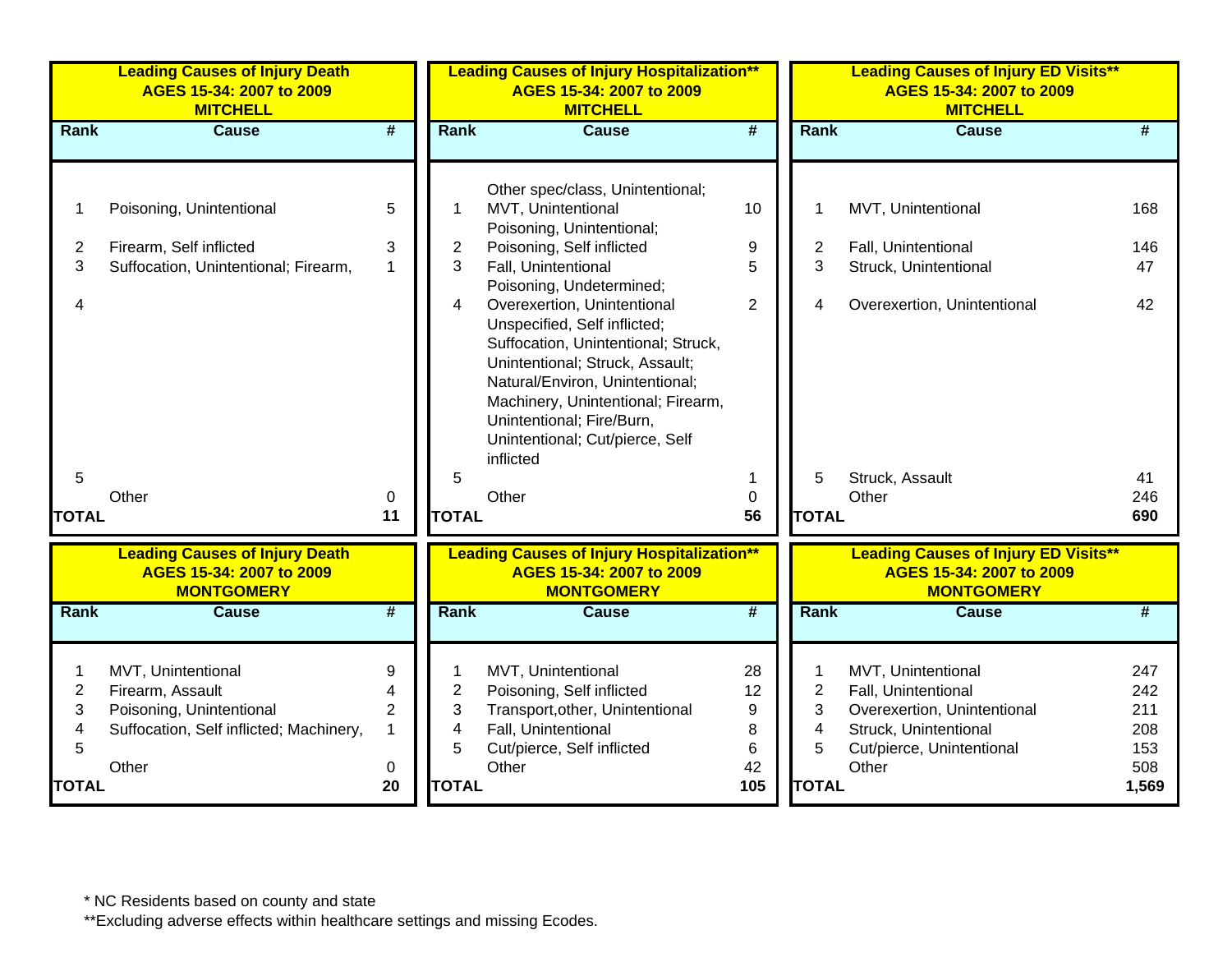|                                        | <b>Leading Causes of Injury Death</b><br>AGES 15-34: 2007 to 2009<br><b>MITCHELL</b>                                   |                                    |                   | <b>Leading Causes of Injury Hospitalization**</b><br>AGES 15-34: 2007 to 2009<br><b>MITCHELL</b>                                                                                                                                                                                                                                                |                                |                                             | <b>Leading Causes of Injury ED Visits**</b><br>AGES 15-34: 2007 to 2009<br><b>MITCHELL</b>                                              |                                        |
|----------------------------------------|------------------------------------------------------------------------------------------------------------------------|------------------------------------|-------------------|-------------------------------------------------------------------------------------------------------------------------------------------------------------------------------------------------------------------------------------------------------------------------------------------------------------------------------------------------|--------------------------------|---------------------------------------------|-----------------------------------------------------------------------------------------------------------------------------------------|----------------------------------------|
| <b>Rank</b>                            | <b>Cause</b>                                                                                                           | $\overline{\boldsymbol{t}}$        | Rank              | <b>Cause</b>                                                                                                                                                                                                                                                                                                                                    | $\overline{\boldsymbol{t}}$    | Rank                                        | <b>Cause</b>                                                                                                                            | #                                      |
| $\overline{2}$<br>3<br>4               | Poisoning, Unintentional<br>Firearm, Self inflicted<br>Suffocation, Unintentional; Firearm,                            | 5<br>3<br>$\mathbf{1}$             | 2<br>3<br>4       | Other spec/class, Unintentional;<br>MVT, Unintentional<br>Poisoning, Unintentional;<br>Poisoning, Self inflicted<br>Fall, Unintentional<br>Poisoning, Undetermined;<br>Overexertion, Unintentional<br>Unspecified, Self inflicted;<br>Suffocation, Unintentional; Struck,<br>Unintentional; Struck, Assault;<br>Natural/Environ, Unintentional; | 10<br>9<br>5<br>$\overline{2}$ | 2<br>3<br>4                                 | MVT, Unintentional<br>Fall, Unintentional<br>Struck, Unintentional<br>Overexertion, Unintentional                                       | 168<br>146<br>47<br>42                 |
| 5<br><b>TOTAL</b>                      | Other                                                                                                                  | 0<br>11                            | 5<br><b>TOTAL</b> | Machinery, Unintentional; Firearm,<br>Unintentional; Fire/Burn,<br>Unintentional; Cut/pierce, Self<br>inflicted<br>Other                                                                                                                                                                                                                        | 1<br>$\mathbf 0$<br>56         | 5<br><b>TOTAL</b>                           | Struck, Assault<br>Other                                                                                                                | 41<br>246<br>690                       |
|                                        | <b>Leading Causes of Injury Death</b><br>AGES 15-34: 2007 to 2009<br><b>MONTGOMERY</b>                                 |                                    |                   | <b>Leading Causes of Injury Hospitalization**</b><br>AGES 15-34: 2007 to 2009<br><b>MONTGOMERY</b>                                                                                                                                                                                                                                              |                                |                                             | <b>Leading Causes of Injury ED Visits**</b><br>AGES 15-34: 2007 to 2009<br><b>MONTGOMERY</b>                                            |                                        |
| Rank                                   | <b>Cause</b>                                                                                                           | $\overline{\boldsymbol{H}}$        | Rank              | <b>Cause</b>                                                                                                                                                                                                                                                                                                                                    | $\overline{\boldsymbol{H}}$    | Rank                                        | <b>Cause</b>                                                                                                                            | #                                      |
| $\overline{\mathbf{c}}$<br>3<br>4<br>5 | MVT, Unintentional<br>Firearm, Assault<br>Poisoning, Unintentional<br>Suffocation, Self inflicted; Machinery,<br>Other | 9<br>4<br>$\overline{2}$<br>1<br>0 | 2<br>3<br>4<br>5  | MVT, Unintentional<br>Poisoning, Self inflicted<br>Transport, other, Unintentional<br>Fall, Unintentional<br>Cut/pierce, Self inflicted<br>Other                                                                                                                                                                                                | 28<br>12<br>9<br>8<br>6<br>42  | 1<br>$\overline{\mathbf{c}}$<br>3<br>4<br>5 | MVT, Unintentional<br>Fall, Unintentional<br>Overexertion, Unintentional<br>Struck, Unintentional<br>Cut/pierce, Unintentional<br>Other | 247<br>242<br>211<br>208<br>153<br>508 |
| <b>TOTAL</b>                           |                                                                                                                        | 20                                 | <b>TOTAL</b>      |                                                                                                                                                                                                                                                                                                                                                 | 105                            | <b>TOTAL</b>                                |                                                                                                                                         | 1,569                                  |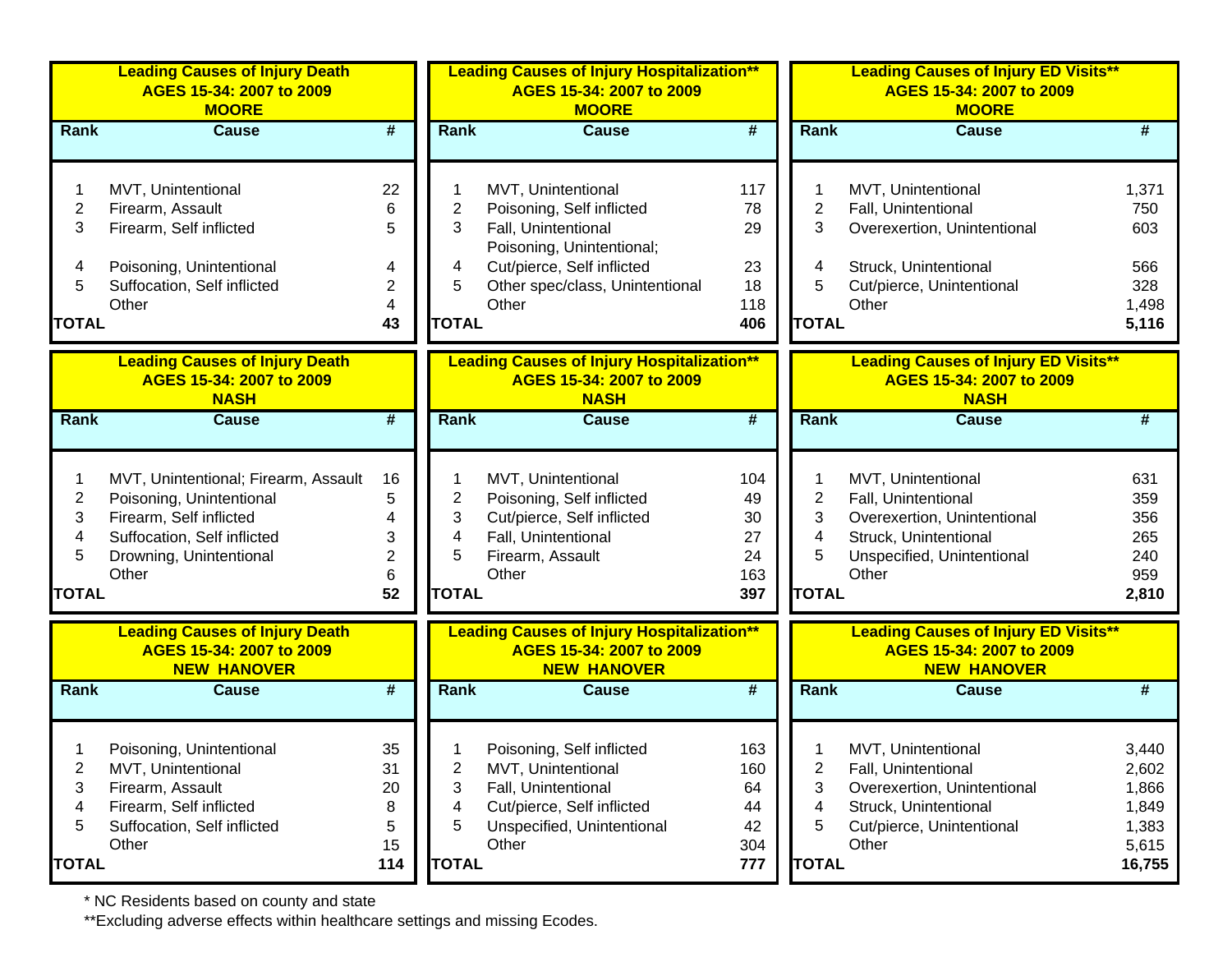|                | <b>Leading Causes of Injury Death</b><br>AGES 15-34: 2007 to 2009<br><b>MOORE</b>       |                             |                         | <b>Leading Causes of Injury Hospitalization**</b><br>AGES 15-34: 2007 to 2009<br><b>MOORE</b>       |           |                | <b>Leading Causes of Injury ED Visits**</b><br>AGES 15-34: 2007 to 2009<br><b>MOORE</b>       |                 |
|----------------|-----------------------------------------------------------------------------------------|-----------------------------|-------------------------|-----------------------------------------------------------------------------------------------------|-----------|----------------|-----------------------------------------------------------------------------------------------|-----------------|
| <b>Rank</b>    | <b>Cause</b>                                                                            | #                           | <b>Rank</b>             | <b>Cause</b>                                                                                        | #         | <b>Rank</b>    | <b>Cause</b>                                                                                  | #               |
|                | MVT, Unintentional                                                                      | 22                          |                         | MVT, Unintentional                                                                                  | 117       |                | MVT, Unintentional                                                                            | 1,371           |
| $\mathbf 2$    | Firearm, Assault                                                                        | 6                           | $\overline{\mathbf{c}}$ | Poisoning, Self inflicted                                                                           | 78        | $\overline{2}$ | Fall, Unintentional                                                                           | 750             |
| 3              | Firearm, Self inflicted                                                                 | 5                           | 3                       | Fall, Unintentional                                                                                 | 29        | 3              | Overexertion, Unintentional                                                                   | 603             |
|                |                                                                                         |                             |                         | Poisoning, Unintentional;                                                                           |           |                |                                                                                               |                 |
| 4              | Poisoning, Unintentional                                                                | 4                           | 4                       | Cut/pierce, Self inflicted                                                                          | 23        | 4              | Struck, Unintentional                                                                         | 566             |
| 5              | Suffocation, Self inflicted                                                             | 2                           | 5                       | Other spec/class, Unintentional                                                                     | 18        | 5              | Cut/pierce, Unintentional                                                                     | 328             |
|                | Other                                                                                   | 4                           |                         | Other                                                                                               | 118       |                | Other                                                                                         | 1,498           |
| <b>TOTAL</b>   |                                                                                         | 43                          | <b>TOTAL</b>            |                                                                                                     | 406       | <b>TOTAL</b>   |                                                                                               | 5,116           |
|                | <b>Leading Causes of Injury Death</b><br>AGES 15-34: 2007 to 2009<br><b>NASH</b>        |                             |                         | <b>Leading Causes of Injury Hospitalization**</b><br>AGES 15-34: 2007 to 2009<br><b>NASH</b>        |           |                | <b>Leading Causes of Injury ED Visits**</b><br>AGES 15-34: 2007 to 2009<br><b>NASH</b>        |                 |
| Rank           | <b>Cause</b>                                                                            | #                           | Rank                    | <b>Cause</b>                                                                                        | #         | <b>Rank</b>    | <b>Cause</b>                                                                                  | #               |
|                |                                                                                         |                             |                         |                                                                                                     |           |                |                                                                                               |                 |
| 1              | MVT, Unintentional; Firearm, Assault                                                    | 16                          |                         | MVT, Unintentional                                                                                  | 104       | 1              | MVT, Unintentional                                                                            | 631             |
| $\overline{2}$ | Poisoning, Unintentional                                                                | 5                           | $\overline{\mathbf{c}}$ | Poisoning, Self inflicted                                                                           | 49        | $\overline{2}$ | Fall, Unintentional                                                                           | 359             |
| 3              | Firearm, Self inflicted                                                                 | 4                           | 3                       | Cut/pierce, Self inflicted                                                                          | 30        | 3              | Overexertion, Unintentional                                                                   | 356             |
| 4              | Suffocation, Self inflicted                                                             | 3                           | 4                       | Fall, Unintentional                                                                                 | 27        | 4              | Struck, Unintentional                                                                         | 265             |
| 5              | Drowning, Unintentional                                                                 | 2                           | 5                       | Firearm, Assault                                                                                    | 24        | 5              | Unspecified, Unintentional                                                                    | 240             |
|                | Other                                                                                   | 6                           |                         | Other                                                                                               | 163       |                | Other                                                                                         | 959             |
| <b>TOTAL</b>   |                                                                                         | 52                          | <b>TOTAL</b>            |                                                                                                     | 397       | <b>TOTAL</b>   |                                                                                               | 2,810           |
|                | <b>Leading Causes of Injury Death</b><br>AGES 15-34: 2007 to 2009<br><b>NEW HANOVER</b> |                             |                         | <b>Leading Causes of Injury Hospitalization**</b><br>AGES 15-34: 2007 to 2009<br><b>NEW HANOVER</b> |           |                | <b>Leading Causes of Injury ED Visits**</b><br>AGES 15-34: 2007 to 2009<br><b>NEW HANOVER</b> |                 |
| Rank           | <b>Cause</b>                                                                            | $\overline{\boldsymbol{t}}$ | Rank                    | <b>Cause</b>                                                                                        | #         | Rank           | <b>Cause</b>                                                                                  | #               |
|                |                                                                                         |                             |                         |                                                                                                     |           |                |                                                                                               |                 |
|                | Poisoning, Unintentional                                                                | 35                          |                         | Poisoning, Self inflicted                                                                           | 163       |                | MVT, Unintentional                                                                            | 3,440           |
| 2              | MVT, Unintentional                                                                      | 31                          | 2                       | MVT, Unintentional                                                                                  | 160       | 2              | Fall, Unintentional                                                                           | 2,602           |
| 3              | Firearm, Assault                                                                        | 20                          | 3                       | Fall, Unintentional                                                                                 | 64        | 3              | Overexertion, Unintentional                                                                   | 1,866           |
| 4              | Firearm, Self inflicted                                                                 | 8                           | 4                       | Cut/pierce, Self inflicted                                                                          | 44        | 4              | Struck, Unintentional                                                                         | 1,849           |
| 5              | Suffocation, Self inflicted<br>Other                                                    | 5<br>15                     | 5                       | Unspecified, Unintentional<br>Other                                                                 | 42<br>304 | 5              | Cut/pierce, Unintentional<br>Other                                                            | 1,383           |
| <b>TOTAL</b>   |                                                                                         | 114                         | <b>TOTAL</b>            |                                                                                                     | 777       | <b>TOTAL</b>   |                                                                                               | 5,615<br>16,755 |
|                |                                                                                         |                             |                         |                                                                                                     |           |                |                                                                                               |                 |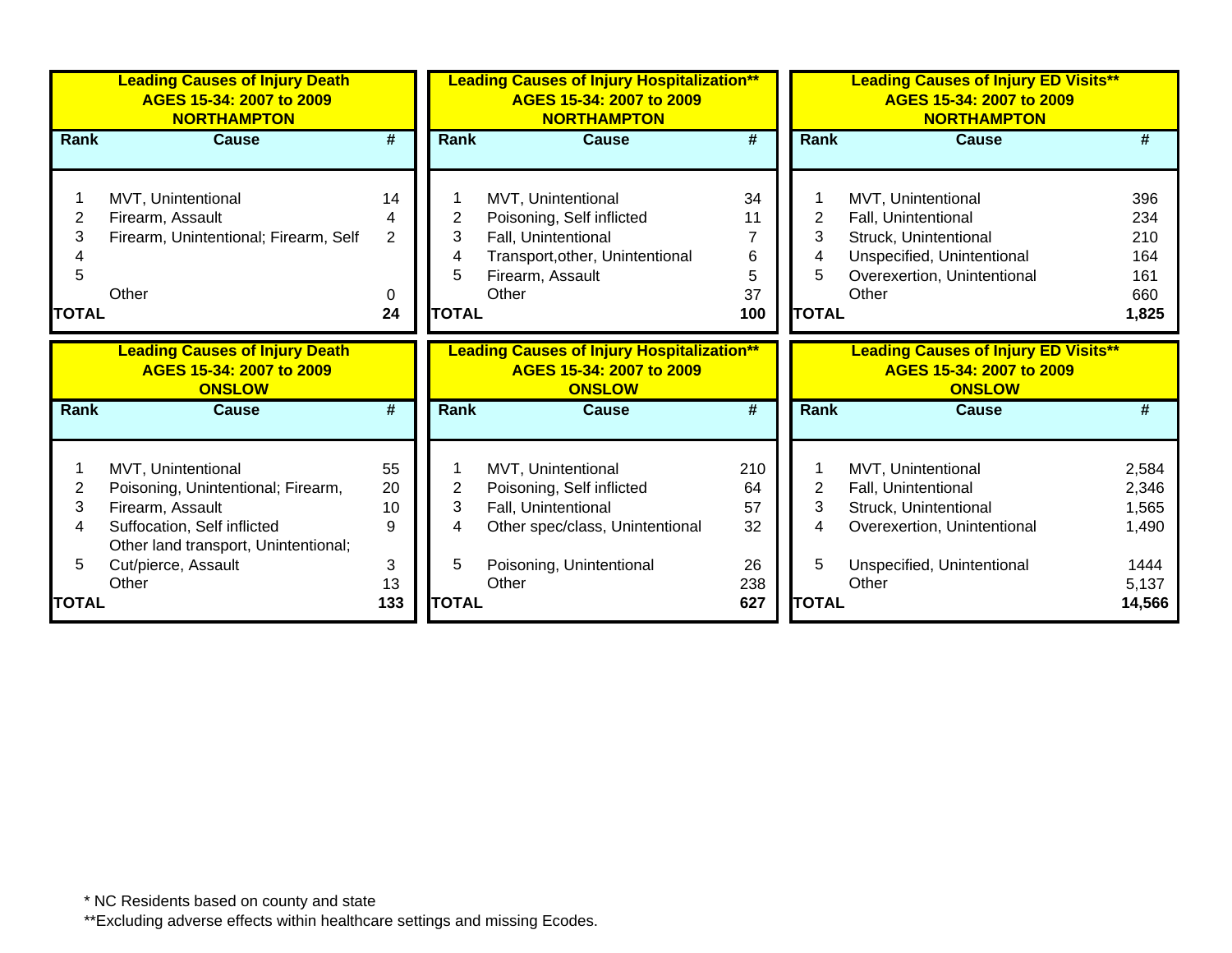|                        | <b>Leading Causes of Injury Death</b><br>AGES 15-34: 2007 to 2009<br><b>NORTHAMPTON</b>                                                             |                                      |                             | <b>Leading Causes of Injury Hospitalization**</b><br>AGES 15-34: 2007 to 2009<br><b>NORTHAMPTON</b>                                    |                                      |                                               | <b>Leading Causes of Injury ED Visits**</b><br>AGES 15-34: 2007 to 2009<br><b>NORTHAMPTON</b>                                            |                                                 |
|------------------------|-----------------------------------------------------------------------------------------------------------------------------------------------------|--------------------------------------|-----------------------------|----------------------------------------------------------------------------------------------------------------------------------------|--------------------------------------|-----------------------------------------------|------------------------------------------------------------------------------------------------------------------------------------------|-------------------------------------------------|
| <b>Rank</b>            | <b>Cause</b>                                                                                                                                        | $\overline{\boldsymbol{r}}$          | <b>Rank</b>                 | <b>Cause</b>                                                                                                                           | $\overline{\#}$                      | <b>Rank</b>                                   | <b>Cause</b>                                                                                                                             | #                                               |
| 2<br>3<br><b>TOTAL</b> | MVT, Unintentional<br>Firearm, Assault<br>Firearm, Unintentional; Firearm, Self<br>Other                                                            | 14<br>4<br>$\overline{2}$<br>0<br>24 | 2<br>3<br>5<br><b>TOTAL</b> | MVT, Unintentional<br>Poisoning, Self inflicted<br>Fall, Unintentional<br>Transport, other, Unintentional<br>Firearm, Assault<br>Other | 34<br>11<br>7<br>6<br>5<br>37<br>100 | $\overline{2}$<br>3<br>4<br>5<br><b>TOTAL</b> | MVT, Unintentional<br>Fall, Unintentional<br>Struck, Unintentional<br>Unspecified, Unintentional<br>Overexertion, Unintentional<br>Other | 396<br>234<br>210<br>164<br>161<br>660<br>1,825 |
|                        | <b>Leading Causes of Injury Death</b><br>AGES 15-34: 2007 to 2009<br><b>ONSLOW</b>                                                                  |                                      |                             | <b>Leading Causes of Injury Hospitalization**</b><br>AGES 15-34: 2007 to 2009<br><b>ONSLOW</b>                                         |                                      |                                               | <b>Leading Causes of Injury ED Visits**</b><br>AGES 15-34: 2007 to 2009<br><b>ONSLOW</b>                                                 |                                                 |
| Rank                   | <b>Cause</b>                                                                                                                                        | #                                    | Rank                        | <b>Cause</b>                                                                                                                           | $\overline{\#}$                      | <b>Rank</b>                                   | <b>Cause</b>                                                                                                                             | #                                               |
| 2<br>3<br>4            | MVT, Unintentional<br>Poisoning, Unintentional; Firearm,<br>Firearm, Assault<br>Suffocation, Self inflicted<br>Other land transport, Unintentional; | 55<br>20<br>10<br>9                  | $\overline{2}$<br>3<br>4    | MVT, Unintentional<br>Poisoning, Self inflicted<br>Fall, Unintentional<br>Other spec/class, Unintentional                              | 210<br>64<br>57<br>32                | $\overline{2}$<br>3<br>4                      | MVT, Unintentional<br>Fall, Unintentional<br>Struck, Unintentional<br>Overexertion, Unintentional                                        | 2,584<br>2,346<br>1,565<br>1,490                |
|                        | Cut/pierce, Assault<br>Other                                                                                                                        | 3<br>13                              | 5                           | Poisoning, Unintentional<br>Other                                                                                                      | 26<br>238                            | 5                                             | Unspecified, Unintentional<br>Other                                                                                                      | 1444<br>5,137                                   |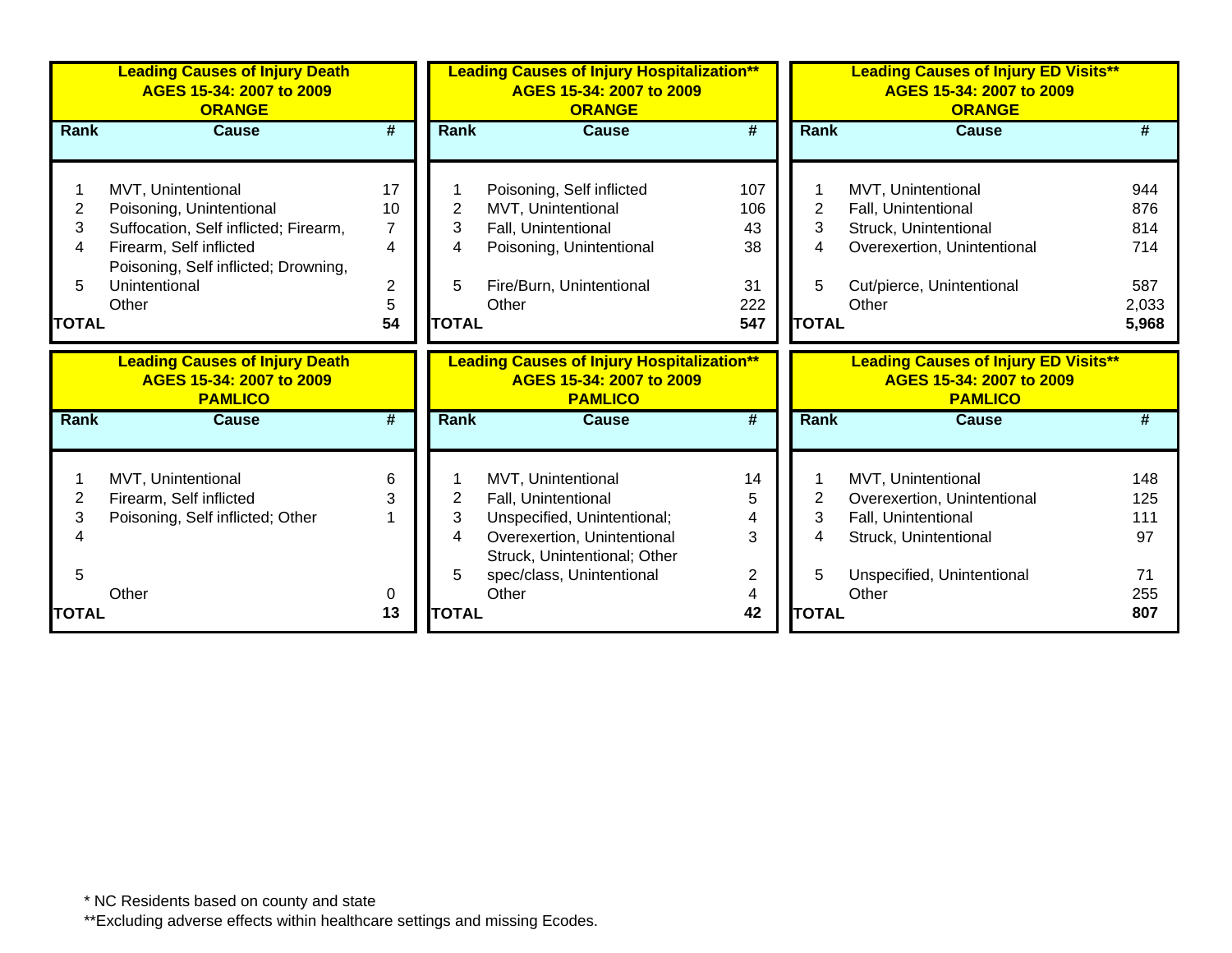|              | <b>Leading Causes of Injury Death</b><br>AGES 15-34: 2007 to 2009<br><b>ORANGE</b>  |                |                | <b>Leading Causes of Injury Hospitalization**</b><br>AGES 15-34: 2007 to 2009<br><b>ORANGE</b>  |                |              | <b>Leading Causes of Injury ED Visits**</b><br>AGES 15-34: 2007 to 2009<br><b>ORANGE</b>  |            |
|--------------|-------------------------------------------------------------------------------------|----------------|----------------|-------------------------------------------------------------------------------------------------|----------------|--------------|-------------------------------------------------------------------------------------------|------------|
| Rank         | <b>Cause</b>                                                                        | #              | <b>Rank</b>    | <b>Cause</b>                                                                                    | #              | <b>Rank</b>  | <b>Cause</b>                                                                              |            |
|              |                                                                                     |                |                |                                                                                                 |                |              |                                                                                           |            |
|              | MVT, Unintentional                                                                  | 17             |                | Poisoning, Self inflicted                                                                       | 107            |              | MVT, Unintentional                                                                        | 944        |
| 2            | Poisoning, Unintentional                                                            | 10             | $\overline{2}$ | MVT, Unintentional                                                                              | 106            | 2            | Fall, Unintentional                                                                       | 876        |
| 3            | Suffocation, Self inflicted; Firearm,                                               | $\overline{7}$ | 3              | Fall, Unintentional                                                                             | 43             | 3            | Struck, Unintentional                                                                     | 814        |
| 4            | Firearm, Self inflicted                                                             | 4              | 4              | Poisoning, Unintentional                                                                        | 38             | 4            | Overexertion, Unintentional                                                               | 714        |
|              | Poisoning, Self inflicted; Drowning,                                                |                |                |                                                                                                 |                |              |                                                                                           |            |
| 5            | Unintentional                                                                       | $\overline{2}$ | 5              | Fire/Burn, Unintentional                                                                        | 31             | 5            | Cut/pierce, Unintentional                                                                 | 587        |
|              | Other                                                                               | $\sqrt{5}$     |                | Other                                                                                           | 222            |              | Other                                                                                     | 2,033      |
| <b>TOTAL</b> |                                                                                     | 54             | <b>TOTAL</b>   |                                                                                                 | 547            | <b>TOTAL</b> |                                                                                           | 5,968      |
|              |                                                                                     |                |                |                                                                                                 |                |              |                                                                                           |            |
|              | <b>Leading Causes of Injury Death</b><br>AGES 15-34: 2007 to 2009<br><b>PAMLICO</b> |                |                | <b>Leading Causes of Injury Hospitalization**</b><br>AGES 15-34: 2007 to 2009<br><b>PAMLICO</b> |                |              | <b>Leading Causes of Injury ED Visits**</b><br>AGES 15-34: 2007 to 2009<br><b>PAMLICO</b> |            |
| <b>Rank</b>  | <b>Cause</b>                                                                        | #              | <b>Rank</b>    | <b>Cause</b>                                                                                    | #              | <b>Rank</b>  | <b>Cause</b>                                                                              |            |
|              |                                                                                     |                |                |                                                                                                 |                |              |                                                                                           |            |
|              |                                                                                     |                |                |                                                                                                 |                |              |                                                                                           |            |
|              | MVT, Unintentional                                                                  | 6<br>3         |                | MVT, Unintentional                                                                              | 14<br>5        | 2            | MVT, Unintentional                                                                        | 148        |
| 2<br>3       | Firearm, Self inflicted                                                             |                | 2<br>3         | Fall, Unintentional                                                                             |                | 3            | Overexertion, Unintentional                                                               | 125<br>111 |
|              | Poisoning, Self inflicted; Other                                                    |                | 4              | Unspecified, Unintentional;<br>Overexertion, Unintentional                                      | 3              | 4            | Fall, Unintentional<br>Struck, Unintentional                                              | 97         |
|              |                                                                                     |                |                | Struck, Unintentional; Other                                                                    |                |              |                                                                                           |            |
| 5            |                                                                                     |                | 5              | spec/class, Unintentional                                                                       | $\overline{2}$ | 5            | Unspecified, Unintentional                                                                | 71         |
|              | Other                                                                               | 0              |                | Other                                                                                           |                | <b>TOTAL</b> | Other                                                                                     | 255        |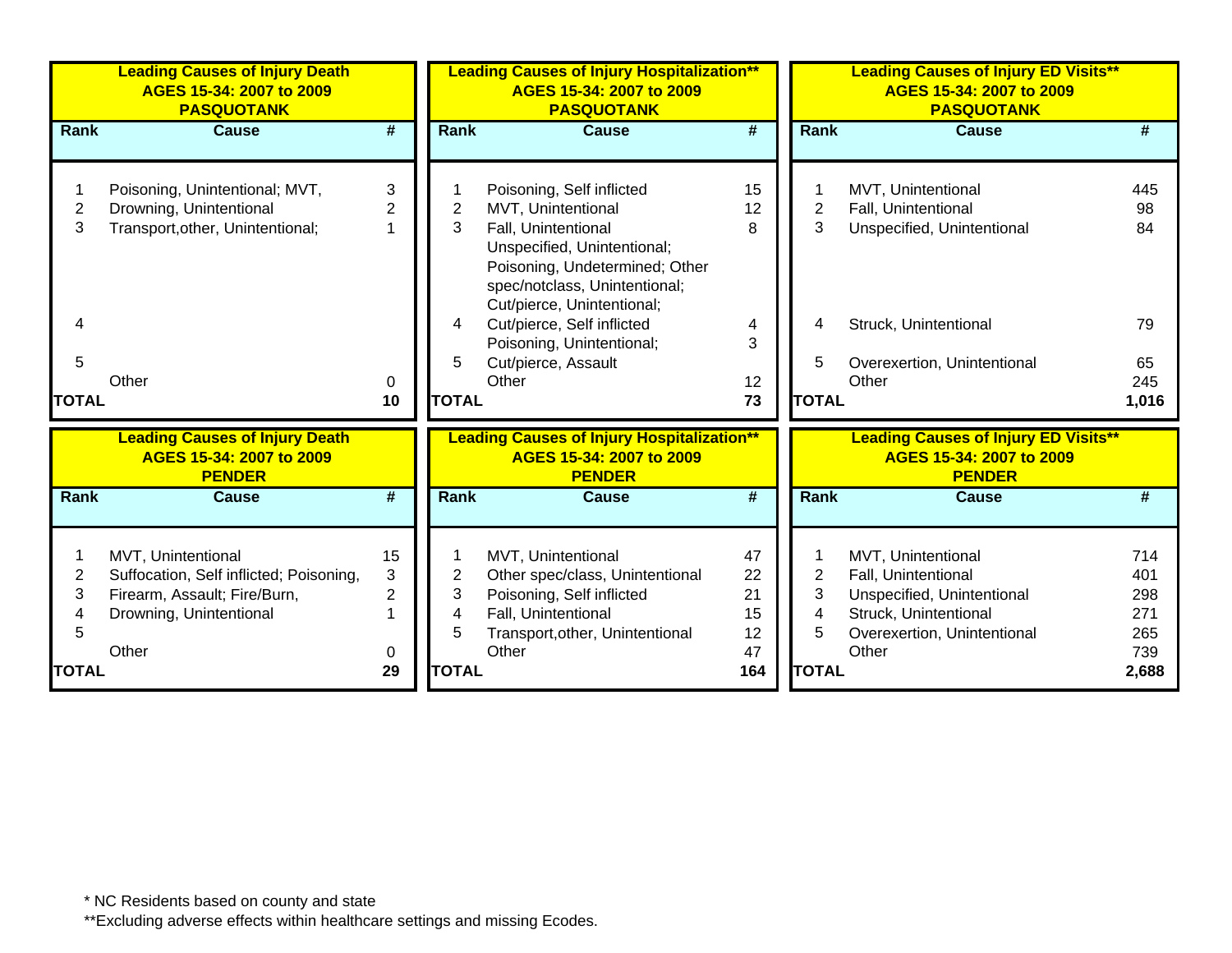|                   | <b>Leading Causes of Injury Death</b><br>AGES 15-34: 2007 to 2009<br><b>PASQUOTANK</b>                                            |                                     |                   | <b>Leading Causes of Injury Hospitalization**</b><br>AGES 15-34: 2007 to 2009<br><b>PASQUOTANK</b>                                                                                                                                   |                                  |                   | <b>Leading Causes of Injury ED Visits**</b><br>AGES 15-34: 2007 to 2009<br><b>PASQUOTANK</b>                                             |                                        |
|-------------------|-----------------------------------------------------------------------------------------------------------------------------------|-------------------------------------|-------------------|--------------------------------------------------------------------------------------------------------------------------------------------------------------------------------------------------------------------------------------|----------------------------------|-------------------|------------------------------------------------------------------------------------------------------------------------------------------|----------------------------------------|
| <b>Rank</b>       | <b>Cause</b>                                                                                                                      | $\overline{\boldsymbol{r}}$         | <b>Rank</b>       | <b>Cause</b>                                                                                                                                                                                                                         | #                                | <b>Rank</b>       | <b>Cause</b>                                                                                                                             | #                                      |
| 2<br>3<br>4       | Poisoning, Unintentional; MVT,<br>Drowning, Unintentional<br>Transport, other, Unintentional;                                     | 3<br>$\overline{2}$                 | 2<br>3<br>4       | Poisoning, Self inflicted<br>MVT, Unintentional<br>Fall, Unintentional<br>Unspecified, Unintentional;<br>Poisoning, Undetermined; Other<br>spec/notclass, Unintentional;<br>Cut/pierce, Unintentional;<br>Cut/pierce, Self inflicted | 15<br>12<br>8                    | 2<br>3<br>4       | MVT, Unintentional<br>Fall, Unintentional<br>Unspecified, Unintentional<br>Struck, Unintentional                                         | 445<br>98<br>84<br>79                  |
| 5<br><b>TOTAL</b> | Other                                                                                                                             | 0<br>10                             | 5<br><b>TOTAL</b> | Poisoning, Unintentional;<br>Cut/pierce, Assault<br>Other                                                                                                                                                                            | 3<br>12<br>73                    | 5<br><b>TOTAL</b> | Overexertion, Unintentional<br>Other                                                                                                     | 65<br>245<br>1,016                     |
|                   | <b>Leading Causes of Injury Death</b><br>AGES 15-34: 2007 to 2009<br><b>PENDER</b>                                                |                                     |                   | <b>Leading Causes of Injury Hospitalization**</b><br>AGES 15-34: 2007 to 2009<br><b>PENDER</b>                                                                                                                                       |                                  |                   | <b>Leading Causes of Injury ED Visits**</b><br>AGES 15-34: 2007 to 2009<br><b>PENDER</b>                                                 |                                        |
| <b>Rank</b>       | <b>Cause</b>                                                                                                                      | #                                   | <b>Rank</b>       | Cause                                                                                                                                                                                                                                | #                                | <b>Rank</b>       | <b>Cause</b>                                                                                                                             | #                                      |
| 2<br>3<br>5       | MVT, Unintentional<br>Suffocation, Self inflicted; Poisoning,<br>Firearm, Assault; Fire/Burn,<br>Drowning, Unintentional<br>Other | 15<br>3<br>$\overline{2}$<br>1<br>0 | 2<br>3<br>4<br>5  | MVT, Unintentional<br>Other spec/class, Unintentional<br>Poisoning, Self inflicted<br>Fall, Unintentional<br>Transport, other, Unintentional<br>Other                                                                                | 47<br>22<br>21<br>15<br>12<br>47 | 2<br>3<br>4<br>5  | MVT, Unintentional<br>Fall, Unintentional<br>Unspecified, Unintentional<br>Struck, Unintentional<br>Overexertion, Unintentional<br>Other | 714<br>401<br>298<br>271<br>265<br>739 |
| <b>TOTAL</b>      |                                                                                                                                   | 29                                  | <b>TOTAL</b>      |                                                                                                                                                                                                                                      | 164                              | <b>TOTAL</b>      |                                                                                                                                          | 2,688                                  |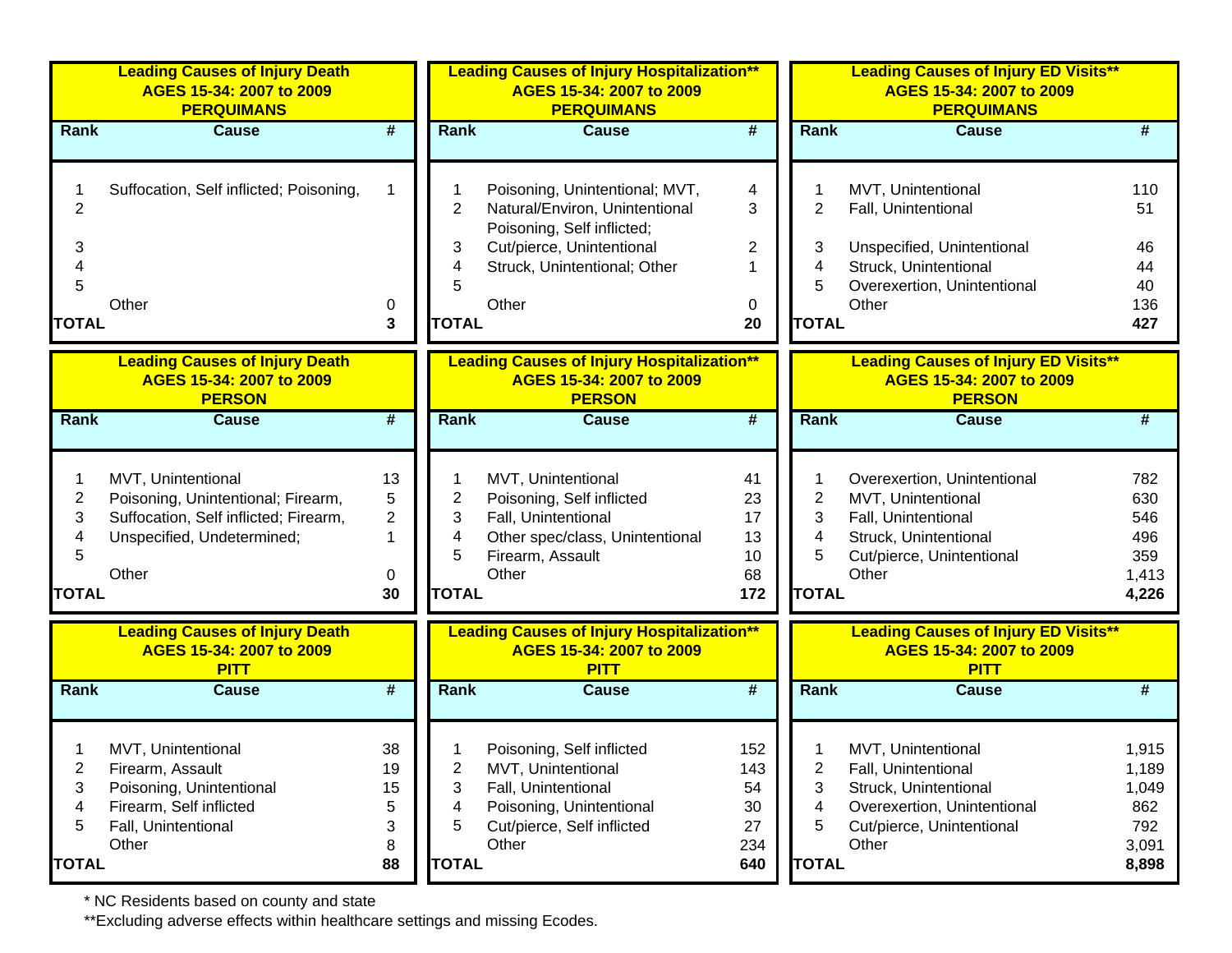|                  | <b>Leading Causes of Injury Death</b><br>AGES 15-34: 2007 to 2009<br><b>PERQUIMANS</b>                                                   |                                               |                  | <b>Leading Causes of Injury Hospitalization**</b><br>AGES 15-34: 2007 to 2009<br><b>PERQUIMANS</b>                                     |                                  |                  | <b>Leading Causes of Injury ED Visits**</b><br>AGES 15-34: 2007 to 2009<br><b>PERQUIMANS</b>                                            |                                          |
|------------------|------------------------------------------------------------------------------------------------------------------------------------------|-----------------------------------------------|------------------|----------------------------------------------------------------------------------------------------------------------------------------|----------------------------------|------------------|-----------------------------------------------------------------------------------------------------------------------------------------|------------------------------------------|
| Rank             | <b>Cause</b>                                                                                                                             | #                                             | <b>Rank</b>      | <b>Cause</b>                                                                                                                           | #                                | Rank             | <b>Cause</b>                                                                                                                            |                                          |
| $\overline{c}$   | Suffocation, Self inflicted; Poisoning,                                                                                                  | $\mathbf 1$                                   | $\overline{2}$   | Poisoning, Unintentional; MVT,<br>Natural/Environ, Unintentional                                                                       | 4<br>3                           | 2                | MVT, Unintentional<br>Fall, Unintentional                                                                                               | 110<br>51                                |
| 3<br>4<br>5      |                                                                                                                                          |                                               | 3<br>4<br>5      | Poisoning, Self inflicted;<br>Cut/pierce, Unintentional<br>Struck, Unintentional; Other                                                | $\overline{2}$                   | 3<br>4<br>5      | Unspecified, Unintentional<br>Struck, Unintentional<br>Overexertion, Unintentional                                                      | 46<br>44<br>40                           |
| <b>TOTAL</b>     | Other                                                                                                                                    | 0<br>3                                        | <b>TOTAL</b>     | Other                                                                                                                                  | 0<br>20                          | <b>TOTAL</b>     | Other                                                                                                                                   | 136<br>427                               |
|                  | <b>Leading Causes of Injury Death</b><br>AGES 15-34: 2007 to 2009<br><b>PERSON</b>                                                       |                                               |                  | <b>Leading Causes of Injury Hospitalization**</b><br>AGES 15-34: 2007 to 2009<br><b>PERSON</b>                                         |                                  |                  | <b>Leading Causes of Injury ED Visits**</b><br>AGES 15-34: 2007 to 2009<br><b>PERSON</b>                                                |                                          |
| Rank             | <b>Cause</b>                                                                                                                             | $\overline{\boldsymbol{t}}$                   | <b>Rank</b>      | <b>Cause</b>                                                                                                                           | $\overline{\boldsymbol{r}}$      | <b>Rank</b>      | <b>Cause</b>                                                                                                                            | #                                        |
| 2<br>3<br>4<br>5 | MVT, Unintentional<br>Poisoning, Unintentional; Firearm,<br>Suffocation, Self inflicted; Firearm,<br>Unspecified, Undetermined;<br>Other | 13<br>5<br>$\overline{2}$<br>$\mathbf 1$<br>0 | 2<br>3<br>4<br>5 | MVT, Unintentional<br>Poisoning, Self inflicted<br>Fall, Unintentional<br>Other spec/class, Unintentional<br>Firearm, Assault<br>Other | 41<br>23<br>17<br>13<br>10<br>68 | 2<br>3<br>4<br>5 | Overexertion, Unintentional<br>MVT, Unintentional<br>Fall, Unintentional<br>Struck, Unintentional<br>Cut/pierce, Unintentional<br>Other | 782<br>630<br>546<br>496<br>359<br>1,413 |
| <b>TOTAL</b>     |                                                                                                                                          | 30                                            | <b>TOTAL</b>     |                                                                                                                                        | 172                              | <b>TOTAL</b>     |                                                                                                                                         | 4,226                                    |
|                  | <b>Leading Causes of Injury Death</b><br>AGES 15-34: 2007 to 2009<br><b>PITT</b>                                                         |                                               |                  | <b>Leading Causes of Injury Hospitalization**</b><br>AGES 15-34: 2007 to 2009<br><b>PITT</b>                                           |                                  |                  | <b>Leading Causes of Injury ED Visits**</b><br>AGES 15-34: 2007 to 2009<br><b>PITT</b>                                                  |                                          |
| <b>Rank</b>      | <b>Cause</b>                                                                                                                             | $\overline{\boldsymbol{H}}$                   | <b>Rank</b>      | <b>Cause</b>                                                                                                                           | $\overline{\boldsymbol{r}}$      | <b>Rank</b>      | <b>Cause</b>                                                                                                                            | #                                        |
| 2<br>3<br>4<br>5 | MVT, Unintentional<br>Firearm, Assault<br>Poisoning, Unintentional<br>Firearm, Self inflicted<br>Fall, Unintentional                     | 38<br>19<br>15<br>5<br>3                      | 2<br>3<br>4<br>5 | Poisoning, Self inflicted<br>MVT, Unintentional<br>Fall, Unintentional<br>Poisoning, Unintentional<br>Cut/pierce, Self inflicted       | 152<br>143<br>54<br>30<br>27     | 2<br>3<br>4<br>5 | MVT, Unintentional<br>Fall, Unintentional<br>Struck, Unintentional<br>Overexertion, Unintentional<br>Cut/pierce, Unintentional          | 1,915<br>1,189<br>1,049<br>862<br>792    |
| <b>TOTAL</b>     | Other                                                                                                                                    | 8<br>88                                       | <b>TOTAL</b>     | Other                                                                                                                                  | 234<br>640                       | <b>TOTAL</b>     | Other                                                                                                                                   | 3,091<br>8,898                           |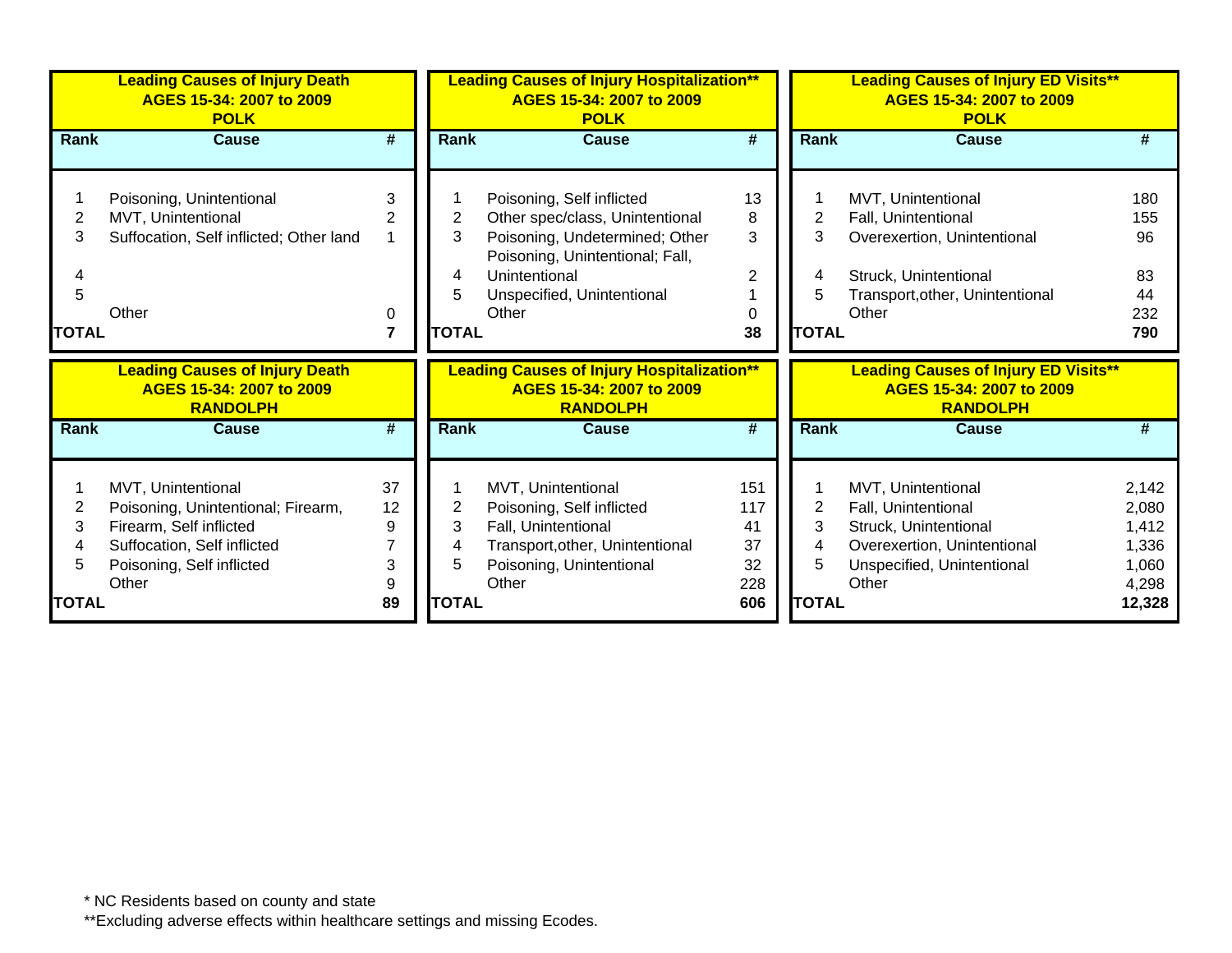|              | <b>Leading Causes of Injury Death</b><br>AGES 15-34: 2007 to 2009<br><b>POLK</b>     |    |              | <b>Leading Causes of Injury Hospitalization**</b><br>AGES 15-34: 2007 to 2009<br><b>POLK</b>     |        |              | <b>Leading Causes of Injury ED Visits**</b><br>AGES 15-34: 2007 to 2009<br><b>POLK</b>     |           |
|--------------|--------------------------------------------------------------------------------------|----|--------------|--------------------------------------------------------------------------------------------------|--------|--------------|--------------------------------------------------------------------------------------------|-----------|
| Rank         | <b>Cause</b>                                                                         | #  | Rank         | <b>Cause</b>                                                                                     | #      | Rank         | <b>Cause</b>                                                                               | #         |
|              |                                                                                      |    |              |                                                                                                  |        |              |                                                                                            |           |
|              | Poisoning, Unintentional                                                             | 3  |              | Poisoning, Self inflicted                                                                        | 13     |              | MVT, Unintentional                                                                         | 180       |
| 2<br>3       | MVT, Unintentional                                                                   |    | 2<br>3       | Other spec/class, Unintentional<br>Poisoning, Undetermined; Other                                | 8<br>3 | 2<br>3       | Fall, Unintentional                                                                        | 155<br>96 |
|              | Suffocation, Self inflicted; Other land                                              |    |              | Poisoning, Unintentional; Fall,                                                                  |        |              | Overexertion, Unintentional                                                                |           |
|              |                                                                                      |    | 4            | Unintentional                                                                                    | 2      | 4            | Struck, Unintentional                                                                      | 83        |
| 5            |                                                                                      |    | 5            | Unspecified, Unintentional                                                                       |        | 5            | Transport, other, Unintentional                                                            | 44        |
|              | Other                                                                                | 0  |              | Other                                                                                            | 0      |              | Other                                                                                      | 232       |
| <b>TOTAL</b> |                                                                                      | 7  | <b>TOTAL</b> |                                                                                                  | 38     | <b>TOTAL</b> |                                                                                            | 790       |
|              | <b>Leading Causes of Injury Death</b><br>AGES 15-34: 2007 to 2009<br><b>RANDOLPH</b> |    |              | <b>Leading Causes of Injury Hospitalization**</b><br>AGES 15-34: 2007 to 2009<br><b>RANDOLPH</b> |        |              | <b>Leading Causes of Injury ED Visits**</b><br>AGES 15-34: 2007 to 2009<br><b>RANDOLPH</b> |           |
| <b>Rank</b>  | <b>Cause</b>                                                                         | #  | Rank         | <b>Cause</b>                                                                                     | #      | <b>Rank</b>  | <b>Cause</b>                                                                               | #         |
|              | MVT, Unintentional                                                                   | 37 |              | MVT, Unintentional                                                                               | 151    |              | MVT, Unintentional                                                                         | 2,142     |
| 2            | Poisoning, Unintentional; Firearm,                                                   | 12 | 2            | Poisoning, Self inflicted                                                                        | 117    | 2            | Fall, Unintentional                                                                        | 2,080     |
| 3            | Firearm, Self inflicted                                                              | 9  | 3            | Fall, Unintentional                                                                              | 41     | 3            | Struck, Unintentional                                                                      | 1,412     |
|              | Suffocation, Self inflicted                                                          |    | 4            | Transport, other, Unintentional                                                                  | 37     | 4            | Overexertion, Unintentional                                                                | 1,336     |
|              | Poisoning, Self inflicted                                                            | 3  | 5            | Poisoning, Unintentional                                                                         | 32     | 5            | Unspecified, Unintentional                                                                 | 1,060     |
|              | Other                                                                                | 9  |              | Other                                                                                            | 228    |              | Other                                                                                      | 4,298     |
| TOTAL        |                                                                                      | 89 | <b>TOTAL</b> |                                                                                                  | 606    | <b>TOTAL</b> |                                                                                            | 12,328    |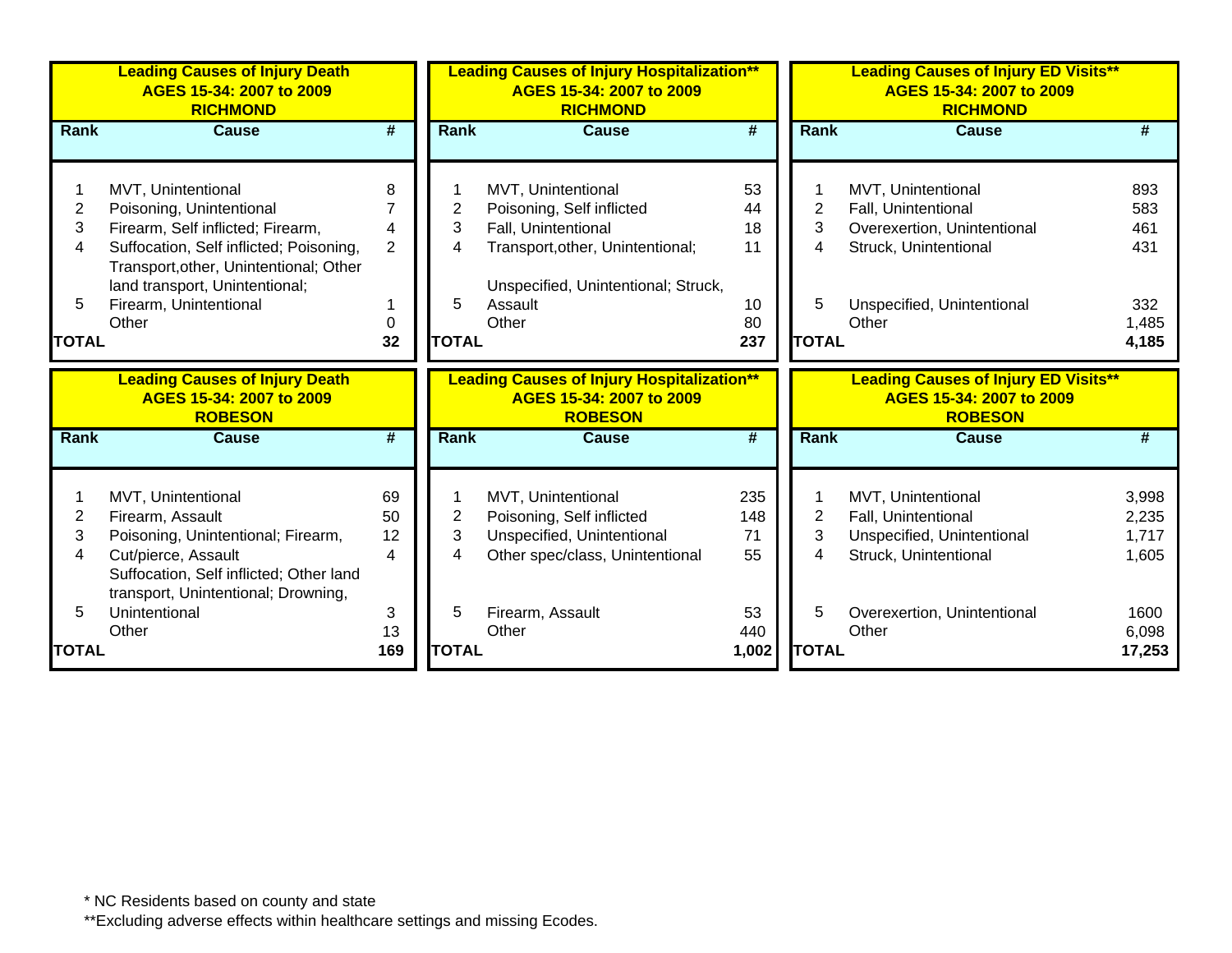|                     | <b>Leading Causes of Injury Death</b><br>AGES 15-34: 2007 to 2009<br><b>RICHMOND</b> |                             |                     | <b>Leading Causes of Injury Hospitalization**</b><br>AGES 15-34: 2007 to 2009<br><b>RICHMOND</b> |                             |              | <b>Leading Causes of Injury ED Visits**</b><br>AGES 15-34: 2007 to 2009<br><b>RICHMOND</b> |                |
|---------------------|--------------------------------------------------------------------------------------|-----------------------------|---------------------|--------------------------------------------------------------------------------------------------|-----------------------------|--------------|--------------------------------------------------------------------------------------------|----------------|
| <b>Rank</b>         | <b>Cause</b>                                                                         | $\overline{\boldsymbol{r}}$ | <b>Rank</b>         | <b>Cause</b>                                                                                     | $\overline{\boldsymbol{H}}$ | Rank         | <b>Cause</b>                                                                               |                |
|                     |                                                                                      |                             |                     |                                                                                                  |                             |              |                                                                                            |                |
|                     | MVT, Unintentional                                                                   | 8                           |                     | MVT, Unintentional                                                                               | 53                          |              | MVT, Unintentional                                                                         | 893            |
| $\overline{2}$      | Poisoning, Unintentional                                                             |                             | 2                   | Poisoning, Self inflicted                                                                        | 44                          | 2            | Fall, Unintentional                                                                        | 583            |
| 3                   | Firearm, Self inflicted; Firearm,                                                    | Δ                           | 3                   | Fall, Unintentional                                                                              | 18                          | 3            | Overexertion, Unintentional                                                                | 461            |
| 4                   | Suffocation, Self inflicted; Poisoning,                                              | 2                           | 4                   | Transport, other, Unintentional;                                                                 | 11                          | 4            | Struck, Unintentional                                                                      | 431            |
|                     | Transport, other, Unintentional; Other                                               |                             |                     |                                                                                                  |                             |              |                                                                                            |                |
|                     | land transport, Unintentional;                                                       |                             |                     | Unspecified, Unintentional; Struck,                                                              |                             |              |                                                                                            |                |
| 5                   | Firearm, Unintentional                                                               |                             | 5                   | Assault                                                                                          | 10                          | 5            | Unspecified, Unintentional                                                                 | 332            |
|                     | Other                                                                                | $\Omega$                    |                     | Other                                                                                            | 80                          |              | Other                                                                                      | 1,485          |
| <b>TOTAL</b>        |                                                                                      | 32                          | <b>TOTAL</b>        |                                                                                                  | 237                         | <b>TOTAL</b> |                                                                                            | 4,185          |
|                     |                                                                                      |                             |                     |                                                                                                  |                             |              |                                                                                            |                |
|                     | <b>Leading Causes of Injury Death</b><br>AGES 15-34: 2007 to 2009<br><b>ROBESON</b>  |                             |                     | <b>Leading Causes of Injury Hospitalization**</b><br>AGES 15-34: 2007 to 2009<br><b>ROBESON</b>  |                             |              | <b>Leading Causes of Injury ED Visits**</b><br>AGES 15-34: 2007 to 2009<br><b>ROBESON</b>  |                |
| <b>Rank</b>         | <b>Cause</b>                                                                         | #                           | <b>Rank</b>         | <b>Cause</b>                                                                                     | #                           | <b>Rank</b>  | <b>Cause</b>                                                                               | #              |
|                     |                                                                                      |                             |                     |                                                                                                  |                             |              |                                                                                            |                |
|                     |                                                                                      |                             |                     |                                                                                                  |                             |              |                                                                                            |                |
|                     | MVT, Unintentional                                                                   | 69                          |                     | MVT, Unintentional                                                                               | 235                         |              | MVT, Unintentional                                                                         | 3,998          |
| $\overline{2}$<br>3 | Firearm, Assault                                                                     | 50<br>12                    | $\overline{c}$<br>3 | Poisoning, Self inflicted                                                                        | 148<br>71                   | 2<br>3       | Fall, Unintentional                                                                        | 2,235<br>1,717 |
| 4                   | Poisoning, Unintentional; Firearm,<br>Cut/pierce, Assault                            | 4                           | 4                   | Unspecified, Unintentional                                                                       | 55                          | 4            | Unspecified, Unintentional<br>Struck, Unintentional                                        | 1,605          |
|                     | Suffocation, Self inflicted; Other land                                              |                             |                     | Other spec/class, Unintentional                                                                  |                             |              |                                                                                            |                |
|                     | transport, Unintentional; Drowning,                                                  |                             |                     |                                                                                                  |                             |              |                                                                                            |                |
| 5                   | Unintentional<br>Other                                                               | 3<br>13                     | 5                   | Firearm, Assault<br>Other                                                                        | 53<br>440                   | 5            | Overexertion, Unintentional<br>Other                                                       | 1600<br>6,098  |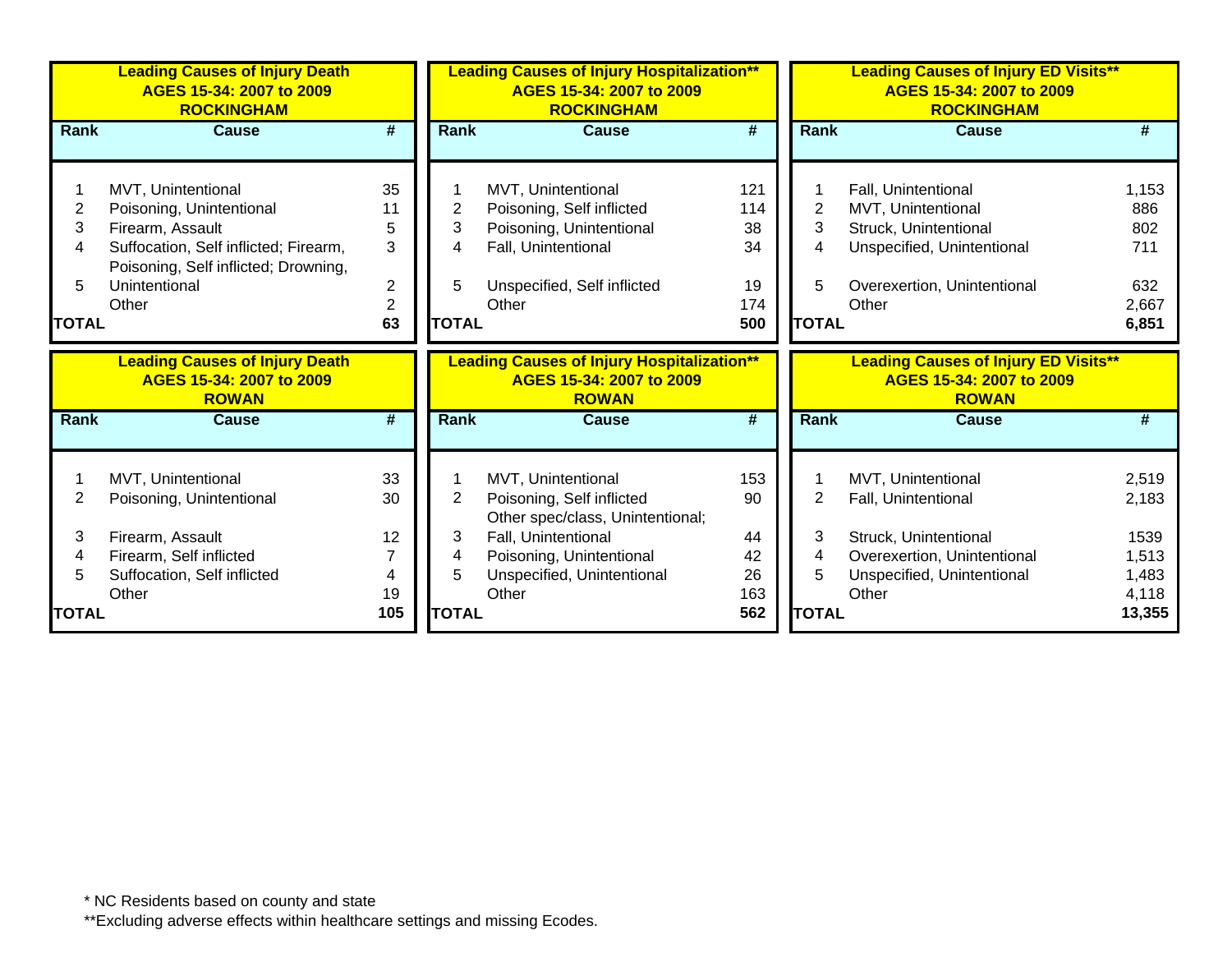|                | <b>Leading Causes of Injury Death</b><br>AGES 15-34: 2007 to 2009<br><b>ROCKINGHAM</b> |                             |              | <b>Leading Causes of Injury Hospitalization**</b><br>AGES 15-34: 2007 to 2009<br><b>ROCKINGHAM</b> |                             |              | <b>Leading Causes of Injury ED Visits**</b><br>AGES 15-34: 2007 to 2009<br><b>ROCKINGHAM</b> |                |
|----------------|----------------------------------------------------------------------------------------|-----------------------------|--------------|----------------------------------------------------------------------------------------------------|-----------------------------|--------------|----------------------------------------------------------------------------------------------|----------------|
| <b>Rank</b>    | <b>Cause</b>                                                                           | $\overline{\boldsymbol{r}}$ | <b>Rank</b>  | <b>Cause</b>                                                                                       | $\overline{\boldsymbol{H}}$ | Rank         | <b>Cause</b>                                                                                 | #              |
|                |                                                                                        |                             |              |                                                                                                    |                             |              |                                                                                              |                |
|                | MVT, Unintentional                                                                     | 35                          |              | MVT, Unintentional                                                                                 | 121                         |              | Fall, Unintentional                                                                          | 1,153          |
| $\overline{2}$ | Poisoning, Unintentional                                                               | 11                          | 2            | Poisoning, Self inflicted                                                                          | 114                         | 2            | MVT, Unintentional                                                                           | 886            |
| 3              | Firearm, Assault                                                                       | 5                           | 3            | Poisoning, Unintentional                                                                           | 38                          | 3            | Struck, Unintentional                                                                        | 802            |
| 4              | Suffocation, Self inflicted; Firearm,                                                  | 3                           | 4            | Fall, Unintentional                                                                                | 34                          | 4            | Unspecified, Unintentional                                                                   | 711            |
| 5              | Poisoning, Self inflicted; Drowning,<br>Unintentional                                  | $\overline{c}$              | 5            | Unspecified, Self inflicted                                                                        | 19                          | 5            | Overexertion, Unintentional                                                                  | 632            |
|                | Other                                                                                  | $\overline{2}$              |              | Other                                                                                              | 174                         |              | Other                                                                                        | 2,667          |
| <b>TOTAL</b>   |                                                                                        | 63                          | <b>TOTAL</b> |                                                                                                    | 500                         | <b>TOTAL</b> |                                                                                              | 6,851          |
|                |                                                                                        |                             |              |                                                                                                    |                             |              |                                                                                              |                |
|                |                                                                                        |                             |              |                                                                                                    |                             |              |                                                                                              |                |
|                | <b>Leading Causes of Injury Death</b><br>AGES 15-34: 2007 to 2009<br><b>ROWAN</b>      |                             |              | <b>Leading Causes of Injury Hospitalization**</b><br>AGES 15-34: 2007 to 2009<br><b>ROWAN</b>      |                             |              | <b>Leading Causes of Injury ED Visits**</b><br>AGES 15-34: 2007 to 2009<br><b>ROWAN</b>      |                |
| <b>Rank</b>    | <b>Cause</b>                                                                           | #                           | <b>Rank</b>  | <b>Cause</b>                                                                                       | #                           | Rank         | Cause                                                                                        | #              |
|                |                                                                                        |                             |              |                                                                                                    |                             |              |                                                                                              |                |
|                | MVT, Unintentional                                                                     | 33                          |              | MVT, Unintentional                                                                                 | 153                         |              | MVT, Unintentional                                                                           | 2,519          |
| 2              | Poisoning, Unintentional                                                               | 30                          | 2            | Poisoning, Self inflicted                                                                          | 90                          | 2            | Fall, Unintentional                                                                          | 2,183          |
| 3              |                                                                                        |                             |              | Other spec/class, Unintentional;                                                                   |                             | 3            |                                                                                              |                |
| 4              | Firearm, Assault                                                                       | 12                          | 3<br>4       | Fall, Unintentional                                                                                | 44                          | 4            | Struck, Unintentional                                                                        | 1539           |
| 5              | Firearm, Self inflicted                                                                | 4                           | 5            | Poisoning, Unintentional                                                                           | 42<br>26                    | 5            | Overexertion, Unintentional                                                                  | 1,513          |
|                | Suffocation, Self inflicted<br>Other                                                   | 19                          |              | Unspecified, Unintentional<br>Other                                                                | 163                         |              | Unspecified, Unintentional<br>Other                                                          | 1,483<br>4,118 |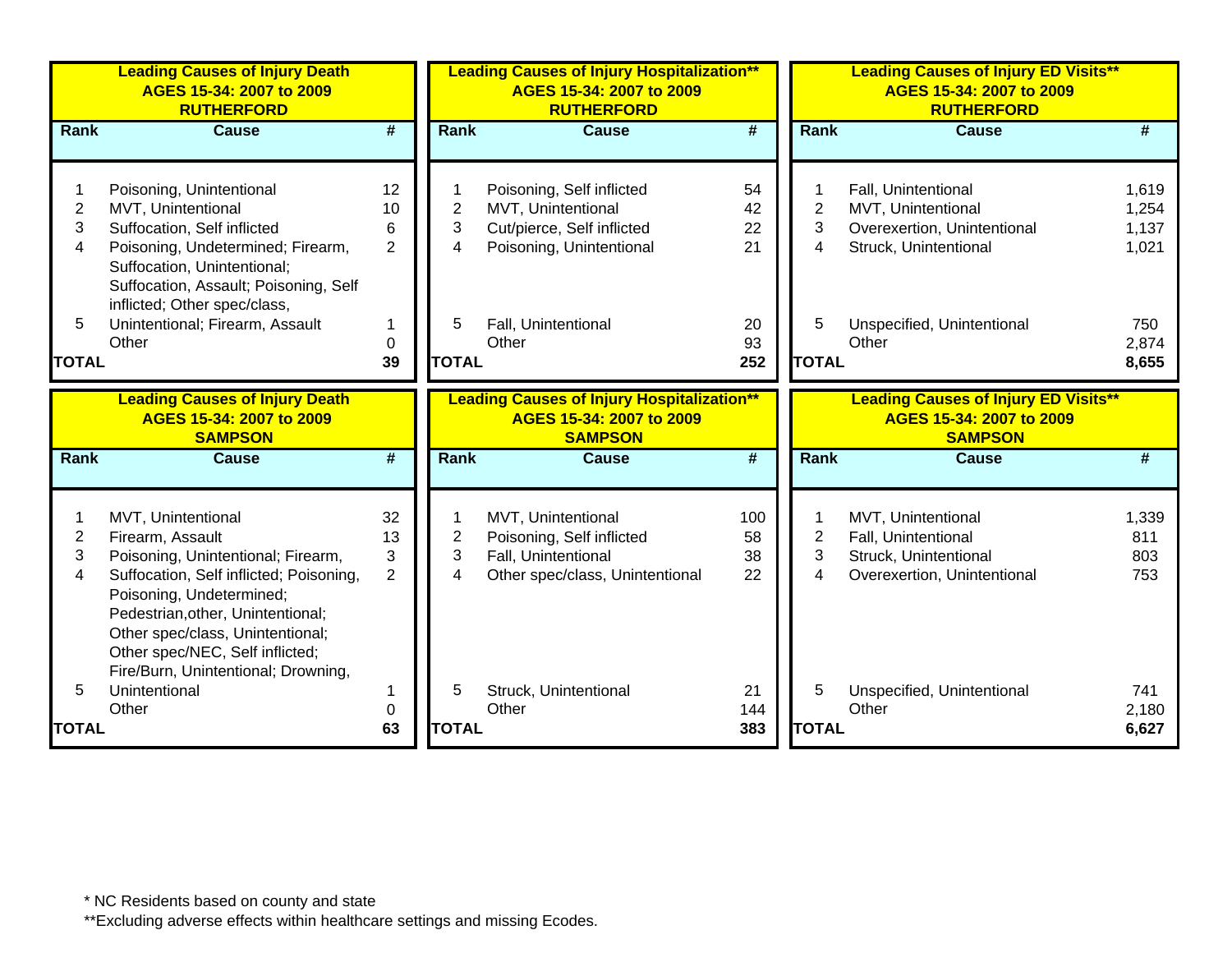|                | <b>Leading Causes of Injury Death</b><br>AGES 15-34: 2007 to 2009<br><b>RUTHERFORD</b> |                             |                | <b>Leading Causes of Injury Hospitalization**</b><br>AGES 15-34: 2007 to 2009<br><b>RUTHERFORD</b> |                             |              | <b>Leading Causes of Injury ED Visits**</b><br>AGES 15-34: 2007 to 2009<br><b>RUTHERFORD</b> |       |
|----------------|----------------------------------------------------------------------------------------|-----------------------------|----------------|----------------------------------------------------------------------------------------------------|-----------------------------|--------------|----------------------------------------------------------------------------------------------|-------|
| Rank           | <b>Cause</b>                                                                           | $\overline{\boldsymbol{H}}$ | <b>Rank</b>    | <b>Cause</b>                                                                                       | $\overline{\boldsymbol{H}}$ | <b>Rank</b>  | <b>Cause</b>                                                                                 | #     |
|                |                                                                                        |                             |                |                                                                                                    |                             |              |                                                                                              |       |
|                | Poisoning, Unintentional                                                               | 12                          |                | Poisoning, Self inflicted                                                                          | 54                          |              | Fall, Unintentional                                                                          | 1,619 |
| $\overline{2}$ | MVT, Unintentional                                                                     | 10                          | $\overline{2}$ | MVT, Unintentional                                                                                 | 42                          | 2            | MVT, Unintentional                                                                           | 1,254 |
| 3              | Suffocation, Self inflicted                                                            | 6                           | 3              | Cut/pierce, Self inflicted                                                                         | 22                          | 3            | Overexertion, Unintentional                                                                  | 1,137 |
| 4              | Poisoning, Undetermined; Firearm,                                                      | $\overline{2}$              | 4              | Poisoning, Unintentional                                                                           | 21                          | 4            | Struck, Unintentional                                                                        | 1,021 |
|                | Suffocation, Unintentional;                                                            |                             |                |                                                                                                    |                             |              |                                                                                              |       |
|                | Suffocation, Assault; Poisoning, Self                                                  |                             |                |                                                                                                    |                             |              |                                                                                              |       |
|                | inflicted; Other spec/class,                                                           |                             |                |                                                                                                    |                             |              |                                                                                              |       |
| 5              | Unintentional; Firearm, Assault                                                        | 1                           | 5              | Fall, Unintentional                                                                                | 20                          | 5            | Unspecified, Unintentional                                                                   | 750   |
|                | Other                                                                                  | 0                           |                | Other                                                                                              | 93                          |              | Other                                                                                        | 2,874 |
| <b>TOTAL</b>   |                                                                                        | 39                          | <b>TOTAL</b>   |                                                                                                    | 252                         | <b>TOTAL</b> |                                                                                              | 8,655 |
|                | <b>Leading Causes of Injury Death</b>                                                  |                             |                | <b>Leading Causes of Injury Hospitalization**</b>                                                  |                             |              | <b>Leading Causes of Injury ED Visits**</b>                                                  |       |
|                | AGES 15-34: 2007 to 2009<br><b>SAMPSON</b>                                             |                             |                | AGES 15-34: 2007 to 2009<br><b>SAMPSON</b>                                                         |                             |              | AGES 15-34: 2007 to 2009<br><b>SAMPSON</b>                                                   |       |
| Rank           | <b>Cause</b>                                                                           | $\overline{\boldsymbol{t}}$ | Rank           | <b>Cause</b>                                                                                       | $\overline{\boldsymbol{t}}$ | <b>Rank</b>  | <b>Cause</b>                                                                                 | #     |
|                |                                                                                        |                             |                |                                                                                                    |                             |              |                                                                                              |       |
|                | MVT, Unintentional                                                                     | 32                          | 1              | MVT, Unintentional                                                                                 | 100                         |              | MVT, Unintentional                                                                           | 1,339 |
| $\overline{c}$ | Firearm, Assault                                                                       | 13                          | $\overline{2}$ | Poisoning, Self inflicted                                                                          | 58                          | 2            | Fall, Unintentional                                                                          | 811   |
| 3              | Poisoning, Unintentional; Firearm,                                                     | 3                           | 3              | Fall, Unintentional                                                                                | 38                          | 3            | Struck, Unintentional                                                                        | 803   |
| 4              | Suffocation, Self inflicted; Poisoning,                                                | $\overline{2}$              | 4              | Other spec/class, Unintentional                                                                    | 22                          | 4            | Overexertion, Unintentional                                                                  | 753   |
|                | Poisoning, Undetermined;                                                               |                             |                |                                                                                                    |                             |              |                                                                                              |       |
|                | Pedestrian, other, Unintentional;                                                      |                             |                |                                                                                                    |                             |              |                                                                                              |       |
|                | Other spec/class, Unintentional;                                                       |                             |                |                                                                                                    |                             |              |                                                                                              |       |
|                | Other spec/NEC, Self inflicted;                                                        |                             |                |                                                                                                    |                             |              |                                                                                              |       |
|                | Fire/Burn, Unintentional; Drowning,                                                    |                             |                |                                                                                                    |                             |              |                                                                                              |       |
| 5              | Unintentional                                                                          |                             | 5              | Struck, Unintentional                                                                              | 21                          | 5            | Unspecified, Unintentional                                                                   | 741   |
|                | Other                                                                                  | $\mathbf 0$                 |                | Other                                                                                              | 144                         |              | Other                                                                                        | 2,180 |
| <b>TOTAL</b>   |                                                                                        | 63                          | <b>TOTAL</b>   |                                                                                                    | 383                         | <b>TOTAL</b> |                                                                                              | 6,627 |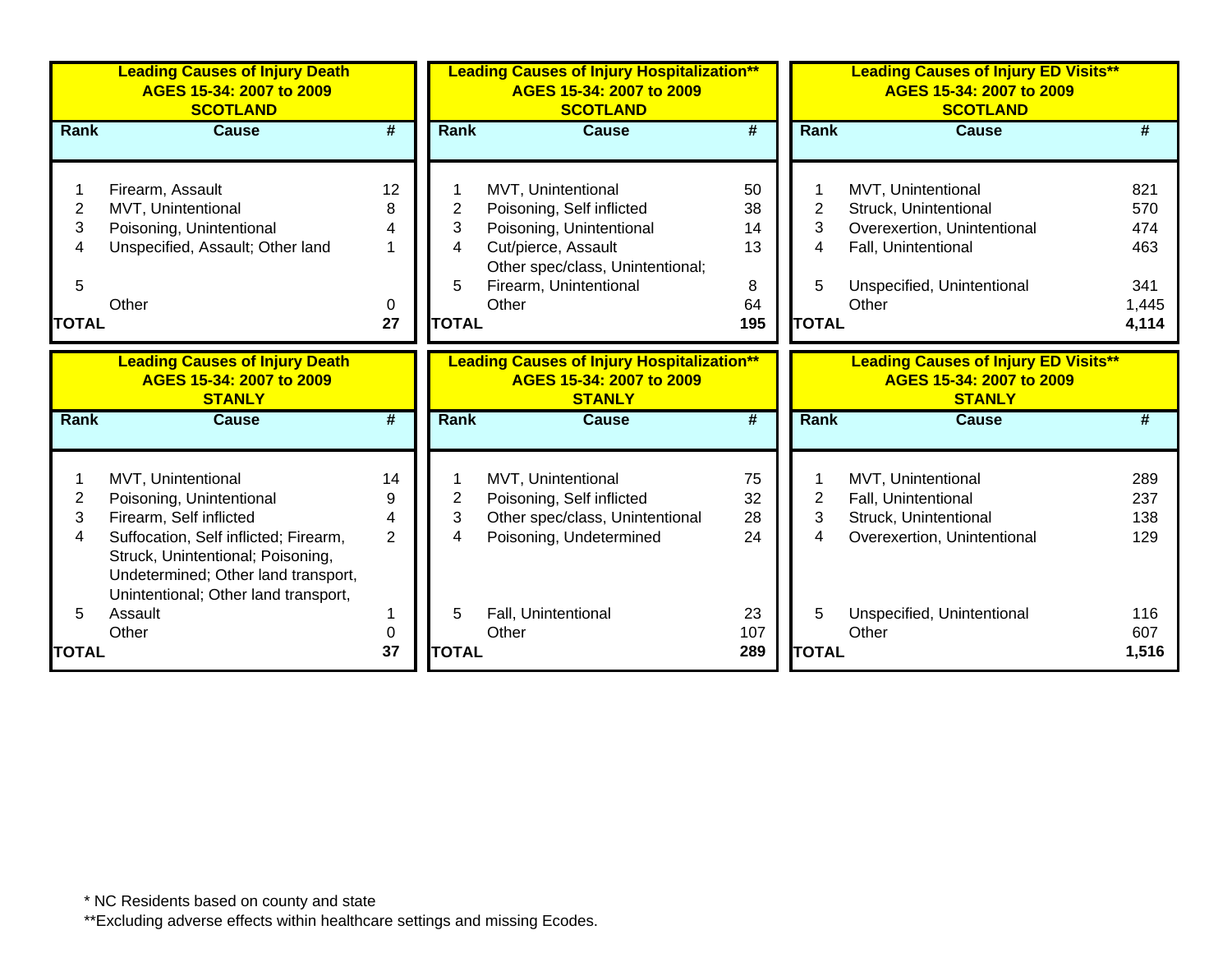|                | <b>Leading Causes of Injury Death</b><br>AGES 15-34: 2007 to 2009<br><b>SCOTLAND</b> |                             |                | <b>Leading Causes of Injury Hospitalization**</b><br>AGES 15-34: 2007 to 2009<br><b>SCOTLAND</b> |                             |                | <b>Leading Causes of Injury ED Visits**</b><br>AGES 15-34: 2007 to 2009<br><b>SCOTLAND</b> |       |
|----------------|--------------------------------------------------------------------------------------|-----------------------------|----------------|--------------------------------------------------------------------------------------------------|-----------------------------|----------------|--------------------------------------------------------------------------------------------|-------|
| <b>Rank</b>    | <b>Cause</b>                                                                         | $\overline{\boldsymbol{H}}$ | Rank           | <b>Cause</b>                                                                                     | $\overline{\boldsymbol{t}}$ | Rank           | <b>Cause</b>                                                                               |       |
|                |                                                                                      |                             |                |                                                                                                  |                             |                |                                                                                            |       |
|                | Firearm, Assault                                                                     | 12                          |                | MVT, Unintentional                                                                               | 50                          |                | MVT, Unintentional                                                                         | 821   |
| 2              | MVT, Unintentional                                                                   | 8                           | 2              | Poisoning, Self inflicted                                                                        | 38                          | $\overline{2}$ | Struck, Unintentional                                                                      | 570   |
| 3              | Poisoning, Unintentional                                                             | 4                           | 3              | Poisoning, Unintentional                                                                         | 14                          | 3              | Overexertion, Unintentional                                                                | 474   |
| 4              | Unspecified, Assault; Other land                                                     | $\mathbf 1$                 | 4              | Cut/pierce, Assault                                                                              | 13                          | 4              | Fall, Unintentional                                                                        | 463   |
|                |                                                                                      |                             |                | Other spec/class, Unintentional;                                                                 |                             |                |                                                                                            |       |
| 5              |                                                                                      |                             | 5              | Firearm, Unintentional                                                                           | 8                           | 5              | Unspecified, Unintentional                                                                 | 341   |
|                | Other                                                                                | 0                           |                | Other                                                                                            | 64                          |                | Other                                                                                      | 1,445 |
| <b>TOTAL</b>   |                                                                                      | 27                          | <b>TOTAL</b>   |                                                                                                  | 195                         | <b>TOTAL</b>   |                                                                                            | 4,114 |
|                | <b>Leading Causes of Injury Death</b>                                                |                             |                | <b>Leading Causes of Injury Hospitalization**</b>                                                |                             |                | <b>Leading Causes of Injury ED Visits**</b>                                                |       |
|                | AGES 15-34: 2007 to 2009                                                             |                             |                | AGES 15-34: 2007 to 2009                                                                         |                             |                | AGES 15-34: 2007 to 2009                                                                   |       |
|                | <b>STANLY</b>                                                                        |                             |                | <b>STANLY</b>                                                                                    |                             |                | <b>STANLY</b>                                                                              |       |
| Rank           | <b>Cause</b>                                                                         | #                           | <b>Rank</b>    | <b>Cause</b>                                                                                     | #                           | <b>Rank</b>    | <b>Cause</b>                                                                               |       |
|                |                                                                                      |                             |                |                                                                                                  |                             |                |                                                                                            |       |
|                | MVT, Unintentional                                                                   | 14                          |                | MVT, Unintentional                                                                               | 75                          |                | MVT, Unintentional                                                                         | 289   |
| $\overline{c}$ | Poisoning, Unintentional                                                             | 9                           | $\overline{2}$ | Poisoning, Self inflicted                                                                        | 32                          | $\overline{2}$ | Fall, Unintentional                                                                        | 237   |
| 3              | Firearm, Self inflicted                                                              | 4                           | 3              | Other spec/class, Unintentional                                                                  | 28                          | 3              | Struck, Unintentional                                                                      | 138   |
| 4              | Suffocation, Self inflicted; Firearm,                                                | $\overline{2}$              | 4              | Poisoning, Undetermined                                                                          | 24                          | 4              | Overexertion, Unintentional                                                                | 129   |
|                | Struck, Unintentional; Poisoning,                                                    |                             |                |                                                                                                  |                             |                |                                                                                            |       |
|                | Undetermined; Other land transport,                                                  |                             |                |                                                                                                  |                             |                |                                                                                            |       |
|                | Unintentional; Other land transport,                                                 |                             |                |                                                                                                  |                             |                |                                                                                            |       |
| 5              | Assault                                                                              | 1                           | 5              | Fall, Unintentional                                                                              | 23                          | 5              | Unspecified, Unintentional                                                                 | 116   |
|                | Other                                                                                | 0                           |                | Other                                                                                            | 107                         |                | Other                                                                                      | 607   |
| TOTAL          |                                                                                      | 37                          | <b>TOTAL</b>   |                                                                                                  | 289                         | <b>TOTAL</b>   |                                                                                            | 1,516 |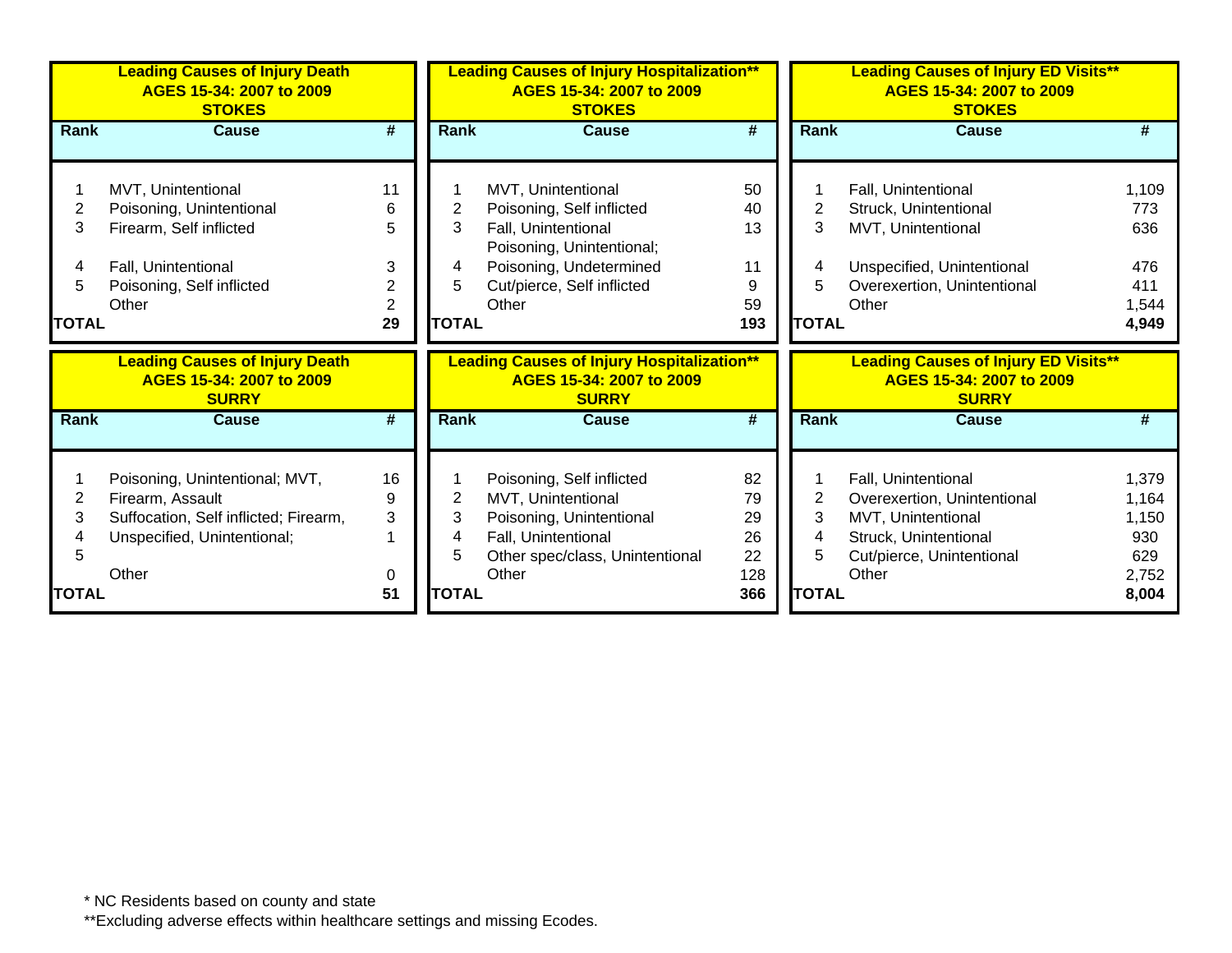|              | <b>Leading Causes of Injury Death</b><br>AGES 15-34: 2007 to 2009<br><b>STOKES</b> |                |              | <b>Leading Causes of Injury Hospitalization**</b><br>AGES 15-34: 2007 to 2009<br><b>STOKES</b> |            |              | <b>Leading Causes of Injury ED Visits**</b><br>AGES 15-34: 2007 to 2009<br><b>STOKES</b> |                |
|--------------|------------------------------------------------------------------------------------|----------------|--------------|------------------------------------------------------------------------------------------------|------------|--------------|------------------------------------------------------------------------------------------|----------------|
| Rank         | <b>Cause</b>                                                                       | #              | Rank         | <b>Cause</b>                                                                                   | #          | Rank         | <b>Cause</b>                                                                             | #              |
|              | MVT, Unintentional                                                                 | 11             |              | MVT, Unintentional                                                                             | 50         |              | Fall, Unintentional                                                                      | 1,109          |
| 2            | Poisoning, Unintentional                                                           | 6              | 2            | Poisoning, Self inflicted                                                                      | 40         | 2            | Struck, Unintentional                                                                    | 773            |
| 3            | Firearm, Self inflicted                                                            | 5              | 3            | Fall, Unintentional<br>Poisoning, Unintentional;                                               | 13         | 3            | MVT, Unintentional                                                                       | 636            |
|              | Fall, Unintentional                                                                | 3              | 4            | Poisoning, Undetermined                                                                        | 11         | 4            | Unspecified, Unintentional                                                               | 476            |
| 5            | Poisoning, Self inflicted                                                          | 2              | 5            | Cut/pierce, Self inflicted                                                                     | 9          | 5            | Overexertion, Unintentional                                                              | 411            |
|              | Other                                                                              | $\overline{2}$ |              | Other                                                                                          | 59         |              | Other                                                                                    | 1,544          |
| <b>TOTAL</b> |                                                                                    | 29             | <b>TOTAL</b> |                                                                                                | 193        | <b>TOTAL</b> |                                                                                          | 4,949          |
|              |                                                                                    |                |              |                                                                                                |            |              |                                                                                          |                |
|              | <b>Leading Causes of Injury Death</b><br>AGES 15-34: 2007 to 2009<br><b>SURRY</b>  |                |              | <b>Leading Causes of Injury Hospitalization**</b><br>AGES 15-34: 2007 to 2009<br><b>SURRY</b>  |            |              | <b>Leading Causes of Injury ED Visits**</b><br>AGES 15-34: 2007 to 2009<br><b>SURRY</b>  |                |
| <b>Rank</b>  | <b>Cause</b>                                                                       | #              | <b>Rank</b>  | <b>Cause</b>                                                                                   | #          | Rank         | <b>Cause</b>                                                                             | #              |
|              | Poisoning, Unintentional; MVT,                                                     | 16             |              | Poisoning, Self inflicted                                                                      | 82         |              | Fall, Unintentional                                                                      | 1,379          |
| 2            | Firearm, Assault                                                                   | 9              | 2            | MVT, Unintentional                                                                             | 79         | 2            | Overexertion, Unintentional                                                              | 1,164          |
| 3            | Suffocation, Self inflicted; Firearm,                                              | 3              | 3            | Poisoning, Unintentional                                                                       | 29         | 3            | MVT, Unintentional                                                                       | 1,150          |
|              | Unspecified, Unintentional;                                                        |                | 4            | Fall, Unintentional                                                                            | 26         | 4            | Struck, Unintentional                                                                    | 930            |
| 5            |                                                                                    |                | 5            | Other spec/class, Unintentional                                                                | 22         | 5            | Cut/pierce, Unintentional                                                                | 629            |
| <b>TOTAL</b> | Other                                                                              | 0<br>51        | <b>TOTAL</b> | Other                                                                                          | 128<br>366 | <b>TOTAL</b> | Other                                                                                    | 2,752<br>8,004 |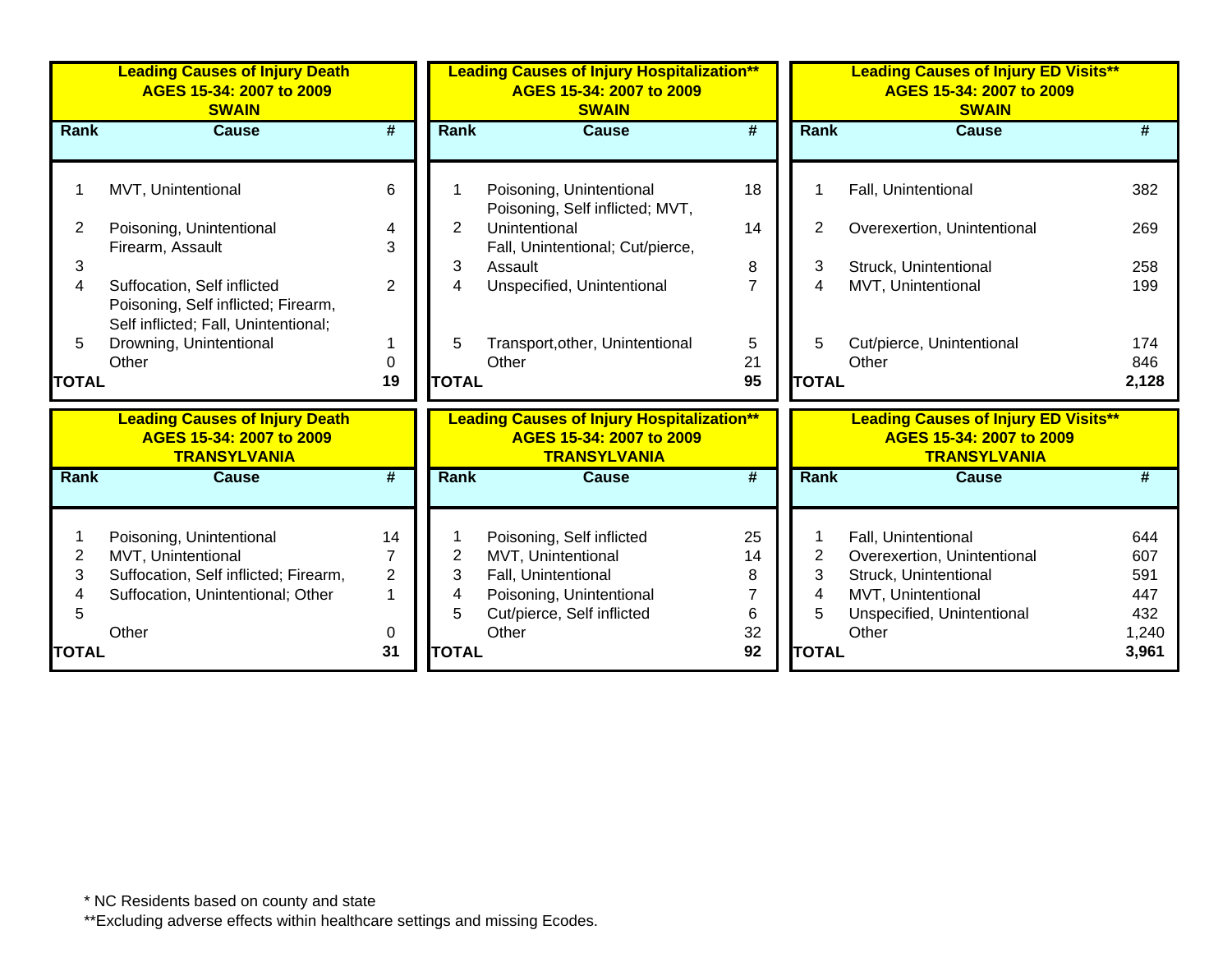|              | <b>Leading Causes of Injury Death</b><br>AGES 15-34: 2007 to 2009<br><b>SWAIN</b>                                            |                                |                  | <b>Leading Causes of Injury Hospitalization**</b><br>AGES 15-34: 2007 to 2009<br><b>SWAIN</b>                                    |                             |                  | <b>Leading Causes of Injury ED Visits**</b><br>AGES 15-34: 2007 to 2009<br><b>SWAIN</b>                                         |                                 |
|--------------|------------------------------------------------------------------------------------------------------------------------------|--------------------------------|------------------|----------------------------------------------------------------------------------------------------------------------------------|-----------------------------|------------------|---------------------------------------------------------------------------------------------------------------------------------|---------------------------------|
| Rank         | <b>Cause</b>                                                                                                                 | #                              | <b>Rank</b>      | <b>Cause</b>                                                                                                                     | $\overline{\boldsymbol{t}}$ | <b>Rank</b>      | <b>Cause</b>                                                                                                                    |                                 |
|              | MVT, Unintentional                                                                                                           | 6                              |                  | Poisoning, Unintentional<br>Poisoning, Self inflicted; MVT,                                                                      | 18                          |                  | Fall, Unintentional                                                                                                             | 382                             |
| 2            | Poisoning, Unintentional                                                                                                     | 4                              | $\overline{2}$   | Unintentional                                                                                                                    | 14                          | 2                | Overexertion, Unintentional                                                                                                     | 269                             |
| 3<br>4       | Firearm, Assault<br>Suffocation, Self inflicted                                                                              | 3<br>$\overline{2}$            | 3<br>4           | Fall, Unintentional; Cut/pierce,<br>Assault<br>Unspecified, Unintentional                                                        | 8<br>$\overline{7}$         | 3<br>4           | Struck, Unintentional<br>MVT, Unintentional                                                                                     | 258<br>199                      |
|              | Poisoning, Self inflicted; Firearm,<br>Self inflicted; Fall, Unintentional;                                                  |                                |                  |                                                                                                                                  |                             |                  |                                                                                                                                 |                                 |
| 5            | Drowning, Unintentional                                                                                                      |                                | 5                | Transport, other, Unintentional                                                                                                  | 5                           | 5                | Cut/pierce, Unintentional                                                                                                       | 174                             |
| <b>TOTAL</b> | Other                                                                                                                        | $\Omega$<br>19                 | <b>TOTAL</b>     | Other                                                                                                                            | 21<br>95                    | <b>TOTAL</b>     | Other                                                                                                                           | 846<br>2,128                    |
|              |                                                                                                                              |                                |                  |                                                                                                                                  |                             |                  |                                                                                                                                 |                                 |
|              | <b>Leading Causes of Injury Death</b><br>AGES 15-34: 2007 to 2009<br><b>TRANSYLVANIA</b>                                     |                                |                  | <b>Leading Causes of Injury Hospitalization**</b><br>AGES 15-34: 2007 to 2009<br><b>TRANSYLVANIA</b>                             |                             |                  | <b>Leading Causes of Injury ED Visits**</b><br>AGES 15-34: 2007 to 2009<br><b>TRANSYLVANIA</b>                                  |                                 |
| <b>Rank</b>  | <b>Cause</b>                                                                                                                 | #                              | <b>Rank</b>      | Cause                                                                                                                            | #                           | <b>Rank</b>      | <b>Cause</b>                                                                                                                    |                                 |
| 2<br>3<br>5  | Poisoning, Unintentional<br>MVT, Unintentional<br>Suffocation, Self inflicted; Firearm,<br>Suffocation, Unintentional; Other | 14<br>7<br>$\overline{2}$<br>1 | 2<br>3<br>4<br>5 | Poisoning, Self inflicted<br>MVT, Unintentional<br>Fall, Unintentional<br>Poisoning, Unintentional<br>Cut/pierce, Self inflicted | 25<br>14<br>8<br>6          | 2<br>3<br>4<br>5 | Fall, Unintentional<br>Overexertion, Unintentional<br>Struck, Unintentional<br>MVT, Unintentional<br>Unspecified, Unintentional | 644<br>607<br>591<br>447<br>432 |
| <b>TOTAL</b> | Other                                                                                                                        | 0<br>31                        | <b>TOTAL</b>     | Other                                                                                                                            | 32<br>92                    | <b>TOTAL</b>     | Other                                                                                                                           | 1,240<br>3,961                  |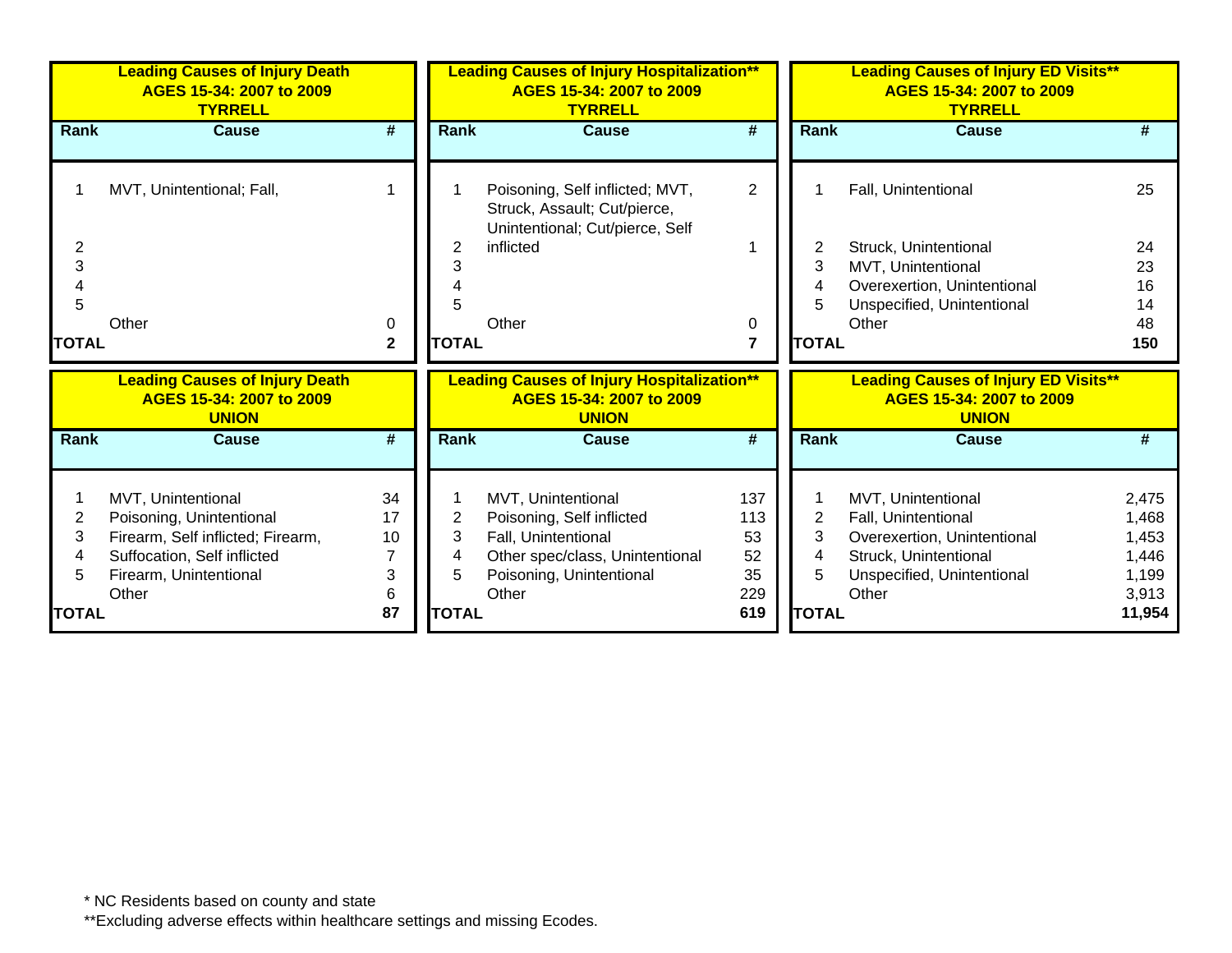|                                               | <b>Leading Causes of Injury Death</b><br>AGES 15-34: 2007 to 2009<br><b>TYRRELL</b>                                                                   |                                |                                  | <b>Leading Causes of Injury Hospitalization**</b><br>AGES 15-34: 2007 to 2009<br><b>TYRRELL</b>                                                |                                            |                                               | <b>Leading Causes of Injury ED Visits**</b><br>AGES 15-34: 2007 to 2009<br><b>TYRRELL</b>                                                |                                                              |
|-----------------------------------------------|-------------------------------------------------------------------------------------------------------------------------------------------------------|--------------------------------|----------------------------------|------------------------------------------------------------------------------------------------------------------------------------------------|--------------------------------------------|-----------------------------------------------|------------------------------------------------------------------------------------------------------------------------------------------|--------------------------------------------------------------|
| Rank                                          | <b>Cause</b>                                                                                                                                          | #                              | <b>Rank</b>                      | <b>Cause</b>                                                                                                                                   | #                                          | Rank                                          | <b>Cause</b>                                                                                                                             | #                                                            |
|                                               | MVT, Unintentional; Fall,                                                                                                                             |                                |                                  | Poisoning, Self inflicted; MVT,<br>Struck, Assault; Cut/pierce,<br>Unintentional; Cut/pierce, Self                                             | $\overline{2}$                             |                                               | Fall, Unintentional                                                                                                                      | 25                                                           |
| 2                                             |                                                                                                                                                       |                                | 2                                | inflicted                                                                                                                                      |                                            | 2                                             | Struck, Unintentional                                                                                                                    | 24                                                           |
| 3                                             |                                                                                                                                                       |                                | 3                                |                                                                                                                                                |                                            | 3                                             | MVT, Unintentional                                                                                                                       | 23                                                           |
|                                               |                                                                                                                                                       |                                |                                  |                                                                                                                                                |                                            | 4                                             | Overexertion, Unintentional                                                                                                              | 16                                                           |
| 5                                             |                                                                                                                                                       |                                |                                  |                                                                                                                                                |                                            | 5                                             | Unspecified, Unintentional                                                                                                               | 14                                                           |
|                                               | Other                                                                                                                                                 | 0                              |                                  | Other                                                                                                                                          | 0                                          |                                               | Other                                                                                                                                    | 48                                                           |
| <b>TOTAL</b>                                  |                                                                                                                                                       | $\mathbf{2}$                   | <b>TOTAL</b>                     |                                                                                                                                                | $\overline{7}$                             | <b>TOTAL</b>                                  |                                                                                                                                          | 150                                                          |
|                                               | <b>Leading Causes of Injury Death</b><br>AGES 15-34: 2007 to 2009<br><b>UNION</b>                                                                     |                                |                                  | <b>Leading Causes of Injury Hospitalization**</b><br>AGES 15-34: 2007 to 2009<br><b>UNION</b>                                                  |                                            |                                               | <b>Leading Causes of Injury ED Visits**</b><br>AGES 15-34: 2007 to 2009<br><b>UNION</b>                                                  |                                                              |
| Rank                                          | <b>Cause</b>                                                                                                                                          | #                              | <b>Rank</b>                      | <b>Cause</b>                                                                                                                                   | #                                          | <b>Rank</b>                                   | Cause                                                                                                                                    | #                                                            |
| $\overline{2}$<br>3<br>4<br>5<br><b>TOTAL</b> | MVT, Unintentional<br>Poisoning, Unintentional<br>Firearm, Self inflicted; Firearm,<br>Suffocation, Self inflicted<br>Firearm, Unintentional<br>Other | 34<br>17<br>10<br>3<br>6<br>87 | 2<br>3<br>4<br>5<br><b>TOTAL</b> | MVT, Unintentional<br>Poisoning, Self inflicted<br>Fall, Unintentional<br>Other spec/class, Unintentional<br>Poisoning, Unintentional<br>Other | 137<br>113<br>53<br>52<br>35<br>229<br>619 | $\overline{2}$<br>3<br>4<br>5<br><b>TOTAL</b> | MVT, Unintentional<br>Fall, Unintentional<br>Overexertion, Unintentional<br>Struck, Unintentional<br>Unspecified, Unintentional<br>Other | 2,475<br>1,468<br>1,453<br>1,446<br>1,199<br>3,913<br>11,954 |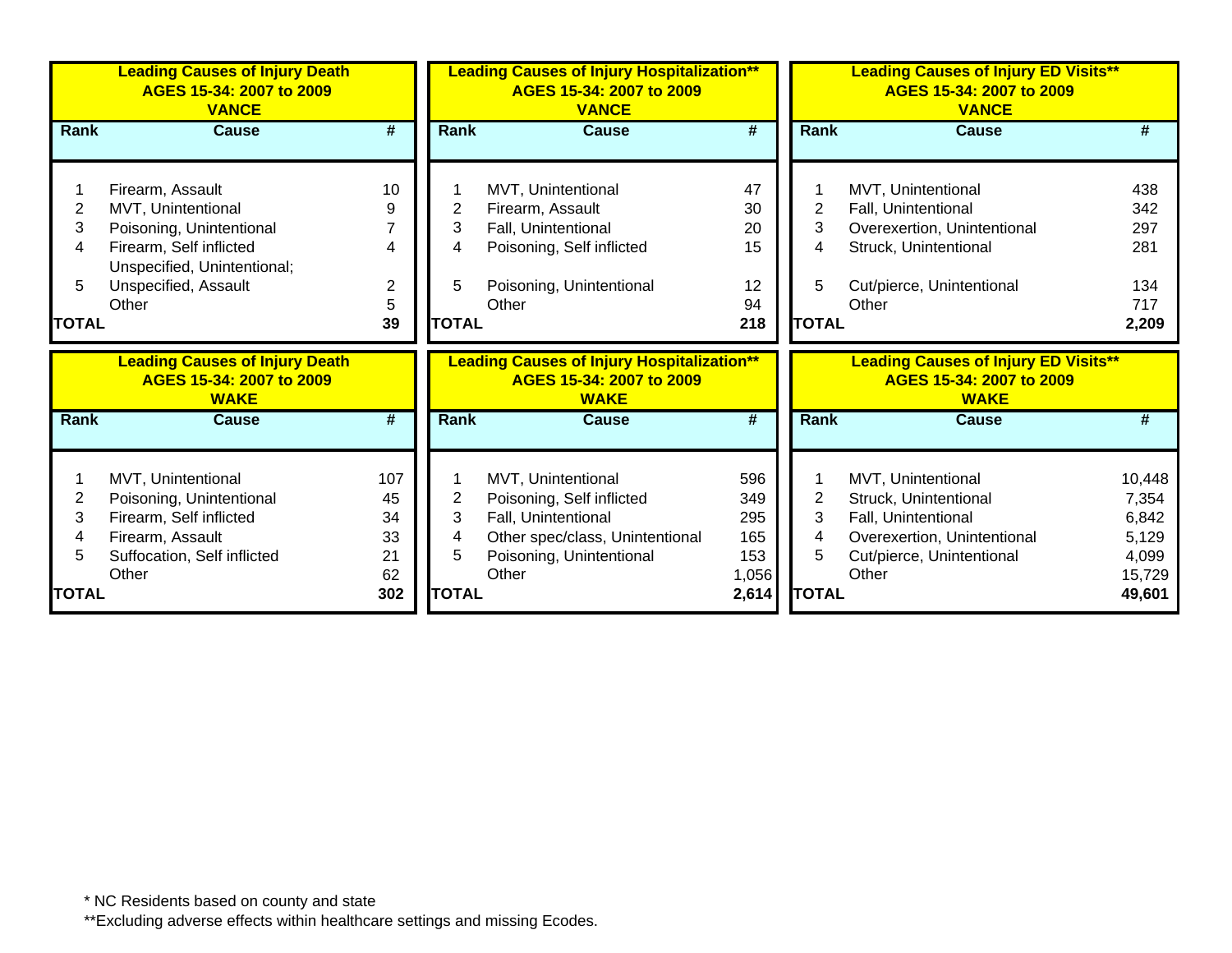|              | <b>Leading Causes of Injury Death</b><br>AGES 15-34: 2007 to 2009<br><b>VANCE</b> |                |              | <b>Leading Causes of Injury Hospitalization**</b><br>AGES 15-34: 2007 to 2009<br><b>VANCE</b> |                |              | <b>Leading Causes of Injury ED Visits**</b><br>AGES 15-34: 2007 to 2009<br><b>VANCE</b> |                |
|--------------|-----------------------------------------------------------------------------------|----------------|--------------|-----------------------------------------------------------------------------------------------|----------------|--------------|-----------------------------------------------------------------------------------------|----------------|
| <b>Rank</b>  | <b>Cause</b>                                                                      | #              | <b>Rank</b>  | <b>Cause</b>                                                                                  | #              | <b>Rank</b>  | <b>Cause</b>                                                                            | #              |
|              | Firearm, Assault                                                                  | 10             |              | MVT, Unintentional                                                                            | 47             |              | MVT, Unintentional                                                                      | 438            |
| 2            | MVT, Unintentional                                                                | 9              | 2            | Firearm, Assault                                                                              | 30             | 2            | Fall, Unintentional                                                                     | 342            |
| 3            | Poisoning, Unintentional                                                          |                | 3            | Fall, Unintentional                                                                           | 20             | 3            | Overexertion, Unintentional                                                             | 297            |
| 4            | Firearm, Self inflicted                                                           | 4              | 4            | Poisoning, Self inflicted                                                                     | 15             | 4            | Struck, Unintentional                                                                   | 281            |
|              | Unspecified, Unintentional;                                                       |                |              |                                                                                               |                |              |                                                                                         |                |
| 5            | Unspecified, Assault                                                              | $\overline{2}$ | 5            | Poisoning, Unintentional                                                                      | 12             | 5            | Cut/pierce, Unintentional                                                               | 134            |
|              | Other                                                                             | 5              |              | Other                                                                                         | 94             |              | Other                                                                                   | 717            |
| <b>TOTAL</b> |                                                                                   | 39             | <b>TOTAL</b> |                                                                                               | 218            | <b>TOTAL</b> |                                                                                         | 2,209          |
|              |                                                                                   |                |              |                                                                                               |                |              |                                                                                         |                |
|              | <b>Leading Causes of Injury Death</b><br>AGES 15-34: 2007 to 2009<br><b>WAKE</b>  |                |              | <b>Leading Causes of Injury Hospitalization**</b><br>AGES 15-34: 2007 to 2009<br><b>WAKE</b>  |                |              | <b>Leading Causes of Injury ED Visits**</b><br>AGES 15-34: 2007 to 2009<br><b>WAKE</b>  |                |
| Rank         | <b>Cause</b>                                                                      | #              | <b>Rank</b>  | <b>Cause</b>                                                                                  | #              | <b>Rank</b>  | <b>Cause</b>                                                                            | #              |
|              |                                                                                   |                |              |                                                                                               |                |              |                                                                                         |                |
| 2            | MVT, Unintentional                                                                | 107<br>45      |              | MVT, Unintentional                                                                            | 596<br>349     |              | MVT, Unintentional                                                                      | 10,448         |
| 3            | Poisoning, Unintentional<br>Firearm, Self inflicted                               | 34             | 2<br>3       | Poisoning, Self inflicted<br>Fall, Unintentional                                              | 295            | 2<br>3       | Struck, Unintentional<br>Fall, Unintentional                                            | 7,354<br>6,842 |
|              | Firearm, Assault                                                                  | 33             | 4            | Other spec/class, Unintentional                                                               | 165            | 4            | Overexertion, Unintentional                                                             | 5,129          |
| 5            | Suffocation, Self inflicted                                                       | 21             | 5            | Poisoning, Unintentional                                                                      | 153            | 5            | Cut/pierce, Unintentional                                                               | 4,099          |
|              | Other                                                                             | 62             |              | Other                                                                                         | 1,056<br>2,614 |              | Other                                                                                   | 15,729         |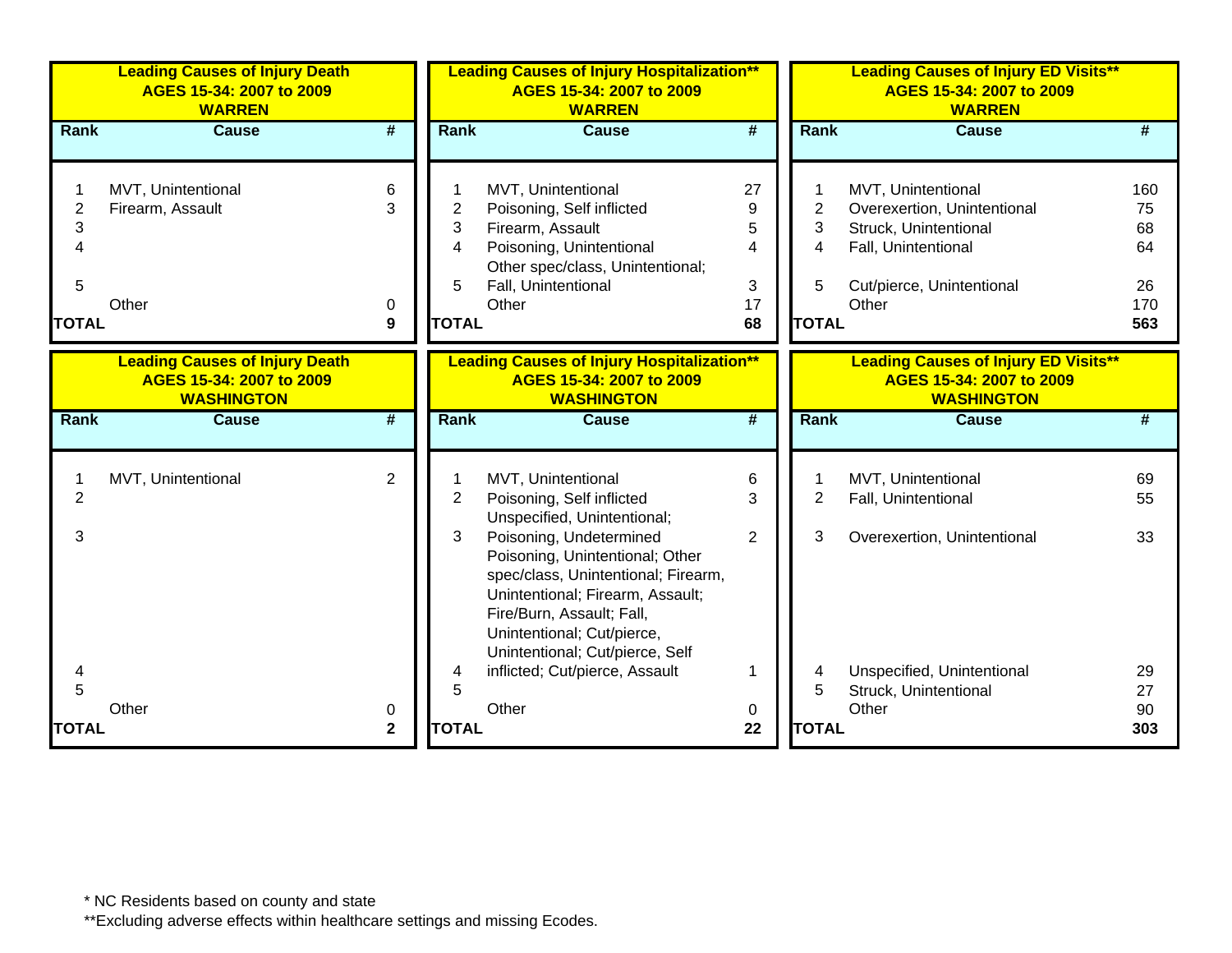|                               | <b>Leading Causes of Injury Death</b><br>AGES 15-34: 2007 to 2009<br><b>WARREN</b>                     |                             |                               | <b>Leading Causes of Injury Hospitalization**</b><br>AGES 15-34: 2007 to 2009<br><b>WARREN</b>                                                                                                                                                                                                                                                          |                                                     |                               | <b>Leading Causes of Injury ED Visits**</b><br>AGES 15-34: 2007 to 2009<br><b>WARREN</b>                                                |                                    |
|-------------------------------|--------------------------------------------------------------------------------------------------------|-----------------------------|-------------------------------|---------------------------------------------------------------------------------------------------------------------------------------------------------------------------------------------------------------------------------------------------------------------------------------------------------------------------------------------------------|-----------------------------------------------------|-------------------------------|-----------------------------------------------------------------------------------------------------------------------------------------|------------------------------------|
| <b>Rank</b>                   | <b>Cause</b>                                                                                           | $\overline{\boldsymbol{r}}$ | <b>Rank</b>                   | <b>Cause</b>                                                                                                                                                                                                                                                                                                                                            | #                                                   | Rank                          | <b>Cause</b>                                                                                                                            | #                                  |
| $\overline{2}$<br>3<br>4<br>5 | MVT, Unintentional<br>Firearm, Assault<br>Other                                                        | 6<br>3<br>0                 | $\overline{2}$<br>3<br>4<br>5 | MVT, Unintentional<br>Poisoning, Self inflicted<br>Firearm, Assault<br>Poisoning, Unintentional<br>Other spec/class, Unintentional;<br>Fall, Unintentional<br>Other                                                                                                                                                                                     | 27<br>9<br>5<br>$\overline{\mathcal{A}}$<br>3<br>17 | $\overline{2}$<br>3<br>4<br>5 | MVT, Unintentional<br>Overexertion, Unintentional<br>Struck, Unintentional<br>Fall, Unintentional<br>Cut/pierce, Unintentional<br>Other | 160<br>75<br>68<br>64<br>26<br>170 |
| <b>TOTAL</b>                  |                                                                                                        | $\boldsymbol{9}$            | <b>TOTAL</b>                  |                                                                                                                                                                                                                                                                                                                                                         | 68                                                  | <b>TOTAL</b>                  |                                                                                                                                         | 563                                |
| Rank                          | <b>Leading Causes of Injury Death</b><br>AGES 15-34: 2007 to 2009<br><b>WASHINGTON</b><br><b>Cause</b> | #                           | <b>Rank</b>                   | <b>Leading Causes of Injury Hospitalization**</b><br>AGES 15-34: 2007 to 2009<br><b>WASHINGTON</b><br><b>Cause</b>                                                                                                                                                                                                                                      | #                                                   | Rank                          | <b>Leading Causes of Injury ED Visits**</b><br>AGES 15-34: 2007 to 2009<br><b>WASHINGTON</b><br><b>Cause</b>                            | #                                  |
| $\overline{2}$<br>3<br>4      | MVT, Unintentional                                                                                     | $\overline{2}$              | $\overline{2}$<br>3<br>4      | MVT, Unintentional<br>Poisoning, Self inflicted<br>Unspecified, Unintentional;<br>Poisoning, Undetermined<br>Poisoning, Unintentional; Other<br>spec/class, Unintentional; Firearm,<br>Unintentional; Firearm, Assault;<br>Fire/Burn, Assault; Fall,<br>Unintentional; Cut/pierce,<br>Unintentional; Cut/pierce, Self<br>inflicted; Cut/pierce, Assault | 6<br>3<br>$\overline{2}$<br>1                       | $\overline{2}$<br>3<br>4      | MVT, Unintentional<br>Fall, Unintentional<br>Overexertion, Unintentional<br>Unspecified, Unintentional                                  | 69<br>55<br>33<br>29               |
| 5<br><b>TOTAL</b>             | Other                                                                                                  | 0<br>$\mathbf{2}$           | 5<br><b>TOTAL</b>             | Other                                                                                                                                                                                                                                                                                                                                                   | 0<br>22                                             | 5<br><b>TOTAL</b>             | Struck, Unintentional<br>Other                                                                                                          | 27<br>90<br>303                    |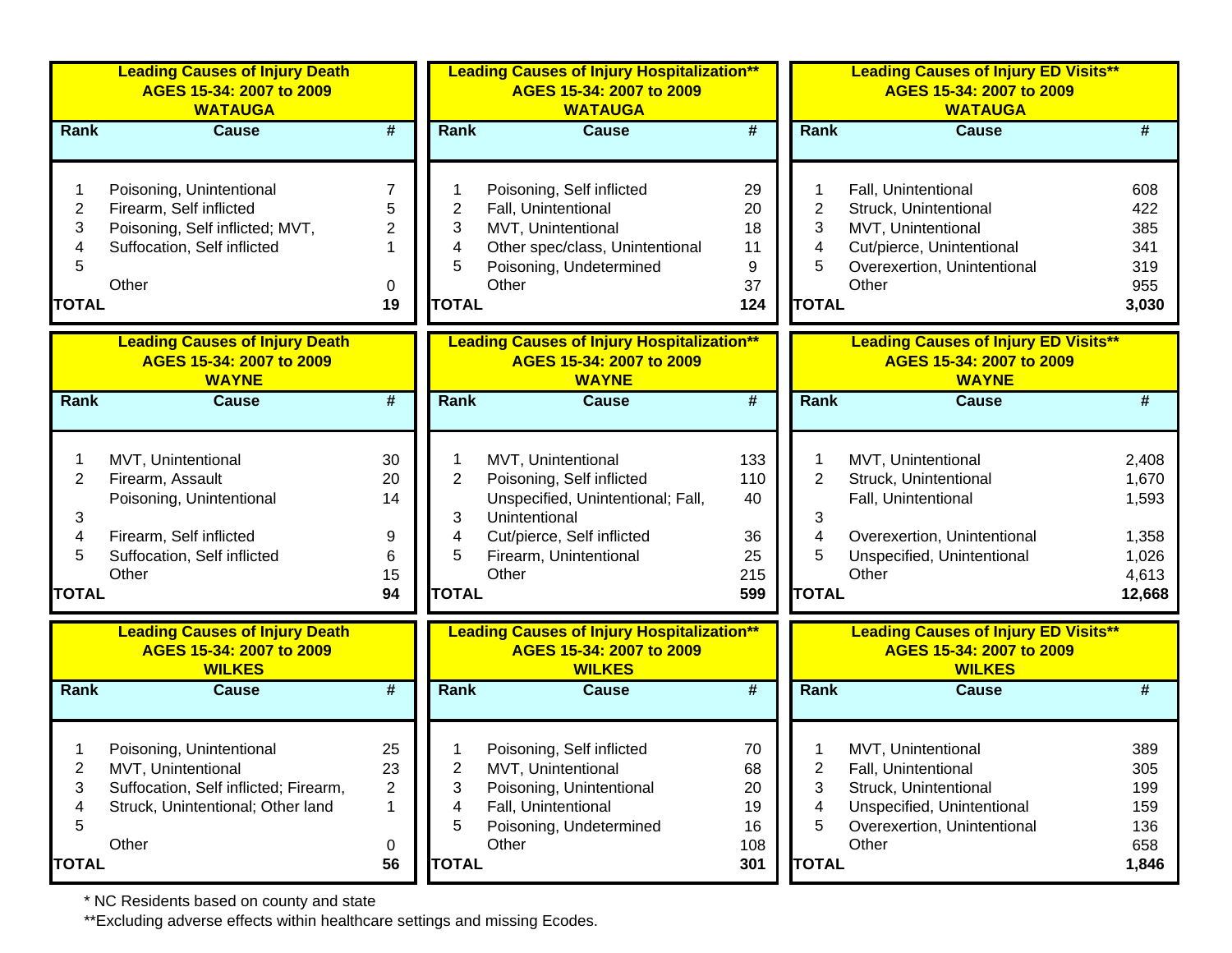|                                               | <b>Leading Causes of Injury Death</b><br>AGES 15-34: 2007 to 2009<br><b>WATAUGA</b>                                                   |                                                           |                                               | <b>Leading Causes of Injury Hospitalization**</b><br>AGES 15-34: 2007 to 2009<br><b>WATAUGA</b>                                                                        |                                            |                                               | <b>Leading Causes of Injury ED Visits**</b><br>AGES 15-34: 2007 to 2009<br><b>WATAUGA</b>                                                |                                                              |
|-----------------------------------------------|---------------------------------------------------------------------------------------------------------------------------------------|-----------------------------------------------------------|-----------------------------------------------|------------------------------------------------------------------------------------------------------------------------------------------------------------------------|--------------------------------------------|-----------------------------------------------|------------------------------------------------------------------------------------------------------------------------------------------|--------------------------------------------------------------|
| Rank                                          | <b>Cause</b>                                                                                                                          | $\overline{\boldsymbol{t}}$                               | <b>Rank</b>                                   | <b>Cause</b>                                                                                                                                                           | #                                          | <b>Rank</b>                                   | <b>Cause</b>                                                                                                                             | #                                                            |
| $\overline{c}$<br>3<br>4<br>5<br><b>TOTAL</b> | Poisoning, Unintentional<br>Firearm, Self inflicted<br>Poisoning, Self inflicted; MVT,<br>Suffocation, Self inflicted<br>Other        | $\overline{7}$<br>5<br>2<br>0<br>19                       | 2<br>3<br>4<br>5<br><b>TOTAL</b>              | Poisoning, Self inflicted<br>Fall, Unintentional<br>MVT, Unintentional<br>Other spec/class, Unintentional<br>Poisoning, Undetermined<br>Other                          | 29<br>20<br>18<br>11<br>9<br>37<br>124     | $\overline{2}$<br>3<br>4<br>5<br><b>TOTAL</b> | Fall, Unintentional<br>Struck, Unintentional<br>MVT, Unintentional<br>Cut/pierce, Unintentional<br>Overexertion, Unintentional<br>Other  | 608<br>422<br>385<br>341<br>319<br>955<br>3,030              |
|                                               | <b>Leading Causes of Injury Death</b><br>AGES 15-34: 2007 to 2009                                                                     |                                                           |                                               | <b>Leading Causes of Injury Hospitalization**</b><br>AGES 15-34: 2007 to 2009                                                                                          |                                            |                                               | <b>Leading Causes of Injury ED Visits**</b><br>AGES 15-34: 2007 to 2009                                                                  |                                                              |
|                                               | <b>WAYNE</b>                                                                                                                          |                                                           |                                               | <b>WAYNE</b>                                                                                                                                                           |                                            |                                               | <b>WAYNE</b>                                                                                                                             |                                                              |
| <b>Rank</b>                                   | <b>Cause</b>                                                                                                                          | $\overline{\boldsymbol{t}}$                               | <b>Rank</b>                                   | <b>Cause</b>                                                                                                                                                           | #                                          | <b>Rank</b>                                   | <b>Cause</b>                                                                                                                             | #                                                            |
| $\overline{2}$<br>3<br>4<br>5<br><b>TOTAL</b> | MVT, Unintentional<br>Firearm, Assault<br>Poisoning, Unintentional<br>Firearm, Self inflicted<br>Suffocation, Self inflicted<br>Other | 30<br>20<br>14<br>9<br>6<br>15<br>94                      | $\overline{2}$<br>3<br>4<br>5<br><b>TOTAL</b> | MVT, Unintentional<br>Poisoning, Self inflicted<br>Unspecified, Unintentional; Fall,<br>Unintentional<br>Cut/pierce, Self inflicted<br>Firearm, Unintentional<br>Other | 133<br>110<br>40<br>36<br>25<br>215<br>599 | $\overline{2}$<br>3<br>4<br>5<br><b>TOTAL</b> | MVT, Unintentional<br>Struck, Unintentional<br>Fall, Unintentional<br>Overexertion, Unintentional<br>Unspecified, Unintentional<br>Other | 2,408<br>1,670<br>1,593<br>1,358<br>1,026<br>4,613<br>12,668 |
|                                               | <b>Leading Causes of Injury Death</b><br>AGES 15-34: 2007 to 2009<br><b>WILKES</b>                                                    |                                                           |                                               | <b>Leading Causes of Injury Hospitalization**</b><br>AGES 15-34: 2007 to 2009<br><b>WILKES</b>                                                                         |                                            |                                               | <b>Leading Causes of Injury ED Visits**</b><br>AGES 15-34: 2007 to 2009<br><b>WILKES</b>                                                 |                                                              |
| <b>Rank</b>                                   | <b>Cause</b>                                                                                                                          | #                                                         | <b>Rank</b>                                   | <b>Cause</b>                                                                                                                                                           | $\overline{\boldsymbol{t}}$                | <b>Rank</b>                                   | <b>Cause</b>                                                                                                                             | #                                                            |
| 2<br>3<br>4<br>5<br><b>TOTAL</b>              | Poisoning, Unintentional<br>MVT, Unintentional<br>Suffocation, Self inflicted; Firearm,<br>Struck, Unintentional; Other land<br>Other | 25<br>23<br>$\overline{c}$<br>1<br>$\boldsymbol{0}$<br>56 | 2<br>3<br>4<br>5<br><b>TOTAL</b>              | Poisoning, Self inflicted<br>MVT, Unintentional<br>Poisoning, Unintentional<br>Fall, Unintentional<br>Poisoning, Undetermined<br>Other                                 | 70<br>68<br>20<br>19<br>16<br>108<br>301   | 2<br>3<br>4<br>5<br><b>TOTAL</b>              | MVT, Unintentional<br>Fall, Unintentional<br>Struck, Unintentional<br>Unspecified, Unintentional<br>Overexertion, Unintentional<br>Other | 389<br>305<br>199<br>159<br>136<br>658<br>1,846              |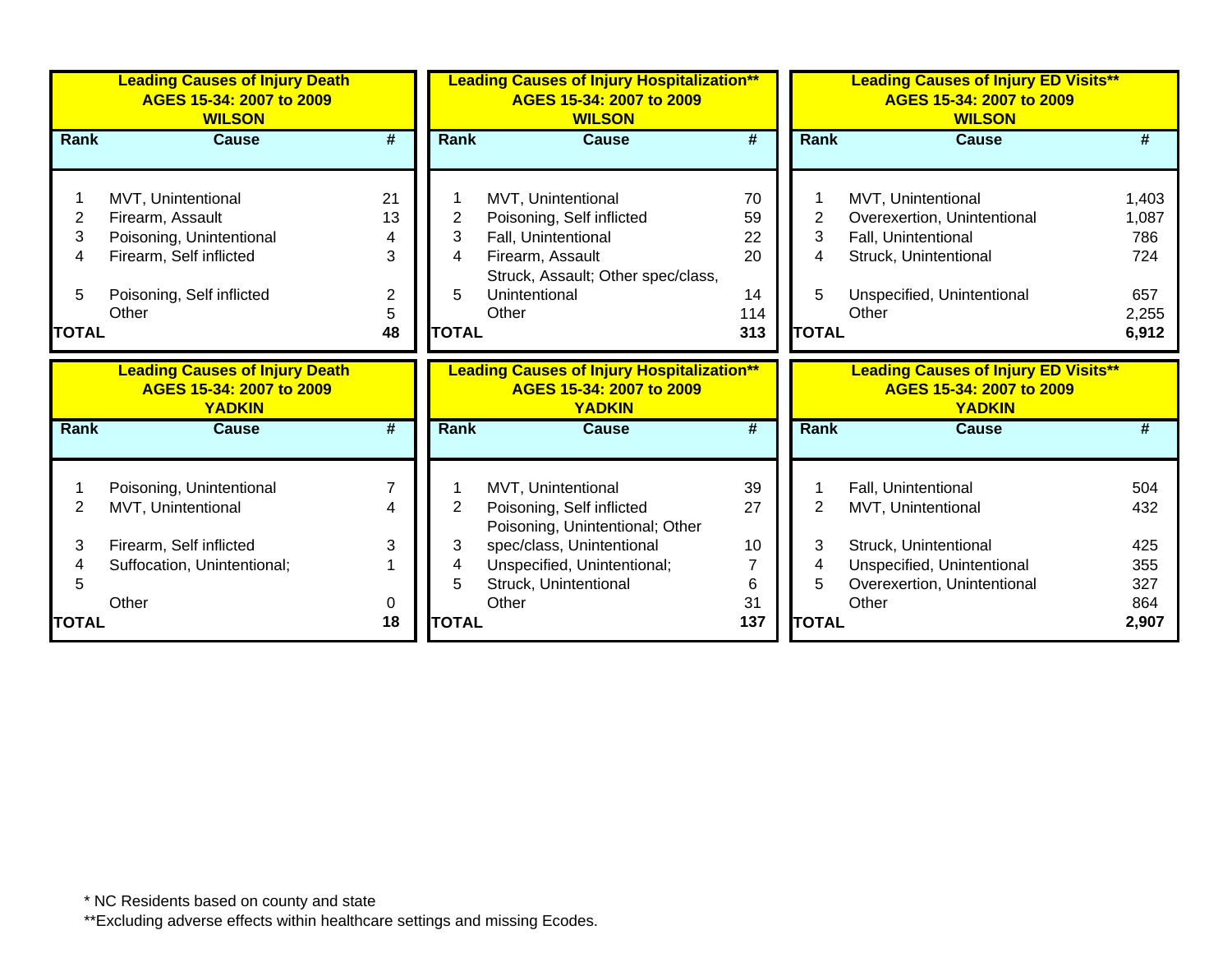|              | <b>Leading Causes of Injury Death</b><br>AGES 15-34: 2007 to 2009<br><b>WILSON</b> |                             | <b>Leading Causes of Injury Hospitalization**</b><br>AGES 15-34: 2007 to 2009<br><b>WILSON</b> |                                                                                                |                             | <b>Leading Causes of Injury ED Visits**</b><br>AGES 15-34: 2007 to 2009<br><b>WILSON</b> |                                                                                          |              |  |
|--------------|------------------------------------------------------------------------------------|-----------------------------|------------------------------------------------------------------------------------------------|------------------------------------------------------------------------------------------------|-----------------------------|------------------------------------------------------------------------------------------|------------------------------------------------------------------------------------------|--------------|--|
| <b>Rank</b>  | <b>Cause</b>                                                                       | #                           | Rank                                                                                           | <b>Cause</b>                                                                                   | #                           | Rank                                                                                     | <b>Cause</b>                                                                             |              |  |
|              |                                                                                    |                             |                                                                                                |                                                                                                |                             |                                                                                          |                                                                                          |              |  |
|              | MVT, Unintentional                                                                 | 21                          |                                                                                                | MVT, Unintentional                                                                             | 70                          |                                                                                          | MVT, Unintentional                                                                       | 1,403        |  |
| 2            | Firearm, Assault                                                                   | 13                          | 2                                                                                              | Poisoning, Self inflicted                                                                      | 59                          | 2                                                                                        | Overexertion, Unintentional                                                              | 1,087        |  |
| 3            | Poisoning, Unintentional                                                           |                             | 3                                                                                              | Fall, Unintentional                                                                            | 22                          | 3                                                                                        | Fall, Unintentional                                                                      | 786          |  |
|              | Firearm, Self inflicted                                                            | 3                           | 4                                                                                              | Firearm, Assault                                                                               | 20                          | 4                                                                                        | Struck, Unintentional                                                                    | 724          |  |
|              |                                                                                    |                             |                                                                                                | Struck, Assault; Other spec/class,                                                             |                             |                                                                                          |                                                                                          |              |  |
| 5.           | Poisoning, Self inflicted                                                          | $\overline{2}$              | 5                                                                                              | Unintentional                                                                                  | 14                          | 5                                                                                        | Unspecified, Unintentional                                                               | 657          |  |
|              | Other                                                                              | 5                           |                                                                                                | Other                                                                                          | 114                         |                                                                                          | Other                                                                                    | 2,255        |  |
| <b>TOTAL</b> |                                                                                    | 48                          | <b>TOTAL</b>                                                                                   |                                                                                                | 313                         | <b>TOTAL</b>                                                                             |                                                                                          | 6,912        |  |
|              |                                                                                    |                             |                                                                                                |                                                                                                |                             |                                                                                          |                                                                                          |              |  |
|              | <b>Leading Causes of Injury Death</b><br>AGES 15-34: 2007 to 2009<br><b>YADKIN</b> |                             |                                                                                                | <b>Leading Causes of Injury Hospitalization**</b><br>AGES 15-34: 2007 to 2009<br><b>YADKIN</b> |                             |                                                                                          | <b>Leading Causes of Injury ED Visits**</b><br>AGES 15-34: 2007 to 2009<br><b>YADKIN</b> |              |  |
| Rank         | <b>Cause</b>                                                                       | $\overline{\boldsymbol{t}}$ | <b>Rank</b>                                                                                    | <b>Cause</b>                                                                                   | $\overline{\boldsymbol{t}}$ | Rank                                                                                     | <b>Cause</b>                                                                             |              |  |
|              |                                                                                    |                             |                                                                                                |                                                                                                |                             |                                                                                          |                                                                                          |              |  |
|              |                                                                                    | 7                           |                                                                                                | MVT, Unintentional                                                                             | 39                          |                                                                                          | Fall, Unintentional                                                                      | 504          |  |
| 2            | Poisoning, Unintentional<br>MVT, Unintentional                                     |                             | 2                                                                                              | Poisoning, Self inflicted                                                                      | 27                          |                                                                                          | MVT, Unintentional                                                                       | 432          |  |
|              |                                                                                    |                             |                                                                                                | Poisoning, Unintentional; Other                                                                |                             |                                                                                          |                                                                                          |              |  |
| 3            | Firearm, Self inflicted                                                            | 3                           | 3                                                                                              | spec/class, Unintentional                                                                      | 10                          | 3                                                                                        | Struck, Unintentional                                                                    | 425          |  |
|              | Suffocation, Unintentional;                                                        |                             | 4                                                                                              | Unspecified, Unintentional;                                                                    |                             | 4                                                                                        | Unspecified, Unintentional                                                               | 355          |  |
|              |                                                                                    |                             | 5                                                                                              | Struck, Unintentional                                                                          | 6                           | 5                                                                                        | Overexertion, Unintentional                                                              | 327          |  |
| <b>TOTAL</b> | Other                                                                              | 0<br>18                     | <b>TOTAL</b>                                                                                   | Other                                                                                          | 31<br>137                   | <b>TOTAL</b>                                                                             | Other                                                                                    | 864<br>2,907 |  |